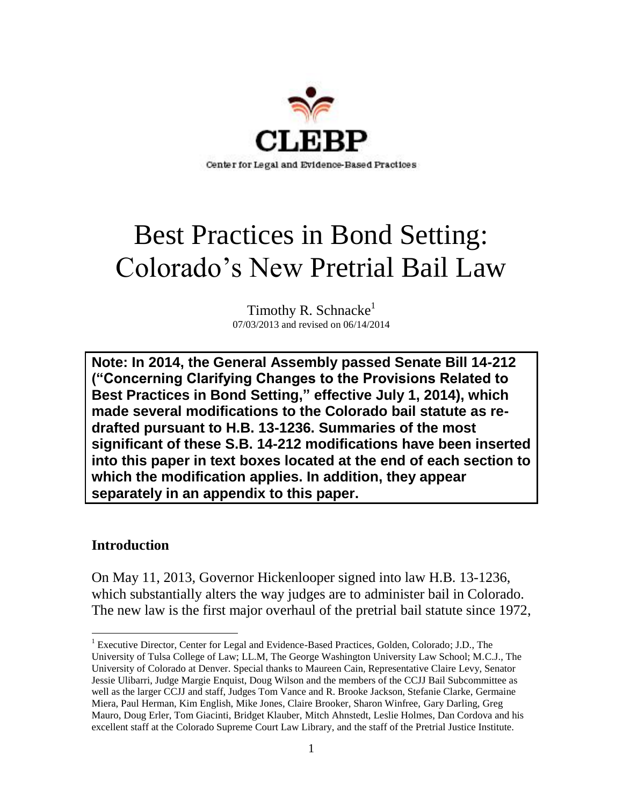

# Best Practices in Bond Setting: Colorado's New Pretrial Bail Law

Timothy R. Schnacke<sup>1</sup> 07/03/2013 and revised on 06/14/2014

**Note: In 2014, the General Assembly passed Senate Bill 14-212 ("Concerning Clarifying Changes to the Provisions Related to Best Practices in Bond Setting," effective July 1, 2014), which made several modifications to the Colorado bail statute as redrafted pursuant to H.B. 13-1236. Summaries of the most significant of these S.B. 14-212 modifications have been inserted into this paper in text boxes located at the end of each section to which the modification applies. In addition, they appear separately in an appendix to this paper.** 

# **Introduction**

On May 11, 2013, Governor Hickenlooper signed into law H.B. 13-1236, which substantially alters the way judges are to administer bail in Colorado. The new law is the first major overhaul of the pretrial bail statute since 1972,

 $\overline{a}$ <sup>1</sup> Executive Director, Center for Legal and Evidence-Based Practices, Golden, Colorado; J.D., The University of Tulsa College of Law; LL.M, The George Washington University Law School; M.C.J., The University of Colorado at Denver. Special thanks to Maureen Cain, Representative Claire Levy, Senator Jessie Ulibarri, Judge Margie Enquist, Doug Wilson and the members of the CCJJ Bail Subcommittee as well as the larger CCJJ and staff, Judges Tom Vance and R. Brooke Jackson, Stefanie Clarke, Germaine Miera, Paul Herman, Kim English, Mike Jones, Claire Brooker, Sharon Winfree, Gary Darling, Greg Mauro, Doug Erler, Tom Giacinti, Bridget Klauber, Mitch Ahnstedt, Leslie Holmes, Dan Cordova and his excellent staff at the Colorado Supreme Court Law Library, and the staff of the Pretrial Justice Institute.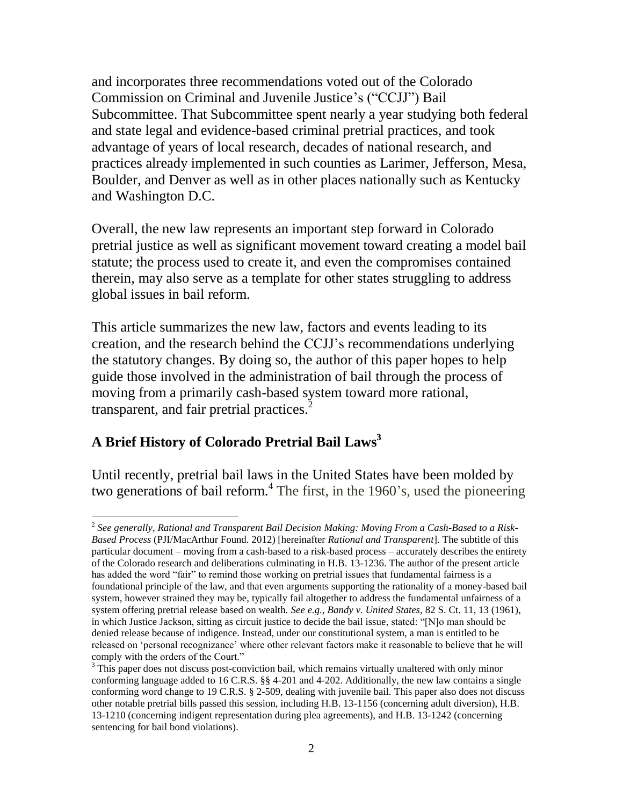and incorporates three recommendations voted out of the Colorado Commission on Criminal and Juvenile Justice's ("CCJJ") Bail Subcommittee. That Subcommittee spent nearly a year studying both federal and state legal and evidence-based criminal pretrial practices, and took advantage of years of local research, decades of national research, and practices already implemented in such counties as Larimer, Jefferson, Mesa, Boulder, and Denver as well as in other places nationally such as Kentucky and Washington D.C.

Overall, the new law represents an important step forward in Colorado pretrial justice as well as significant movement toward creating a model bail statute; the process used to create it, and even the compromises contained therein, may also serve as a template for other states struggling to address global issues in bail reform.

This article summarizes the new law, factors and events leading to its creation, and the research behind the CCJJ's recommendations underlying the statutory changes. By doing so, the author of this paper hopes to help guide those involved in the administration of bail through the process of moving from a primarily cash-based system toward more rational, transparent, and fair pretrial practices.<sup>2</sup>

# **A Brief History of Colorado Pretrial Bail Laws 3**

Until recently, pretrial bail laws in the United States have been molded by two generations of bail reform.<sup>4</sup> The first, in the 1960's, used the pioneering

 $\overline{a}$ 2 *See generally, Rational and Transparent Bail Decision Making: Moving From a Cash-Based to a Risk-Based Process* (PJI/MacArthur Found. 2012) [hereinafter *Rational and Transparent*]. The subtitle of this particular document – moving from a cash-based to a risk-based process – accurately describes the entirety of the Colorado research and deliberations culminating in H.B. 13-1236. The author of the present article has added the word "fair" to remind those working on pretrial issues that fundamental fairness is a foundational principle of the law, and that even arguments supporting the rationality of a money-based bail system, however strained they may be, typically fail altogether to address the fundamental unfairness of a system offering pretrial release based on wealth. *See e.g., Bandy v. United States,* 82 S. Ct. 11, 13 (1961), in which Justice Jackson, sitting as circuit justice to decide the bail issue, stated: "[N]o man should be denied release because of indigence. Instead, under our constitutional system, a man is entitled to be released on 'personal recognizance' where other relevant factors make it reasonable to believe that he will comply with the orders of the Court."

 $3$  This paper does not discuss post-conviction bail, which remains virtually unaltered with only minor conforming language added to 16 C.R.S. §§ 4-201 and 4-202. Additionally, the new law contains a single conforming word change to 19 C.R.S. § 2-509, dealing with juvenile bail. This paper also does not discuss other notable pretrial bills passed this session, including H.B. 13-1156 (concerning adult diversion), H.B. 13-1210 (concerning indigent representation during plea agreements), and H.B. 13-1242 (concerning sentencing for bail bond violations).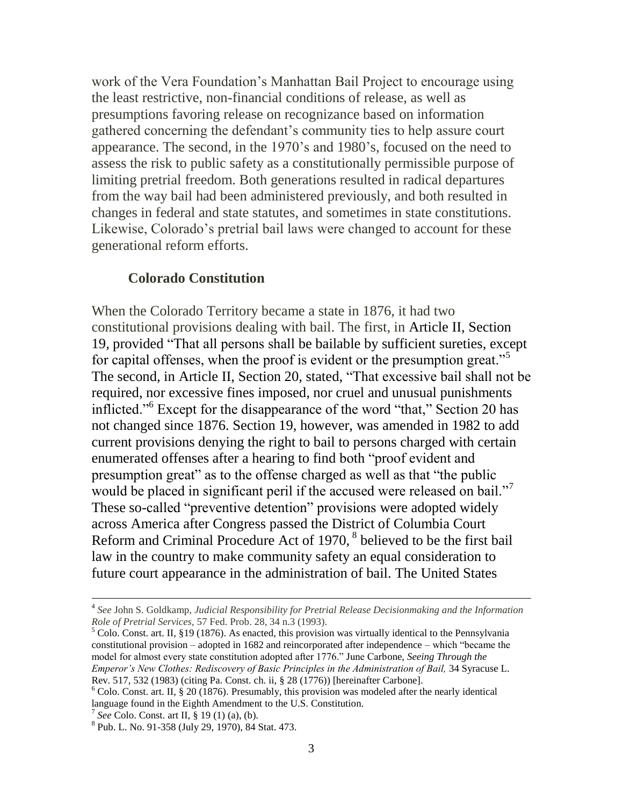work of the Vera Foundation's Manhattan Bail Project to encourage using the least restrictive, non-financial conditions of release, as well as presumptions favoring release on recognizance based on information gathered concerning the defendant's community ties to help assure court appearance. The second, in the 1970's and 1980's, focused on the need to assess the risk to public safety as a constitutionally permissible purpose of limiting pretrial freedom. Both generations resulted in radical departures from the way bail had been administered previously, and both resulted in changes in federal and state statutes, and sometimes in state constitutions. Likewise, Colorado's pretrial bail laws were changed to account for these generational reform efforts.

#### **Colorado Constitution**

When the Colorado Territory became a state in 1876, it had two constitutional provisions dealing with bail. The first, in Article II, Section 19, provided "That all persons shall be bailable by sufficient sureties, except for capital offenses, when the proof is evident or the presumption great."<sup>5</sup> The second, in Article II, Section 20, stated, "That excessive bail shall not be required, nor excessive fines imposed, nor cruel and unusual punishments inflicted."<sup>6</sup> Except for the disappearance of the word "that," Section 20 has not changed since 1876. Section 19, however, was amended in 1982 to add current provisions denying the right to bail to persons charged with certain enumerated offenses after a hearing to find both "proof evident and presumption great" as to the offense charged as well as that "the public would be placed in significant peril if the accused were released on bail."<sup>7</sup> These so-called "preventive detention" provisions were adopted widely across America after Congress passed the District of Columbia Court Reform and Criminal Procedure Act of 1970,<sup>8</sup> believed to be the first bail law in the country to make community safety an equal consideration to future court appearance in the administration of bail. The United States

<sup>4</sup> *See* John S. Goldkamp, *Judicial Responsibility for Pretrial Release Decisionmaking and the Information Role of Pretrial Services,* 57 Fed. Prob. 28, 34 n.3 (1993).

 $5$  Colo. Const. art. II, §19 (1876). As enacted, this provision was virtually identical to the Pennsylvania constitutional provision – adopted in 1682 and reincorporated after independence – which "became the model for almost every state constitution adopted after 1776." June Carbone, *Seeing Through the Emperor's New Clothes: Rediscovery of Basic Principles in the Administration of Bail,* 34 Syracuse L. Rev. 517, 532 (1983) (citing Pa. Const. ch. ii, § 28 (1776)) [hereinafter Carbone].

 $6$  Colo. Const. art. II, § 20 (1876). Presumably, this provision was modeled after the nearly identical language found in the Eighth Amendment to the U.S. Constitution.

<sup>7</sup> *See* Colo. Const. art II, § 19 (1) (a), (b).

<sup>&</sup>lt;sup>8</sup> Pub. L. No. 91-358 (July 29, 1970), 84 Stat. 473.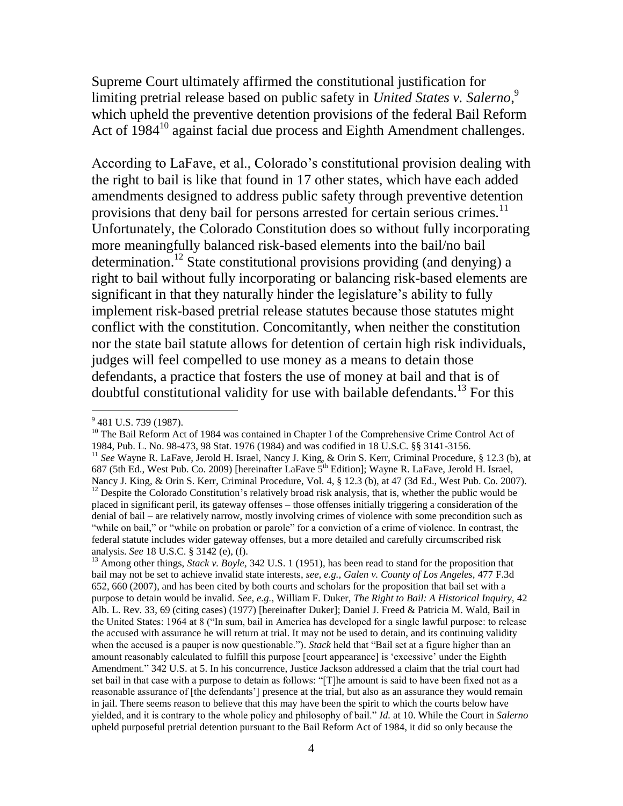Supreme Court ultimately affirmed the constitutional justification for limiting pretrial release based on public safety in *United States v. Salerno*, 9 which upheld the preventive detention provisions of the federal Bail Reform Act of 1984<sup>10</sup> against facial due process and Eighth Amendment challenges.

According to LaFave, et al., Colorado's constitutional provision dealing with the right to bail is like that found in 17 other states, which have each added amendments designed to address public safety through preventive detention provisions that deny bail for persons arrested for certain serious crimes.<sup>11</sup> Unfortunately, the Colorado Constitution does so without fully incorporating more meaningfully balanced risk-based elements into the bail/no bail determination.<sup>12</sup> State constitutional provisions providing (and denying) a right to bail without fully incorporating or balancing risk-based elements are significant in that they naturally hinder the legislature's ability to fully implement risk-based pretrial release statutes because those statutes might conflict with the constitution. Concomitantly, when neither the constitution nor the state bail statute allows for detention of certain high risk individuals, judges will feel compelled to use money as a means to detain those defendants, a practice that fosters the use of money at bail and that is of doubtful constitutional validity for use with bailable defendants.<sup>13</sup> For this

<sup>&</sup>lt;sup>9</sup> 481 U.S. 739 (1987).

<sup>&</sup>lt;sup>10</sup> The Bail Reform Act of 1984 was contained in Chapter I of the Comprehensive Crime Control Act of 1984, Pub. L. No. 98-473, 98 Stat. 1976 (1984) and was codified in 18 U.S.C. §§ 3141-3156. <sup>11</sup> See Wayne R. LaFave, Jerold H. Israel, Nancy J. King, & Orin S. Kerr, Criminal Procedure, § 12.3 (b), at 687 (5th Ed., West Pub. Co. 2009) [hereinafter LaFave 5<sup>th</sup> Edition]; Wayne R. LaFave, Jerold H. Israel, Nancy J. King, & Orin S. Kerr, Criminal Procedure, Vol. 4, § 12.3 (b), at 47 (3d Ed., West Pub. Co. 2007).  $12$  Despite the Colorado Constitution's relatively broad risk analysis, that is, whether the public would be placed in significant peril, its gateway offenses – those offenses initially triggering a consideration of the denial of bail – are relatively narrow, mostly involving crimes of violence with some precondition such as "while on bail," or "while on probation or parole" for a conviction of a crime of violence. In contrast, the federal statute includes wider gateway offenses, but a more detailed and carefully circumscribed risk

analysis. *See* 18 U.S.C. § 3142 (e), (f).

<sup>&</sup>lt;sup>13</sup> Among other things, *Stack v. Boyle*, 342 U.S. 1 (1951), has been read to stand for the proposition that bail may not be set to achieve invalid state interests, *see, e.g., Galen v. County of Los Angeles,* 477 F.3d 652, 660 (2007), and has been cited by both courts and scholars for the proposition that bail set with a purpose to detain would be invalid. *See, e.g.,* William F. Duker, *The Right to Bail: A Historical Inquiry,* 42 Alb. L. Rev. 33, 69 (citing cases) (1977) [hereinafter Duker]; Daniel J. Freed & Patricia M. Wald, Bail in the United States: 1964 at 8 ("In sum, bail in America has developed for a single lawful purpose: to release the accused with assurance he will return at trial. It may not be used to detain, and its continuing validity when the accused is a pauper is now questionable."). *Stack* held that "Bail set at a figure higher than an amount reasonably calculated to fulfill this purpose [court appearance] is 'excessive' under the Eighth Amendment." 342 U.S. at 5. In his concurrence, Justice Jackson addressed a claim that the trial court had set bail in that case with a purpose to detain as follows: "[T]he amount is said to have been fixed not as a reasonable assurance of [the defendants'] presence at the trial, but also as an assurance they would remain in jail. There seems reason to believe that this may have been the spirit to which the courts below have yielded, and it is contrary to the whole policy and philosophy of bail." *Id.* at 10. While the Court in *Salerno*  upheld purposeful pretrial detention pursuant to the Bail Reform Act of 1984, it did so only because the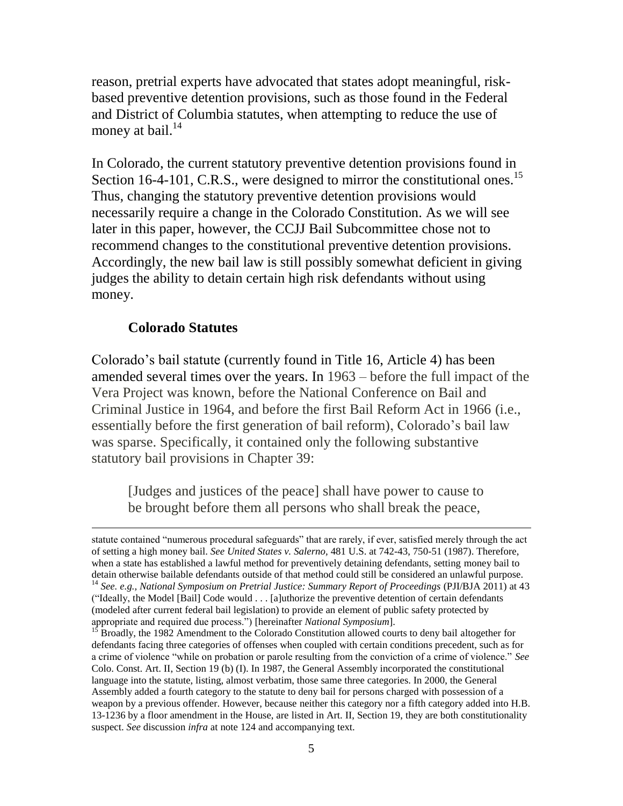reason, pretrial experts have advocated that states adopt meaningful, riskbased preventive detention provisions, such as those found in the Federal and District of Columbia statutes, when attempting to reduce the use of money at bail. $^{14}$ 

In Colorado, the current statutory preventive detention provisions found in Section 16-4-101, C.R.S., were designed to mirror the constitutional ones.<sup>15</sup> Thus, changing the statutory preventive detention provisions would necessarily require a change in the Colorado Constitution. As we will see later in this paper, however, the CCJJ Bail Subcommittee chose not to recommend changes to the constitutional preventive detention provisions. Accordingly, the new bail law is still possibly somewhat deficient in giving judges the ability to detain certain high risk defendants without using money.

# **Colorado Statutes**

 $\overline{a}$ 

Colorado's bail statute (currently found in Title 16, Article 4) has been amended several times over the years. In 1963 – before the full impact of the Vera Project was known, before the National Conference on Bail and Criminal Justice in 1964, and before the first Bail Reform Act in 1966 (i.e., essentially before the first generation of bail reform), Colorado's bail law was sparse. Specifically, it contained only the following substantive statutory bail provisions in Chapter 39:

[Judges and justices of the peace] shall have power to cause to be brought before them all persons who shall break the peace,

statute contained "numerous procedural safeguards" that are rarely, if ever, satisfied merely through the act of setting a high money bail. *See United States v. Salerno,* 481 U.S. at 742-43, 750-51 (1987). Therefore, when a state has established a lawful method for preventively detaining defendants, setting money bail to detain otherwise bailable defendants outside of that method could still be considered an unlawful purpose. <sup>14</sup> See. e.g., National Symposium on Pretrial Justice: Summary Report of Proceedings (PJI/BJA 2011) at 43 ("Ideally, the Model [Bail] Code would . . . [a]uthorize the preventive detention of certain defendants (modeled after current federal bail legislation) to provide an element of public safety protected by appropriate and required due process.") [hereinafter *National Symposium*].

<sup>&</sup>lt;sup>15</sup> Broadly, the 1982 Amendment to the Colorado Constitution allowed courts to deny bail altogether for defendants facing three categories of offenses when coupled with certain conditions precedent, such as for a crime of violence "while on probation or parole resulting from the conviction of a crime of violence." *See*  Colo. Const. Art. II, Section 19 (b) (I). In 1987, the General Assembly incorporated the constitutional language into the statute, listing, almost verbatim, those same three categories. In 2000, the General Assembly added a fourth category to the statute to deny bail for persons charged with possession of a weapon by a previous offender. However, because neither this category nor a fifth category added into H.B. 13-1236 by a floor amendment in the House, are listed in Art. II, Section 19, they are both constitutionality suspect. *See* discussion *infra* at note 124 and accompanying text.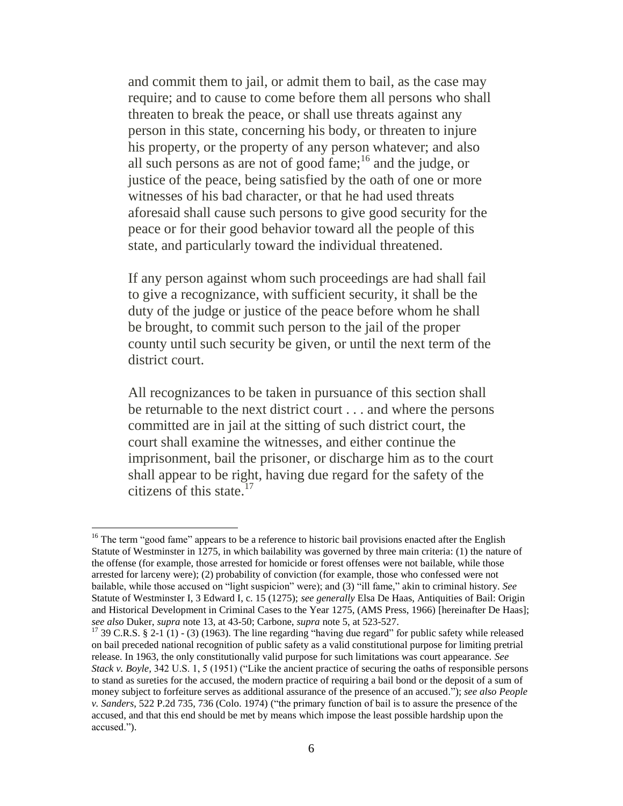and commit them to jail, or admit them to bail, as the case may require; and to cause to come before them all persons who shall threaten to break the peace, or shall use threats against any person in this state, concerning his body, or threaten to injure his property, or the property of any person whatever; and also all such persons as are not of good fame; $^{16}$  and the judge, or justice of the peace, being satisfied by the oath of one or more witnesses of his bad character, or that he had used threats aforesaid shall cause such persons to give good security for the peace or for their good behavior toward all the people of this state, and particularly toward the individual threatened.

If any person against whom such proceedings are had shall fail to give a recognizance, with sufficient security, it shall be the duty of the judge or justice of the peace before whom he shall be brought, to commit such person to the jail of the proper county until such security be given, or until the next term of the district court.

All recognizances to be taken in pursuance of this section shall be returnable to the next district court . . . and where the persons committed are in jail at the sitting of such district court, the court shall examine the witnesses, and either continue the imprisonment, bail the prisoner, or discharge him as to the court shall appear to be right, having due regard for the safety of the citizens of this state.<sup>17</sup>

<sup>&</sup>lt;sup>16</sup> The term "good fame" appears to be a reference to historic bail provisions enacted after the English Statute of Westminster in 1275, in which bailability was governed by three main criteria: (1) the nature of the offense (for example, those arrested for homicide or forest offenses were not bailable, while those arrested for larceny were); (2) probability of conviction (for example, those who confessed were not bailable, while those accused on "light suspicion" were); and (3) "ill fame," akin to criminal history. *See*  Statute of Westminster I, 3 Edward I, c. 15 (1275); *see generally* Elsa De Haas, Antiquities of Bail: Origin and Historical Development in Criminal Cases to the Year 1275, (AMS Press, 1966) [hereinafter De Haas]; *see also* Duker, *supra* note 13, at 43-50; Carbone, *supra* note 5, at 523-527.

<sup>&</sup>lt;sup>17</sup> 39 C.R.S. § 2-1 (1) - (3) (1963). The line regarding "having due regard" for public safety while released on bail preceded national recognition of public safety as a valid constitutional purpose for limiting pretrial release. In 1963, the only constitutionally valid purpose for such limitations was court appearance. *See Stack v. Boyle,* 342 U.S. 1, 5 (1951) ("Like the ancient practice of securing the oaths of responsible persons to stand as sureties for the accused, the modern practice of requiring a bail bond or the deposit of a sum of money subject to forfeiture serves as additional assurance of the presence of an accused."); *see also People v. Sanders*, 522 P.2d 735, 736 (Colo. 1974) ("the primary function of bail is to assure the presence of the accused, and that this end should be met by means which impose the least possible hardship upon the accused.").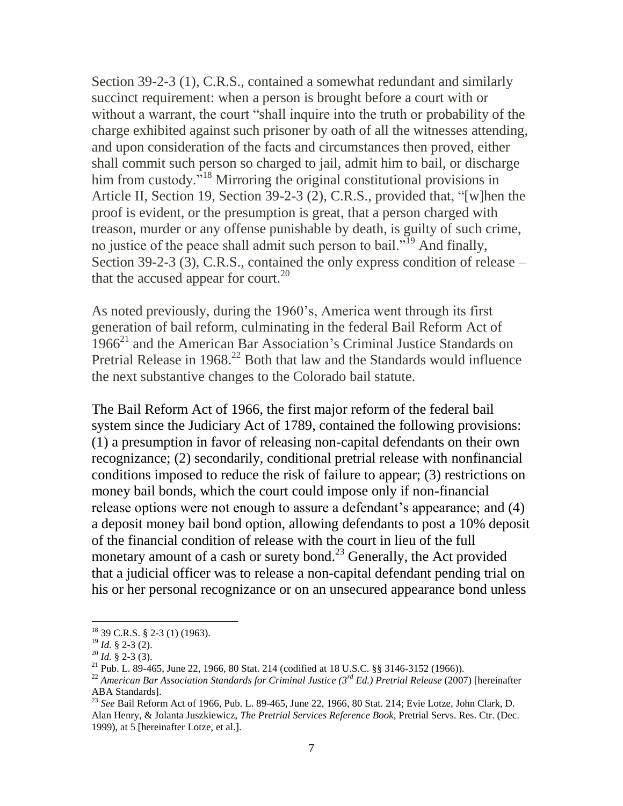Section 39-2-3 (1), C.R.S., contained a somewhat redundant and similarly succinct requirement: when a person is brought before a court with or without a warrant, the court "shall inquire into the truth or probability of the charge exhibited against such prisoner by oath of all the witnesses attending, and upon consideration of the facts and circumstances then proved, either shall commit such person so charged to jail, admit him to bail, or discharge him from custody."<sup>18</sup> Mirroring the original constitutional provisions in Article II, Section 19, Section 39-2-3 (2), C.R.S., provided that, "[w]hen the proof is evident, or the presumption is great, that a person charged with treason, murder or any offense punishable by death, is guilty of such crime, no justice of the peace shall admit such person to bail."<sup>19</sup> And finally, Section 39-2-3 (3), C.R.S., contained the only express condition of release – that the accused appear for court.<sup>20</sup>

As noted previously, during the 1960's, America went through its first generation of bail reform, culminating in the federal Bail Reform Act of  $1966<sup>21</sup>$  and the American Bar Association's Criminal Justice Standards on Pretrial Release in  $1968<sup>22</sup>$  Both that law and the Standards would influence the next substantive changes to the Colorado bail statute.

The Bail Reform Act of 1966, the first major reform of the federal bail system since the Judiciary Act of 1789, contained the following provisions: (1) a presumption in favor of releasing non-capital defendants on their own recognizance; (2) secondarily, conditional pretrial release with nonfinancial conditions imposed to reduce the risk of failure to appear; (3) restrictions on money bail bonds, which the court could impose only if non-financial release options were not enough to assure a defendant's appearance; and (4) a deposit money bail bond option, allowing defendants to post a 10% deposit of the financial condition of release with the court in lieu of the full monetary amount of a cash or surety bond.<sup>23</sup> Generally, the Act provided that a judicial officer was to release a non-capital defendant pending trial on his or her personal recognizance or on an unsecured appearance bond unless

<sup>18</sup> 39 C.R.S. § 2-3 (1) (1963).

<sup>19</sup> *Id.* § 2-3 (2).

<sup>20</sup> *Id.* § 2-3 (3).

<sup>&</sup>lt;sup>21</sup> Pub. L. 89-465, June 22, 1966, 80 Stat. 214 (codified at 18 U.S.C. §§ 3146-3152 (1966)).

<sup>22</sup> *American Bar Association Standards for Criminal Justice (3rd Ed.) Pretrial Release* (2007) [hereinafter ABA Standards].

<sup>23</sup> *See* Bail Reform Act of 1966, Pub. L. 89-465, June 22, 1966, 80 Stat. 214; Evie Lotze, John Clark, D. Alan Henry, & Jolanta Juszkiewicz, *The Pretrial Services Reference Book,* Pretrial Servs. Res. Ctr. (Dec. 1999), at 5 [hereinafter Lotze, et al.].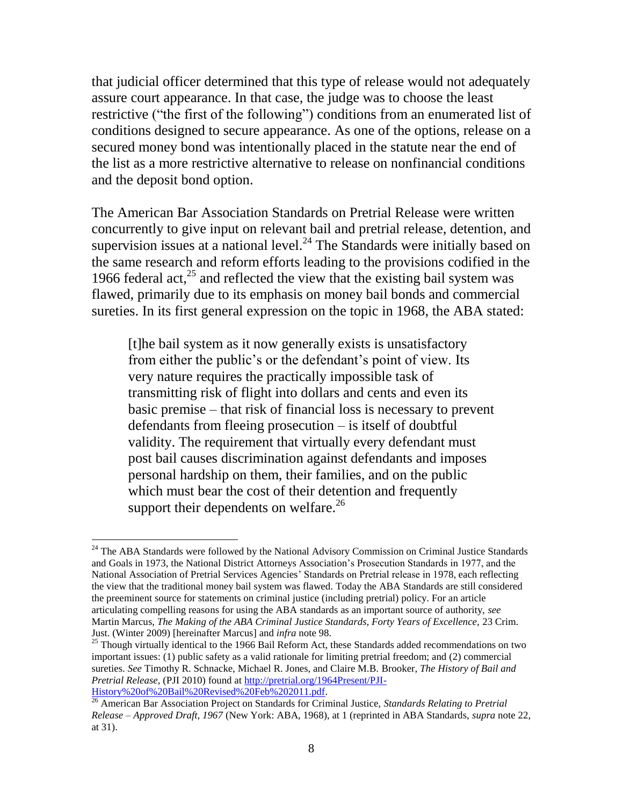that judicial officer determined that this type of release would not adequately assure court appearance. In that case, the judge was to choose the least restrictive ("the first of the following") conditions from an enumerated list of conditions designed to secure appearance. As one of the options, release on a secured money bond was intentionally placed in the statute near the end of the list as a more restrictive alternative to release on nonfinancial conditions and the deposit bond option.

The American Bar Association Standards on Pretrial Release were written concurrently to give input on relevant bail and pretrial release, detention, and supervision issues at a national level. $^{24}$  The Standards were initially based on the same research and reform efforts leading to the provisions codified in the 1966 federal act, $^{25}$  and reflected the view that the existing bail system was flawed, primarily due to its emphasis on money bail bonds and commercial sureties. In its first general expression on the topic in 1968, the ABA stated:

[t]he bail system as it now generally exists is unsatisfactory from either the public's or the defendant's point of view. Its very nature requires the practically impossible task of transmitting risk of flight into dollars and cents and even its basic premise – that risk of financial loss is necessary to prevent defendants from fleeing prosecution – is itself of doubtful validity. The requirement that virtually every defendant must post bail causes discrimination against defendants and imposes personal hardship on them, their families, and on the public which must bear the cost of their detention and frequently support their dependents on welfare. $^{26}$ 

<sup>&</sup>lt;sup>24</sup> The ABA Standards were followed by the National Advisory Commission on Criminal Justice Standards and Goals in 1973, the National District Attorneys Association's Prosecution Standards in 1977, and the National Association of Pretrial Services Agencies' Standards on Pretrial release in 1978, each reflecting the view that the traditional money bail system was flawed. Today the ABA Standards are still considered the preeminent source for statements on criminal justice (including pretrial) policy. For an article articulating compelling reasons for using the ABA standards as an important source of authority, *see*  Martin Marcus, *The Making of the ABA Criminal Justice Standards, Forty Years of Excellence,* 23 Crim. Just. (Winter 2009) [hereinafter Marcus] and *infra* note 98.

<sup>&</sup>lt;sup>25</sup> Though virtually identical to the 1966 Bail Reform Act, these Standards added recommendations on two important issues: (1) public safety as a valid rationale for limiting pretrial freedom; and (2) commercial sureties. *See* Timothy R. Schnacke, Michael R. Jones, and Claire M.B. Brooker, *The History of Bail and Pretrial Release,* (PJI 2010) found at [http://pretrial.org/1964Present/PJI-](http://pretrial.org/1964Present/PJI-History%20of%20Bail%20Revised%20Feb%202011.pdf)[History%20of%20Bail%20Revised%20Feb%202011.pdf.](http://pretrial.org/1964Present/PJI-History%20of%20Bail%20Revised%20Feb%202011.pdf)

<sup>26</sup> American Bar Association Project on Standards for Criminal Justice, *Standards Relating to Pretrial Release – Approved Draft, 1967* (New York: ABA, 1968), at 1 (reprinted in ABA Standards, *supra* note 22, at 31).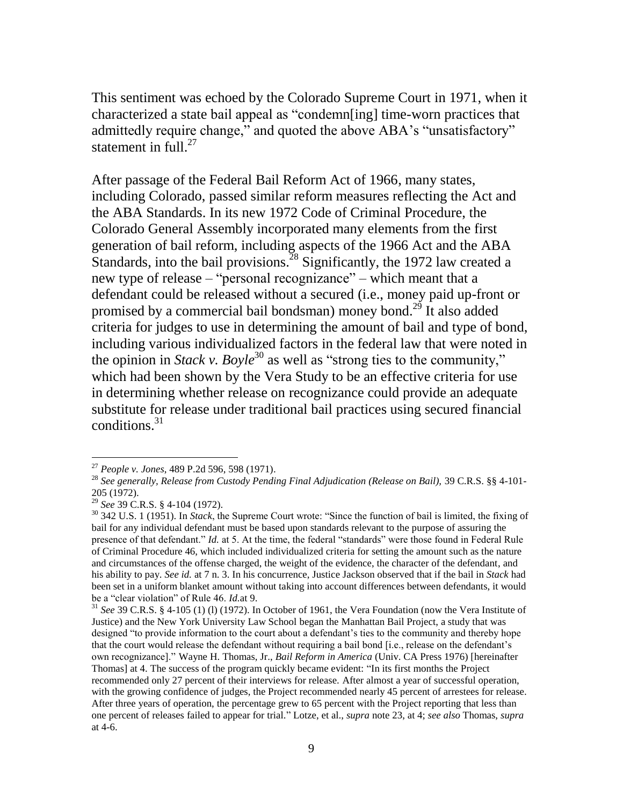This sentiment was echoed by the Colorado Supreme Court in 1971, when it characterized a state bail appeal as "condemn[ing] time-worn practices that admittedly require change," and quoted the above ABA's "unsatisfactory" statement in full. $27$ 

After passage of the Federal Bail Reform Act of 1966, many states, including Colorado, passed similar reform measures reflecting the Act and the ABA Standards. In its new 1972 Code of Criminal Procedure, the Colorado General Assembly incorporated many elements from the first generation of bail reform, including aspects of the 1966 Act and the ABA Standards, into the bail provisions.<sup>28</sup> Significantly, the 1972 law created a new type of release – "personal recognizance" – which meant that a defendant could be released without a secured (i.e., money paid up-front or promised by a commercial bail bondsman) money bond.<sup>29</sup> It also added criteria for judges to use in determining the amount of bail and type of bond, including various individualized factors in the federal law that were noted in the opinion in *Stack v. Boyle*<sup>30</sup> as well as "strong ties to the community," which had been shown by the Vera Study to be an effective criteria for use in determining whether release on recognizance could provide an adequate substitute for release under traditional bail practices using secured financial conditions.<sup>31</sup>

<sup>27</sup> *People v. Jones*, 489 P.2d 596, 598 (1971).

<sup>28</sup> *See generally, Release from Custody Pending Final Adjudication (Release on Bail),* 39 C.R.S. §§ 4-101- 205 (1972).

<sup>29</sup> *See* 39 C.R.S. § 4-104 (1972).

<sup>30</sup> 342 U.S. 1 (1951). In *Stack*, the Supreme Court wrote: "Since the function of bail is limited, the fixing of bail for any individual defendant must be based upon standards relevant to the purpose of assuring the presence of that defendant." *Id.* at 5. At the time, the federal "standards" were those found in Federal Rule of Criminal Procedure 46, which included individualized criteria for setting the amount such as the nature and circumstances of the offense charged, the weight of the evidence, the character of the defendant, and his ability to pay. *See id.* at 7 n. 3. In his concurrence, Justice Jackson observed that if the bail in *Stack* had been set in a uniform blanket amount without taking into account differences between defendants, it would be a "clear violation" of Rule 46. *Id.*at 9.

<sup>31</sup> *See* 39 C.R.S. § 4-105 (1) (l) (1972). In October of 1961, the Vera Foundation (now the Vera Institute of Justice) and the New York University Law School began the Manhattan Bail Project, a study that was designed "to provide information to the court about a defendant's ties to the community and thereby hope that the court would release the defendant without requiring a bail bond [i.e., release on the defendant's own recognizance]." Wayne H. Thomas, Jr., *Bail Reform in America* (Univ. CA Press 1976) [hereinafter Thomas] at 4. The success of the program quickly became evident: "In its first months the Project recommended only 27 percent of their interviews for release. After almost a year of successful operation, with the growing confidence of judges, the Project recommended nearly 45 percent of arrestees for release. After three years of operation, the percentage grew to 65 percent with the Project reporting that less than one percent of releases failed to appear for trial." Lotze, et al., *supra* note 23, at 4; *see also* Thomas, *supra*  at 4-6.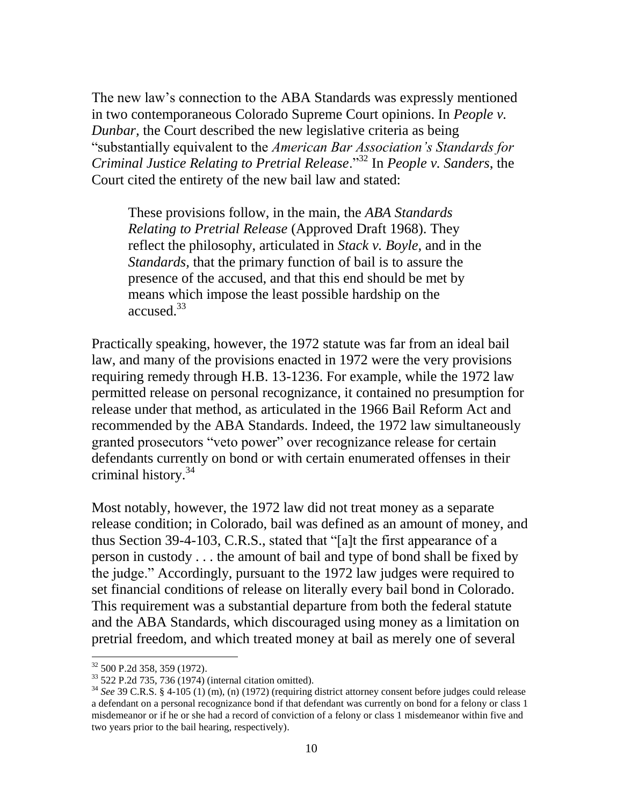The new law's connection to the ABA Standards was expressly mentioned in two contemporaneous Colorado Supreme Court opinions. In *People v. Dunbar,* the Court described the new legislative criteria as being "substantially equivalent to the *American Bar Association's Standards for Criminal Justice Relating to Pretrial Release*."<sup>32</sup> In *People v. Sanders*, the Court cited the entirety of the new bail law and stated:

These provisions follow, in the main, the *ABA Standards Relating to Pretrial Release* (Approved Draft 1968). They reflect the philosophy, articulated in *Stack v. Boyle,* and in the *Standards,* that the primary function of bail is to assure the presence of the accused, and that this end should be met by means which impose the least possible hardship on the accused.<sup>33</sup>

Practically speaking, however, the 1972 statute was far from an ideal bail law, and many of the provisions enacted in 1972 were the very provisions requiring remedy through H.B. 13-1236. For example, while the 1972 law permitted release on personal recognizance, it contained no presumption for release under that method, as articulated in the 1966 Bail Reform Act and recommended by the ABA Standards. Indeed, the 1972 law simultaneously granted prosecutors "veto power" over recognizance release for certain defendants currently on bond or with certain enumerated offenses in their criminal history.<sup>34</sup>

Most notably, however, the 1972 law did not treat money as a separate release condition; in Colorado, bail was defined as an amount of money, and thus Section 39-4-103, C.R.S., stated that "[a]t the first appearance of a person in custody . . . the amount of bail and type of bond shall be fixed by the judge." Accordingly, pursuant to the 1972 law judges were required to set financial conditions of release on literally every bail bond in Colorado. This requirement was a substantial departure from both the federal statute and the ABA Standards, which discouraged using money as a limitation on pretrial freedom, and which treated money at bail as merely one of several

<sup>32</sup> 500 P.2d 358, 359 (1972).

 $33$  522 P.2d 735, 736 (1974) (internal citation omitted).

<sup>34</sup> *See* 39 C.R.S. § 4-105 (1) (m), (n) (1972) (requiring district attorney consent before judges could release a defendant on a personal recognizance bond if that defendant was currently on bond for a felony or class 1 misdemeanor or if he or she had a record of conviction of a felony or class 1 misdemeanor within five and two years prior to the bail hearing, respectively).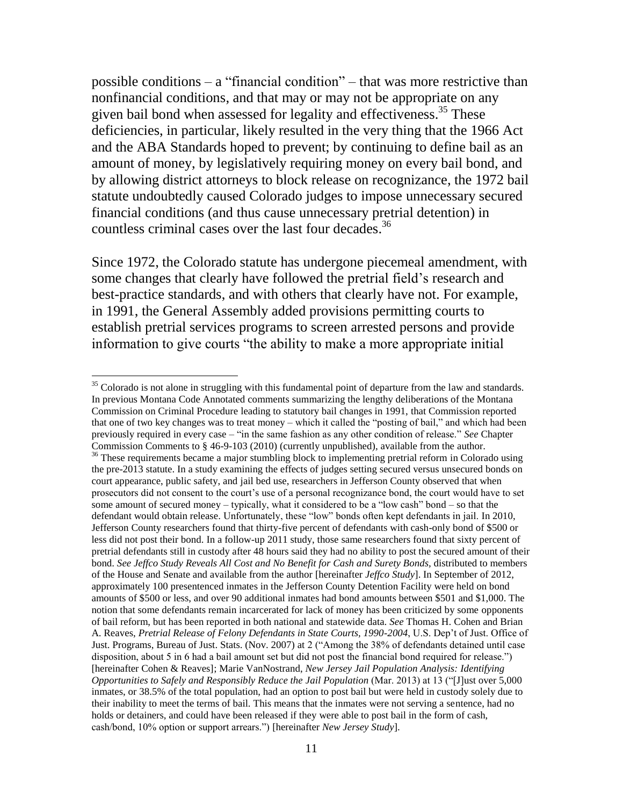possible conditions – a "financial condition" – that was more restrictive than nonfinancial conditions, and that may or may not be appropriate on any given bail bond when assessed for legality and effectiveness.<sup>35</sup> These deficiencies, in particular, likely resulted in the very thing that the 1966 Act and the ABA Standards hoped to prevent; by continuing to define bail as an amount of money, by legislatively requiring money on every bail bond, and by allowing district attorneys to block release on recognizance, the 1972 bail statute undoubtedly caused Colorado judges to impose unnecessary secured financial conditions (and thus cause unnecessary pretrial detention) in countless criminal cases over the last four decades. 36

Since 1972, the Colorado statute has undergone piecemeal amendment, with some changes that clearly have followed the pretrial field's research and best-practice standards, and with others that clearly have not. For example, in 1991, the General Assembly added provisions permitting courts to establish pretrial services programs to screen arrested persons and provide information to give courts "the ability to make a more appropriate initial

 $35$  Colorado is not alone in struggling with this fundamental point of departure from the law and standards. In previous Montana Code Annotated comments summarizing the lengthy deliberations of the Montana Commission on Criminal Procedure leading to statutory bail changes in 1991, that Commission reported that one of two key changes was to treat money – which it called the "posting of bail," and which had been previously required in every case – "in the same fashion as any other condition of release." *See* Chapter Commission Comments to § 46-9-103 (2010) (currently unpublished), available from the author.

<sup>&</sup>lt;sup>36</sup> These requirements became a major stumbling block to implementing pretrial reform in Colorado using the pre-2013 statute. In a study examining the effects of judges setting secured versus unsecured bonds on court appearance, public safety, and jail bed use, researchers in Jefferson County observed that when prosecutors did not consent to the court's use of a personal recognizance bond, the court would have to set some amount of secured money – typically, what it considered to be a "low cash" bond – so that the defendant would obtain release. Unfortunately, these "low" bonds often kept defendants in jail. In 2010, Jefferson County researchers found that thirty-five percent of defendants with cash-only bond of \$500 or less did not post their bond. In a follow-up 2011 study, those same researchers found that sixty percent of pretrial defendants still in custody after 48 hours said they had no ability to post the secured amount of their bond. See Jeffco Study Reveals All Cost and No Benefit for Cash and Surety Bonds, distributed to members of the House and Senate and available from the author [hereinafter *Jeffco Study*]. In September of 2012, approximately 100 presentenced inmates in the Jefferson County Detention Facility were held on bond amounts of \$500 or less, and over 90 additional inmates had bond amounts between \$501 and \$1,000. The notion that some defendants remain incarcerated for lack of money has been criticized by some opponents of bail reform, but has been reported in both national and statewide data. *See* Thomas H. Cohen and Brian A. Reaves, *Pretrial Release of Felony Defendants in State Courts, 1990-2004*, U.S. Dep't of Just. Office of Just. Programs, Bureau of Just. Stats. (Nov. 2007) at 2 ("Among the 38% of defendants detained until case disposition, about 5 in 6 had a bail amount set but did not post the financial bond required for release.") [hereinafter Cohen & Reaves]; Marie VanNostrand, *New Jersey Jail Population Analysis: Identifying Opportunities to Safely and Responsibly Reduce the Jail Population* (Mar. 2013) at 13 ("[J]ust over 5,000 inmates, or 38.5% of the total population, had an option to post bail but were held in custody solely due to their inability to meet the terms of bail. This means that the inmates were not serving a sentence, had no holds or detainers, and could have been released if they were able to post bail in the form of cash, cash/bond, 10% option or support arrears.") [hereinafter *New Jersey Study*].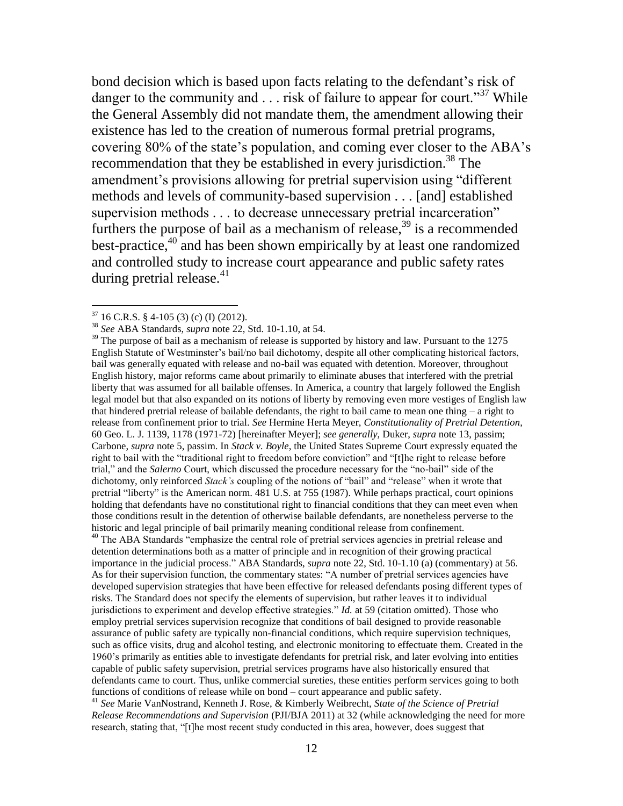bond decision which is based upon facts relating to the defendant's risk of danger to the community and  $\ldots$  risk of failure to appear for court."<sup>37</sup> While the General Assembly did not mandate them, the amendment allowing their existence has led to the creation of numerous formal pretrial programs, covering 80% of the state's population, and coming ever closer to the ABA's recommendation that they be established in every jurisdiction.<sup>38</sup> The amendment's provisions allowing for pretrial supervision using "different methods and levels of community-based supervision . . . [and] established supervision methods . . . to decrease unnecessary pretrial incarceration" furthers the purpose of bail as a mechanism of release,  $39$  is a recommended best-practice, $40$  and has been shown empirically by at least one randomized and controlled study to increase court appearance and public safety rates during pretrial release. $41$ 

 $\overline{a}$ 

<sup>40</sup> The ABA Standards "emphasize the central role of pretrial services agencies in pretrial release and detention determinations both as a matter of principle and in recognition of their growing practical importance in the judicial process." ABA Standards, *supra* note 22, Std. 10-1.10 (a) (commentary) at 56. As for their supervision function, the commentary states: "A number of pretrial services agencies have developed supervision strategies that have been effective for released defendants posing different types of risks. The Standard does not specify the elements of supervision, but rather leaves it to individual jurisdictions to experiment and develop effective strategies." *Id.* at 59 (citation omitted). Those who employ pretrial services supervision recognize that conditions of bail designed to provide reasonable assurance of public safety are typically non-financial conditions, which require supervision techniques, such as office visits, drug and alcohol testing, and electronic monitoring to effectuate them. Created in the 1960's primarily as entities able to investigate defendants for pretrial risk, and later evolving into entities capable of public safety supervision, pretrial services programs have also historically ensured that defendants came to court. Thus, unlike commercial sureties, these entities perform services going to both functions of conditions of release while on bond – court appearance and public safety.

<sup>41</sup> *See* Marie VanNostrand, Kenneth J. Rose, & Kimberly Weibrecht, *State of the Science of Pretrial Release Recommendations and Supervision* (PJI/BJA 2011) at 32 (while acknowledging the need for more research, stating that, "[t]he most recent study conducted in this area, however, does suggest that

 $37$  16 C.R.S. § 4-105 (3) (c) (I) (2012).

<sup>38</sup> *See* ABA Standards, *supra* note 22, Std. 10-1.10, at 54.

 $39$  The purpose of bail as a mechanism of release is supported by history and law. Pursuant to the 1275 English Statute of Westminster's bail/no bail dichotomy, despite all other complicating historical factors, bail was generally equated with release and no-bail was equated with detention. Moreover, throughout English history, major reforms came about primarily to eliminate abuses that interfered with the pretrial liberty that was assumed for all bailable offenses. In America, a country that largely followed the English legal model but that also expanded on its notions of liberty by removing even more vestiges of English law that hindered pretrial release of bailable defendants, the right to bail came to mean one thing  $-$  a right to release from confinement prior to trial. *See* Hermine Herta Meyer, *Constitutionality of Pretrial Detention,*  60 Geo. L. J. 1139, 1178 (1971-72) [hereinafter Meyer]; *see generally,* Duker, *supra* note 13, passim; Carbone, *supra* note 5, passim. In *Stack v. Boyle*, the United States Supreme Court expressly equated the right to bail with the "traditional right to freedom before conviction" and "[t]he right to release before trial," and the *Salerno* Court, which discussed the procedure necessary for the "no-bail" side of the dichotomy, only reinforced *Stack's* coupling of the notions of "bail" and "release" when it wrote that pretrial "liberty" is the American norm. 481 U.S. at 755 (1987). While perhaps practical, court opinions holding that defendants have no constitutional right to financial conditions that they can meet even when those conditions result in the detention of otherwise bailable defendants, are nonetheless perverse to the historic and legal principle of bail primarily meaning conditional release from confinement.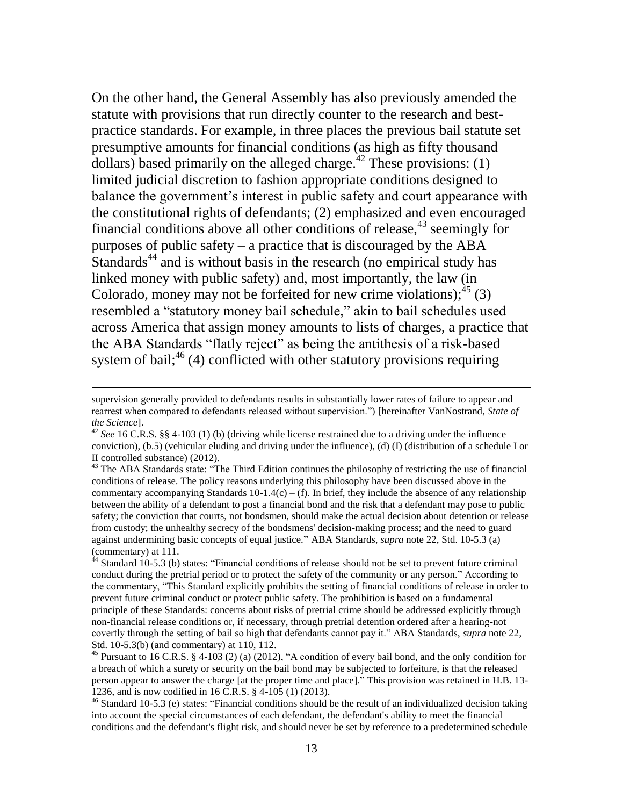On the other hand, the General Assembly has also previously amended the statute with provisions that run directly counter to the research and bestpractice standards. For example, in three places the previous bail statute set presumptive amounts for financial conditions (as high as fifty thousand dollars) based primarily on the alleged charge.<sup> $42$ </sup> These provisions: (1) limited judicial discretion to fashion appropriate conditions designed to balance the government's interest in public safety and court appearance with the constitutional rights of defendants; (2) emphasized and even encouraged financial conditions above all other conditions of release,  $43$  seemingly for purposes of public safety – a practice that is discouraged by the ABA Standards<sup>44</sup> and is without basis in the research (no empirical study has linked money with public safety) and, most importantly, the law (in Colorado, money may not be forfeited for new crime violations);  $^{45}$  (3) resembled a "statutory money bail schedule," akin to bail schedules used across America that assign money amounts to lists of charges, a practice that the ABA Standards "flatly reject" as being the antithesis of a risk-based system of bail; $46$  (4) conflicted with other statutory provisions requiring

supervision generally provided to defendants results in substantially lower rates of failure to appear and rearrest when compared to defendants released without supervision.") [hereinafter VanNostrand, *State of the Science*].

<sup>42</sup> *See* 16 C.R.S. §§ 4-103 (1) (b) (driving while license restrained due to a driving under the influence conviction), (b.5) (vehicular eluding and driving under the influence), (d) (I) (distribution of a schedule I or II controlled substance) (2012).

<sup>&</sup>lt;sup>43</sup> The ABA Standards state: "The Third Edition continues the philosophy of restricting the use of financial conditions of release. The policy reasons underlying this philosophy have been discussed above in the commentary accompanying Standards 10-1.4(c) – (f)*.* In brief, they include the absence of any relationship between the ability of a defendant to post a financial bond and the risk that a defendant may pose to public safety; the conviction that courts, not bondsmen, should make the actual decision about detention or release from custody; the unhealthy secrecy of the bondsmens' decision-making process; and the need to guard against undermining basic concepts of equal justice." ABA Standards, *supra* note 22, Std. 10-5.3 (a) (commentary) at 111.

 $44$  Standard 10-5.3 (b) states: "Financial conditions of release should not be set to prevent future criminal conduct during the pretrial period or to protect the safety of the community or any person." According to the commentary, "This Standard explicitly prohibits the setting of financial conditions of release in order to prevent future criminal conduct or protect public safety. The prohibition is based on a fundamental principle of these Standards: concerns about risks of pretrial crime should be addressed explicitly through non-financial release conditions or, if necessary, through pretrial detention ordered after a hearing-not covertly through the setting of bail so high that defendants cannot pay it." ABA Standards, *supra* note 22, Std. 10-5.3(b) (and commentary) at 110, 112.

<sup>&</sup>lt;sup>45</sup> Pursuant to 16 C.R.S. § 4-103 (2) (a) (2012), "A condition of every bail bond, and the only condition for a breach of which a surety or security on the bail bond may be subjected to forfeiture, is that the released person appear to answer the charge [at the proper time and place]." This provision was retained in H.B. 13- 1236, and is now codified in 16 C.R.S. § 4-105 (1) (2013).

<sup>&</sup>lt;sup>46</sup> Standard 10-5.3 (e) states: "Financial conditions should be the result of an individualized decision taking into account the special circumstances of each defendant, the defendant's ability to meet the financial conditions and the defendant's flight risk, and should never be set by reference to a predetermined schedule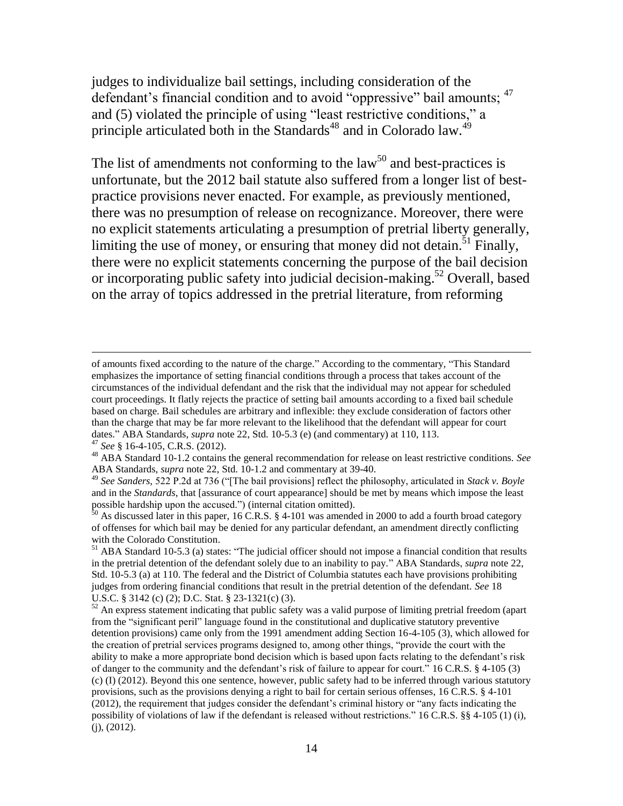judges to individualize bail settings, including consideration of the defendant's financial condition and to avoid "oppressive" bail amounts; <sup>47</sup> and (5) violated the principle of using "least restrictive conditions," a principle articulated both in the Standards<sup>48</sup> and in Colorado law.<sup>49</sup>

The list of amendments not conforming to the law<sup>50</sup> and best-practices is unfortunate, but the 2012 bail statute also suffered from a longer list of bestpractice provisions never enacted. For example, as previously mentioned, there was no presumption of release on recognizance. Moreover, there were no explicit statements articulating a presumption of pretrial liberty generally, limiting the use of money, or ensuring that money did not detain.<sup>51</sup> Finally, there were no explicit statements concerning the purpose of the bail decision or incorporating public safety into judicial decision-making. <sup>52</sup> Overall, based on the array of topics addressed in the pretrial literature, from reforming

of amounts fixed according to the nature of the charge." According to the commentary, "This Standard emphasizes the importance of setting financial conditions through a process that takes account of the circumstances of the individual defendant and the risk that the individual may not appear for scheduled court proceedings. It flatly rejects the practice of setting bail amounts according to a fixed bail schedule based on charge. Bail schedules are arbitrary and inflexible: they exclude consideration of factors other than the charge that may be far more relevant to the likelihood that the defendant will appear for court dates." ABA Standards, *supra* note 22, Std. 10-5.3 (e) (and commentary) at 110, 113.

<sup>47</sup> *See* § 16-4-105, C.R.S. (2012).

<sup>48</sup> ABA Standard 10-1.2 contains the general recommendation for release on least restrictive conditions. *See*  ABA Standards, *supra* note 22, Std. 10-1.2 and commentary at 39-40.

<sup>49</sup> *See Sanders,* 522 P.2d at 736 ("[The bail provisions] reflect the philosophy, articulated in *Stack v. Boyle* and in the *Standards*, that [assurance of court appearance] should be met by means which impose the least possible hardship upon the accused.") (internal citation omitted).

 $50$  As discussed later in this paper, 16 C.R.S. § 4-101 was amended in 2000 to add a fourth broad category of offenses for which bail may be denied for any particular defendant, an amendment directly conflicting with the Colorado Constitution.

<sup>51</sup> ABA Standard 10-5.3 (a) states: "The judicial officer should not impose a financial condition that results in the pretrial detention of the defendant solely due to an inability to pay." ABA Standards, *supra* note 22, Std. 10-5.3 (a) at 110. The federal and the District of Columbia statutes each have provisions prohibiting judges from ordering financial conditions that result in the pretrial detention of the defendant. *See* 18 U.S.C. § 3142 (c) (2); D.C. Stat. § 23-1321(c) (3).

<sup>&</sup>lt;sup>52</sup> An express statement indicating that public safety was a valid purpose of limiting pretrial freedom (apart from the "significant peril" language found in the constitutional and duplicative statutory preventive detention provisions) came only from the 1991 amendment adding Section 16-4-105 (3), which allowed for the creation of pretrial services programs designed to, among other things, "provide the court with the ability to make a more appropriate bond decision which is based upon facts relating to the defendant's risk of danger to the community and the defendant's risk of failure to appear for court." 16 C.R.S. § 4-105 (3) (c) (I) (2012). Beyond this one sentence, however, public safety had to be inferred through various statutory provisions, such as the provisions denying a right to bail for certain serious offenses, 16 C.R.S. § 4-101 (2012), the requirement that judges consider the defendant's criminal history or "any facts indicating the possibility of violations of law if the defendant is released without restrictions." 16 C.R.S. §§ 4-105 (1) (i), (j), (2012).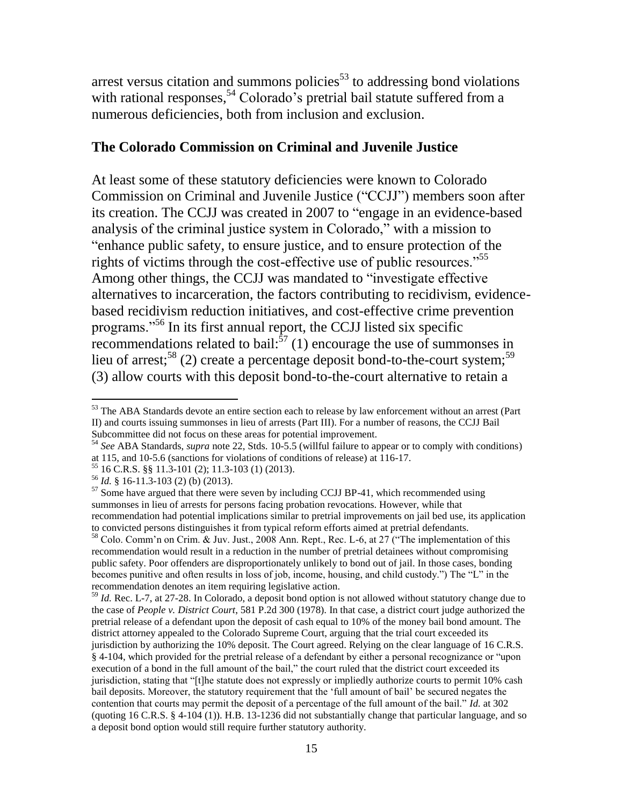arrest versus citation and summons policies $5<sup>3</sup>$  to addressing bond violations with rational responses,  $54$  Colorado's pretrial bail statute suffered from a numerous deficiencies, both from inclusion and exclusion.

#### **The Colorado Commission on Criminal and Juvenile Justice**

At least some of these statutory deficiencies were known to Colorado Commission on Criminal and Juvenile Justice ("CCJJ") members soon after its creation. The CCJJ was created in 2007 to "engage in an evidence-based analysis of the criminal justice system in Colorado," with a mission to "enhance public safety, to ensure justice, and to ensure protection of the rights of victims through the cost-effective use of public resources."<sup>55</sup> Among other things, the CCJJ was mandated to "investigate effective alternatives to incarceration, the factors contributing to recidivism, evidencebased recidivism reduction initiatives, and cost-effective crime prevention programs."<sup>56</sup> In its first annual report, the CCJJ listed six specific recommendations related to bail: $^{57}$  (1) encourage the use of summonses in lieu of arrest;<sup>58</sup> (2) create a percentage deposit bond-to-the-court system;<sup>59</sup> (3) allow courts with this deposit bond-to-the-court alternative to retain a

 $53$  The ABA Standards devote an entire section each to release by law enforcement without an arrest (Part II) and courts issuing summonses in lieu of arrests (Part III). For a number of reasons, the CCJJ Bail Subcommittee did not focus on these areas for potential improvement.

<sup>54</sup> *See* ABA Standards, *supra* note 22, Stds. 10-5.5 (willful failure to appear or to comply with conditions) at 115, and 10-5.6 (sanctions for violations of conditions of release) at 116-17.

<sup>55</sup> 16 C.R.S. §§ 11.3-101 (2); 11.3-103 (1) (2013).

<sup>56</sup> *Id.* § 16-11.3-103 (2) (b) (2013).

 $57$  Some have argued that there were seven by including CCJJ BP-41, which recommended using summonses in lieu of arrests for persons facing probation revocations. However, while that recommendation had potential implications similar to pretrial improvements on jail bed use, its application to convicted persons distinguishes it from typical reform efforts aimed at pretrial defendants.

<sup>58</sup> Colo. Comm'n on Crim. & Juv. Just., 2008 Ann. Rept., Rec. L-6, at 27 ("The implementation of this recommendation would result in a reduction in the number of pretrial detainees without compromising public safety. Poor offenders are disproportionately unlikely to bond out of jail. In those cases, bonding becomes punitive and often results in loss of job, income, housing, and child custody.") The "L" in the recommendation denotes an item requiring legislative action.

<sup>59</sup> *Id.* Rec. L-7, at 27-28. In Colorado, a deposit bond option is not allowed without statutory change due to the case of *People v. District Court*, 581 P.2d 300 (1978). In that case, a district court judge authorized the pretrial release of a defendant upon the deposit of cash equal to 10% of the money bail bond amount. The district attorney appealed to the Colorado Supreme Court, arguing that the trial court exceeded its jurisdiction by authorizing the 10% deposit. The Court agreed. Relying on the clear language of 16 C.R.S. § 4-104, which provided for the pretrial release of a defendant by either a personal recognizance or "upon execution of a bond in the full amount of the bail," the court ruled that the district court exceeded its jurisdiction, stating that "[t]he statute does not expressly or impliedly authorize courts to permit 10% cash bail deposits. Moreover, the statutory requirement that the 'full amount of bail' be secured negates the contention that courts may permit the deposit of a percentage of the full amount of the bail." *Id.* at 302 (quoting 16 C.R.S. § 4-104 (1)). H.B. 13-1236 did not substantially change that particular language, and so a deposit bond option would still require further statutory authority.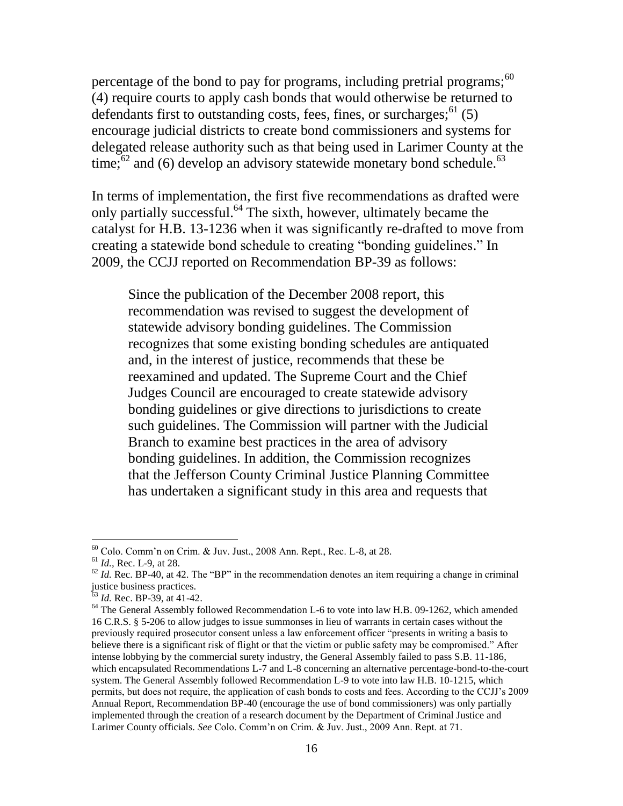percentage of the bond to pay for programs, including pretrial programs;  $60$ (4) require courts to apply cash bonds that would otherwise be returned to defendants first to outstanding costs, fees, fines, or surcharges;  $<sup>61</sup>$  (5)</sup> encourage judicial districts to create bond commissioners and systems for delegated release authority such as that being used in Larimer County at the time; $^{62}$  and (6) develop an advisory statewide monetary bond schedule.<sup>63</sup>

In terms of implementation, the first five recommendations as drafted were only partially successful.<sup>64</sup> The sixth, however, ultimately became the catalyst for H.B. 13-1236 when it was significantly re-drafted to move from creating a statewide bond schedule to creating "bonding guidelines." In 2009, the CCJJ reported on Recommendation BP-39 as follows:

Since the publication of the December 2008 report, this recommendation was revised to suggest the development of statewide advisory bonding guidelines. The Commission recognizes that some existing bonding schedules are antiquated and, in the interest of justice, recommends that these be reexamined and updated. The Supreme Court and the Chief Judges Council are encouraged to create statewide advisory bonding guidelines or give directions to jurisdictions to create such guidelines. The Commission will partner with the Judicial Branch to examine best practices in the area of advisory bonding guidelines. In addition, the Commission recognizes that the Jefferson County Criminal Justice Planning Committee has undertaken a significant study in this area and requests that

 $60$  Colo. Comm'n on Crim. & Juv. Just., 2008 Ann. Rept., Rec. L-8, at 28.

<sup>61</sup> *Id.,* Rec. L-9, at 28.

 $62$  *Id.* Rec. BP-40, at 42. The "BP" in the recommendation denotes an item requiring a change in criminal justice business practices.

<sup>&</sup>lt;sup>63</sup> *Id.* Rec. BP-39, at 41-42.

<sup>&</sup>lt;sup>64</sup> The General Assembly followed Recommendation L-6 to vote into law H.B. 09-1262, which amended 16 C.R.S. § 5-206 to allow judges to issue summonses in lieu of warrants in certain cases without the previously required prosecutor consent unless a law enforcement officer "presents in writing a basis to believe there is a significant risk of flight or that the victim or public safety may be compromised." After intense lobbying by the commercial surety industry, the General Assembly failed to pass S.B. 11-186, which encapsulated Recommendations L-7 and L-8 concerning an alternative percentage-bond-to-the-court system. The General Assembly followed Recommendation L-9 to vote into law H.B. 10-1215, which permits, but does not require, the application of cash bonds to costs and fees. According to the CCJJ's 2009 Annual Report, Recommendation BP-40 (encourage the use of bond commissioners) was only partially implemented through the creation of a research document by the Department of Criminal Justice and Larimer County officials. *See* Colo. Comm'n on Crim. & Juv. Just., 2009 Ann. Rept. at 71.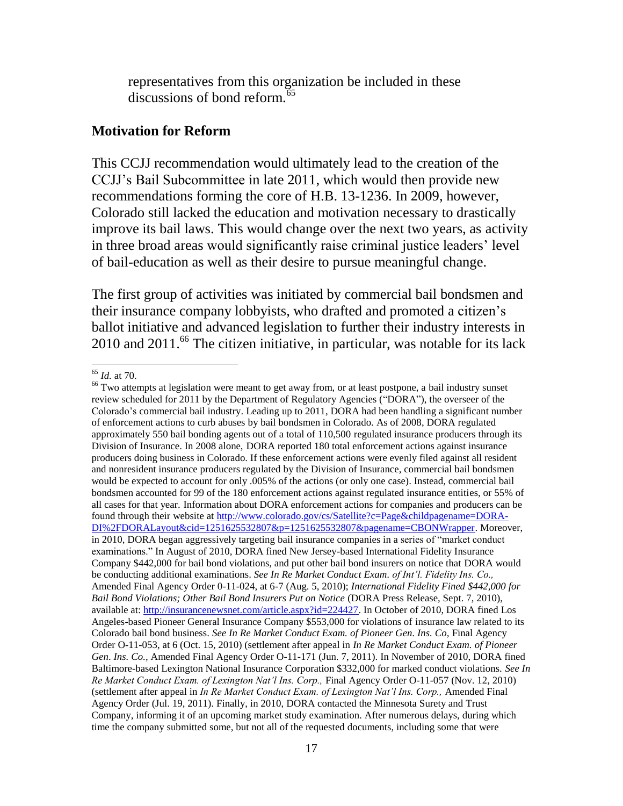representatives from this organization be included in these  $discussions$  of bond reform  $\overline{65}$ 

#### **Motivation for Reform**

This CCJJ recommendation would ultimately lead to the creation of the CCJJ's Bail Subcommittee in late 2011, which would then provide new recommendations forming the core of H.B. 13-1236. In 2009, however, Colorado still lacked the education and motivation necessary to drastically improve its bail laws. This would change over the next two years, as activity in three broad areas would significantly raise criminal justice leaders' level of bail-education as well as their desire to pursue meaningful change.

The first group of activities was initiated by commercial bail bondsmen and their insurance company lobbyists, who drafted and promoted a citizen's ballot initiative and advanced legislation to further their industry interests in 2010 and 2011.<sup>66</sup> The citizen initiative, in particular, was notable for its lack

<sup>65</sup> *Id.* at 70.

<sup>&</sup>lt;sup>66</sup> Two attempts at legislation were meant to get away from, or at least postpone, a bail industry sunset review scheduled for 2011 by the Department of Regulatory Agencies ("DORA"), the overseer of the Colorado's commercial bail industry. Leading up to 2011, DORA had been handling a significant number of enforcement actions to curb abuses by bail bondsmen in Colorado. As of 2008, DORA regulated approximately 550 bail bonding agents out of a total of 110,500 regulated insurance producers through its Division of Insurance. In 2008 alone, DORA reported 180 total enforcement actions against insurance producers doing business in Colorado. If these enforcement actions were evenly filed against all resident and nonresident insurance producers regulated by the Division of Insurance, commercial bail bondsmen would be expected to account for only .005% of the actions (or only one case). Instead, commercial bail bondsmen accounted for 99 of the 180 enforcement actions against regulated insurance entities, or 55% of all cases for that year. Information about DORA enforcement actions for companies and producers can be found through their website at [http://www.colorado.gov/cs/Satellite?c=Page&childpagename=DORA-](http://www.colorado.gov/cs/Satellite?c=Page&childpagename=DORA-DI%2FDORALayout&cid=1251625532807&p=1251625532807&pagename=CBONWrapper)[DI%2FDORALayout&cid=1251625532807&p=1251625532807&pagename=CBONWrapper.](http://www.colorado.gov/cs/Satellite?c=Page&childpagename=DORA-DI%2FDORALayout&cid=1251625532807&p=1251625532807&pagename=CBONWrapper) Moreover, in 2010, DORA began aggressively targeting bail insurance companies in a series of "market conduct examinations." In August of 2010, DORA fined New Jersey-based International Fidelity Insurance Company \$442,000 for bail bond violations, and put other bail bond insurers on notice that DORA would be conducting additional examinations. *See In Re Market Conduct Exam. of Int'l. Fidelity Ins. Co.,*  Amended Final Agency Order 0-11-024, at 6-7 (Aug. 5, 2010); *International Fidelity Fined \$442,000 for Bail Bond Violations; Other Bail Bond Insurers Put on Notice* (DORA Press Release, Sept. 7, 2010), available at: [http://insurancenewsnet.com/article.aspx?id=224427.](http://insurancenewsnet.com/article.aspx?id=224427) In October of 2010, DORA fined Los Angeles-based Pioneer General Insurance Company \$553,000 for violations of insurance law related to its Colorado bail bond business. See In Re Market Conduct Exam. of Pioneer Gen. Ins. Co, Final Agency Order O-11-053, at 6 (Oct. 15, 2010) (settlement after appeal in *In Re Market Conduct Exam. of Pioneer Gen*. *Ins. Co.,* Amended Final Agency Order O-11-171 (Jun. 7, 2011). In November of 2010, DORA fined Baltimore-based Lexington National Insurance Corporation \$332,000 for marked conduct violations. *See In Re Market Conduct Exam. of Lexington Nat'l Ins. Corp.,* Final Agency Order O-11-057 (Nov. 12, 2010) (settlement after appeal in *In Re Market Conduct Exam. of Lexington Nat'l Ins. Corp.,* Amended Final Agency Order (Jul. 19, 2011). Finally, in 2010, DORA contacted the Minnesota Surety and Trust Company, informing it of an upcoming market study examination. After numerous delays, during which time the company submitted some, but not all of the requested documents, including some that were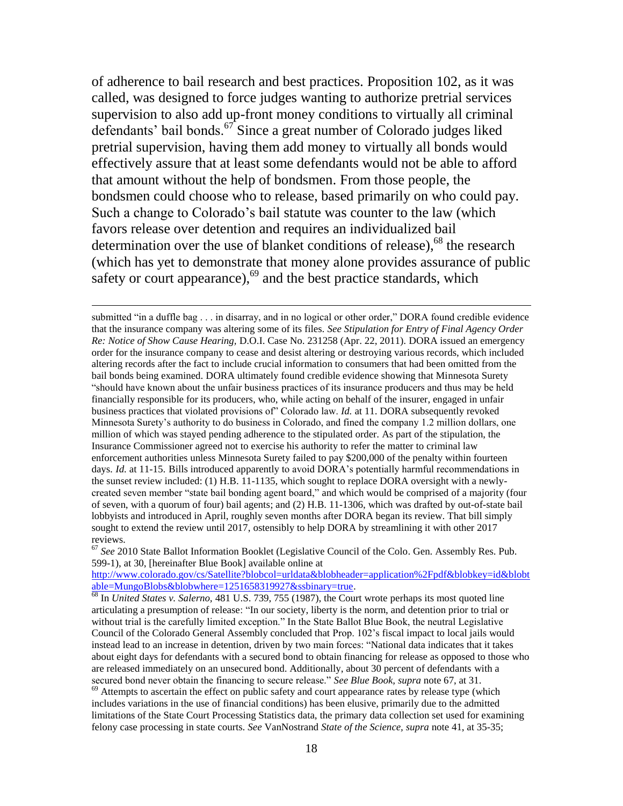of adherence to bail research and best practices. Proposition 102, as it was called, was designed to force judges wanting to authorize pretrial services supervision to also add up-front money conditions to virtually all criminal defendants' bail bonds.<sup>67</sup> Since a great number of Colorado judges liked pretrial supervision, having them add money to virtually all bonds would effectively assure that at least some defendants would not be able to afford that amount without the help of bondsmen. From those people, the bondsmen could choose who to release, based primarily on who could pay. Such a change to Colorado's bail statute was counter to the law (which favors release over detention and requires an individualized bail determination over the use of blanket conditions of release),  $68$  the research (which has yet to demonstrate that money alone provides assurance of public safety or court appearance),<sup>69</sup> and the best practice standards, which

 $\overline{a}$ 

[http://www.colorado.gov/cs/Satellite?blobcol=urldata&blobheader=application%2Fpdf&blobkey=id&blobt](http://www.colorado.gov/cs/Satellite?blobcol=urldata&blobheader=application%2Fpdf&blobkey=id&blobtable=MungoBlobs&blobwhere=1251658319927&ssbinary=true) [able=MungoBlobs&blobwhere=1251658319927&ssbinary=true.](http://www.colorado.gov/cs/Satellite?blobcol=urldata&blobheader=application%2Fpdf&blobkey=id&blobtable=MungoBlobs&blobwhere=1251658319927&ssbinary=true) 

submitted "in a duffle bag . . . in disarray, and in no logical or other order," DORA found credible evidence that the insurance company was altering some of its files. *See Stipulation for Entry of Final Agency Order Re: Notice of Show Cause Hearing,* D.O.I. Case No. 231258 (Apr. 22, 2011). DORA issued an emergency order for the insurance company to cease and desist altering or destroying various records, which included altering records after the fact to include crucial information to consumers that had been omitted from the bail bonds being examined. DORA ultimately found credible evidence showing that Minnesota Surety "should have known about the unfair business practices of its insurance producers and thus may be held financially responsible for its producers, who, while acting on behalf of the insurer, engaged in unfair business practices that violated provisions of" Colorado law. *Id.* at 11. DORA subsequently revoked Minnesota Surety's authority to do business in Colorado, and fined the company 1.2 million dollars, one million of which was stayed pending adherence to the stipulated order. As part of the stipulation, the Insurance Commissioner agreed not to exercise his authority to refer the matter to criminal law enforcement authorities unless Minnesota Surety failed to pay \$200,000 of the penalty within fourteen days. *Id.* at 11-15. Bills introduced apparently to avoid DORA's potentially harmful recommendations in the sunset review included: (1) H.B. 11-1135, which sought to replace DORA oversight with a newlycreated seven member "state bail bonding agent board," and which would be comprised of a majority (four of seven, with a quorum of four) bail agents; and (2) H.B. 11-1306, which was drafted by out-of-state bail lobbyists and introduced in April, roughly seven months after DORA began its review. That bill simply sought to extend the review until 2017, ostensibly to help DORA by streamlining it with other 2017 reviews.

<sup>&</sup>lt;sup>67</sup> See 2010 State Ballot Information Booklet (Legislative Council of the Colo. Gen. Assembly Res. Pub. 599-1), at 30, [hereinafter Blue Book] available online at

<sup>68</sup> In *United States v. Salerno,* 481 U.S. 739, 755 (1987), the Court wrote perhaps its most quoted line articulating a presumption of release: "In our society, liberty is the norm, and detention prior to trial or without trial is the carefully limited exception." In the State Ballot Blue Book, the neutral Legislative Council of the Colorado General Assembly concluded that Prop. 102's fiscal impact to local jails would instead lead to an increase in detention, driven by two main forces: "National data indicates that it takes about eight days for defendants with a secured bond to obtain financing for release as opposed to those who are released immediately on an unsecured bond. Additionally, about 30 percent of defendants with a secured bond never obtain the financing to secure release." *See Blue Book, supra* note 67, at 31.

 $69$  Attempts to ascertain the effect on public safety and court appearance rates by release type (which includes variations in the use of financial conditions) has been elusive, primarily due to the admitted limitations of the State Court Processing Statistics data, the primary data collection set used for examining felony case processing in state courts. *See* VanNostrand *State of the Science, supra* note 41, at 35-35;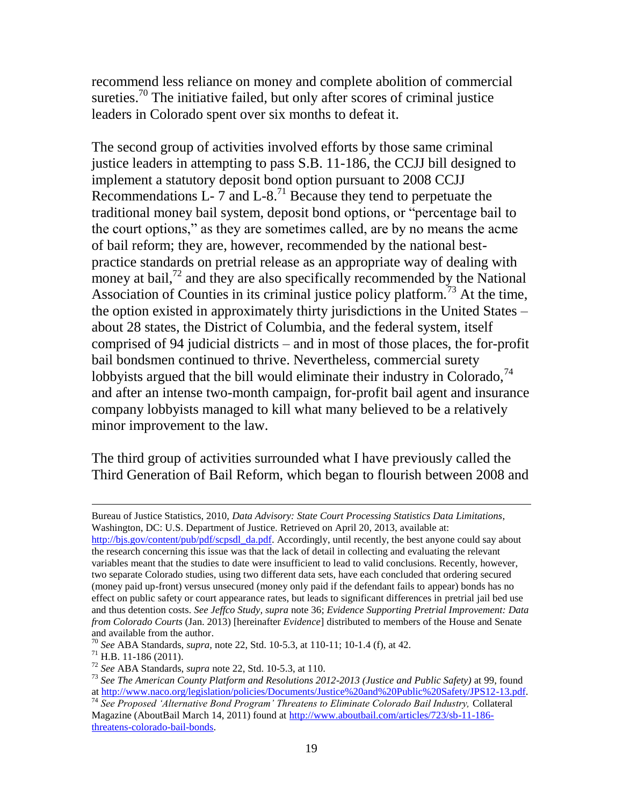recommend less reliance on money and complete abolition of commercial sureties.<sup>70</sup> The initiative failed, but only after scores of criminal justice leaders in Colorado spent over six months to defeat it.

The second group of activities involved efforts by those same criminal justice leaders in attempting to pass S.B. 11-186, the CCJJ bill designed to implement a statutory deposit bond option pursuant to 2008 CCJJ Recommendations  $L - 7$  and  $L - 8$ .<sup>71</sup> Because they tend to perpetuate the traditional money bail system, deposit bond options, or "percentage bail to the court options," as they are sometimes called, are by no means the acme of bail reform; they are, however, recommended by the national bestpractice standards on pretrial release as an appropriate way of dealing with money at bail, $72$  and they are also specifically recommended by the National Association of Counties in its criminal justice policy platform.<sup>73</sup> At the time, the option existed in approximately thirty jurisdictions in the United States – about 28 states, the District of Columbia, and the federal system, itself comprised of 94 judicial districts – and in most of those places, the for-profit bail bondsmen continued to thrive. Nevertheless, commercial surety lobbyists argued that the bill would eliminate their industry in Colorado,  $74$ and after an intense two-month campaign, for-profit bail agent and insurance company lobbyists managed to kill what many believed to be a relatively minor improvement to the law.

The third group of activities surrounded what I have previously called the Third Generation of Bail Reform, which began to flourish between 2008 and

 $71$  H.B. 11-186 (2011).

Bureau of Justice Statistics, 2010, *Data Advisory: State Court Processing Statistics Data Limitations*, Washington, DC: U.S. Department of Justice. Retrieved on April 20, 2013, available at: [http://bjs.gov/content/pub/pdf/scpsdl\\_da.pdf.](http://bjs.gov/content/pub/pdf/scpsdl_da.pdf) Accordingly, until recently, the best anyone could say about the research concerning this issue was that the lack of detail in collecting and evaluating the relevant variables meant that the studies to date were insufficient to lead to valid conclusions. Recently, however, two separate Colorado studies, using two different data sets, have each concluded that ordering secured (money paid up-front) versus unsecured (money only paid if the defendant fails to appear) bonds has no effect on public safety or court appearance rates, but leads to significant differences in pretrial jail bed use and thus detention costs. *See Jeffco Study, supra* note 36; *Evidence Supporting Pretrial Improvement: Data from Colorado Courts* (Jan. 2013) [hereinafter *Evidence*] distributed to members of the House and Senate and available from the author.

<sup>70</sup> *See* ABA Standards, *supra,* note 22, Std. 10-5.3, at 110-11; 10-1.4 (f), at 42.

<sup>72</sup> *See* ABA Standards, *supra* note 22, Std. 10-5.3, at 110.

<sup>73</sup> *See The American County Platform and Resolutions 2012-2013 (Justice and Public Safety)* at 99, found a[t http://www.naco.org/legislation/policies/Documents/Justice%20and%20Public%20Safety/JPS12-13.pdf.](http://www.naco.org/legislation/policies/Documents/Justice%20and%20Public%20Safety/JPS12-13.pdf)

<sup>74</sup> *See Proposed 'Alternative Bond Program' Threatens to Eliminate Colorado Bail Industry,* Collateral Magazine (AboutBail March 14, 2011) found at [http://www.aboutbail.com/articles/723/sb-11-186](http://www.aboutbail.com/articles/723/sb-11-186-threatens-colorado-bail-bonds) [threatens-colorado-bail-bonds.](http://www.aboutbail.com/articles/723/sb-11-186-threatens-colorado-bail-bonds)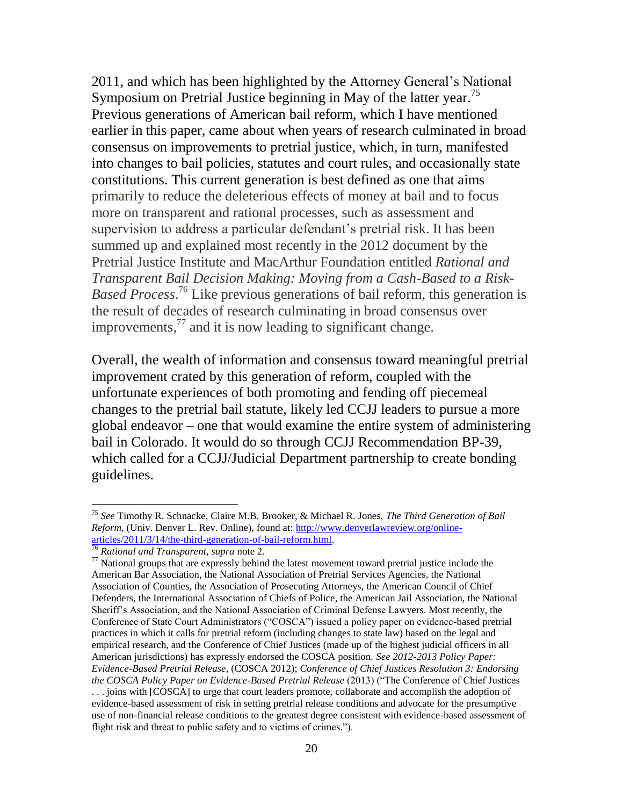2011, and which has been highlighted by the Attorney General's National Symposium on Pretrial Justice beginning in May of the latter year.<sup>75</sup> Previous generations of American bail reform, which I have mentioned earlier in this paper, came about when years of research culminated in broad consensus on improvements to pretrial justice, which, in turn, manifested into changes to bail policies, statutes and court rules, and occasionally state constitutions. This current generation is best defined as one that aims primarily to reduce the deleterious effects of money at bail and to focus more on transparent and rational processes, such as assessment and supervision to address a particular defendant's pretrial risk. It has been summed up and explained most recently in the 2012 document by the Pretrial Justice Institute and MacArthur Foundation entitled *Rational and Transparent Bail Decision Making: Moving from a Cash-Based to a Risk-Based Process*. <sup>76</sup> Like previous generations of bail reform, this generation is the result of decades of research culminating in broad consensus over improvements, $^{77}$  and it is now leading to significant change.

Overall, the wealth of information and consensus toward meaningful pretrial improvement crated by this generation of reform, coupled with the unfortunate experiences of both promoting and fending off piecemeal changes to the pretrial bail statute, likely led CCJJ leaders to pursue a more global endeavor – one that would examine the entire system of administering bail in Colorado. It would do so through CCJJ Recommendation BP-39, which called for a CCJJ/Judicial Department partnership to create bonding guidelines.

<sup>75</sup> *See* Timothy R. Schnacke, Claire M.B. Brooker, & Michael R. Jones, *The Third Generation of Bail Reform,* (Univ. Denver L. Rev. Online), found at: [http://www.denverlawreview.org/online](http://www.denverlawreview.org/online-articles/2011/3/14/the-third-generation-of-bail-reform.html)[articles/2011/3/14/the-third-generation-of-bail-reform.html.](http://www.denverlawreview.org/online-articles/2011/3/14/the-third-generation-of-bail-reform.html) 

<sup>76</sup> *Rational and Transparent, supra* note 2.

 $77$  National groups that are expressly behind the latest movement toward pretrial justice include the American Bar Association, the National Association of Pretrial Services Agencies, the National Association of Counties, the Association of Prosecuting Attorneys, the American Council of Chief Defenders, the International Association of Chiefs of Police, the American Jail Association, the National Sheriff's Association, and the National Association of Criminal Defense Lawyers. Most recently, the Conference of State Court Administrators ("COSCA") issued a policy paper on evidence-based pretrial practices in which it calls for pretrial reform (including changes to state law) based on the legal and empirical research, and the Conference of Chief Justices (made up of the highest judicial officers in all American jurisdictions) has expressly endorsed the COSCA position. *See 2012-2013 Policy Paper: Evidence-Based Pretrial Release*, (COSCA 2012); *Conference of Chief Justices Resolution 3: Endorsing the COSCA Policy Paper on Evidence-Based Pretrial Release* (2013) ("The Conference of Chief Justices . . . joins with [COSCA] to urge that court leaders promote, collaborate and accomplish the adoption of evidence-based assessment of risk in setting pretrial release conditions and advocate for the presumptive use of non-financial release conditions to the greatest degree consistent with evidence-based assessment of flight risk and threat to public safety and to victims of crimes.").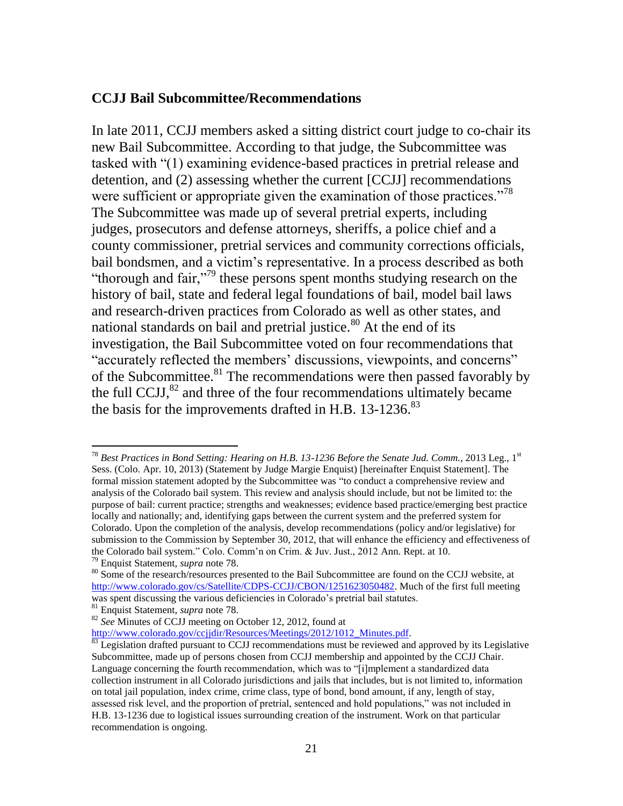#### **CCJJ Bail Subcommittee/Recommendations**

In late 2011, CCJJ members asked a sitting district court judge to co-chair its new Bail Subcommittee. According to that judge, the Subcommittee was tasked with "(1) examining evidence-based practices in pretrial release and detention, and (2) assessing whether the current [CCJJ] recommendations were sufficient or appropriate given the examination of those practices."<sup>78</sup> The Subcommittee was made up of several pretrial experts, including judges, prosecutors and defense attorneys, sheriffs, a police chief and a county commissioner, pretrial services and community corrections officials, bail bondsmen, and a victim's representative. In a process described as both "thorough and fair,"<sup>79</sup> these persons spent months studying research on the history of bail, state and federal legal foundations of bail, model bail laws and research-driven practices from Colorado as well as other states, and national standards on bail and pretrial justice.<sup>80</sup> At the end of its investigation, the Bail Subcommittee voted on four recommendations that "accurately reflected the members' discussions, viewpoints, and concerns" of the Subcommittee.<sup>81</sup> The recommendations were then passed favorably by the full CCJJ, $^{82}$  and three of the four recommendations ultimately became the basis for the improvements drafted in H.B.  $13\n-1236$ .<sup>83</sup>

<sup>78</sup> *Best Practices in Bond Setting: Hearing on H.B. 13-1236 Before the Senate Jud. Comm.*, 2013 Leg., 1st Sess. (Colo. Apr. 10, 2013) (Statement by Judge Margie Enquist) [hereinafter Enquist Statement]. The formal mission statement adopted by the Subcommittee was "to conduct a comprehensive review and analysis of the Colorado bail system. This review and analysis should include, but not be limited to: the purpose of bail: current practice; strengths and weaknesses; evidence based practice/emerging best practice locally and nationally; and, identifying gaps between the current system and the preferred system for Colorado. Upon the completion of the analysis, develop recommendations (policy and/or legislative) for submission to the Commission by September 30, 2012, that will enhance the efficiency and effectiveness of the Colorado bail system." Colo. Comm'n on Crim. & Juv. Just., 2012 Ann. Rept. at 10. <sup>79</sup> Enquist Statement, *supra* note 78.

<sup>&</sup>lt;sup>80</sup> Some of the research/resources presented to the Bail Subcommittee are found on the CCJJ website, at [http://www.colorado.gov/cs/Satellite/CDPS-CCJJ/CBON/1251623050482.](http://www.colorado.gov/cs/Satellite/CDPS-CCJJ/CBON/1251623050482) Much of the first full meeting was spent discussing the various deficiencies in Colorado's pretrial bail statutes.

<sup>81</sup> Enquist Statement, *supra* note 78.

<sup>82</sup> *See* Minutes of CCJJ meeting on October 12, 2012, found at

[http://www.colorado.gov/ccjjdir/Resources/Meetings/2012/1012\\_Minutes.pdf.](http://www.colorado.gov/ccjjdir/Resources/Meetings/2012/1012_Minutes.pdf)

<sup>&</sup>lt;sup>83</sup> Legislation drafted pursuant to CCJJ recommendations must be reviewed and approved by its Legislative Subcommittee, made up of persons chosen from CCJJ membership and appointed by the CCJJ Chair. Language concerning the fourth recommendation, which was to "[i]mplement a standardized data collection instrument in all Colorado jurisdictions and jails that includes, but is not limited to, information on total jail population, index crime, crime class, type of bond, bond amount, if any, length of stay, assessed risk level, and the proportion of pretrial, sentenced and hold populations," was not included in H.B. 13-1236 due to logistical issues surrounding creation of the instrument. Work on that particular recommendation is ongoing.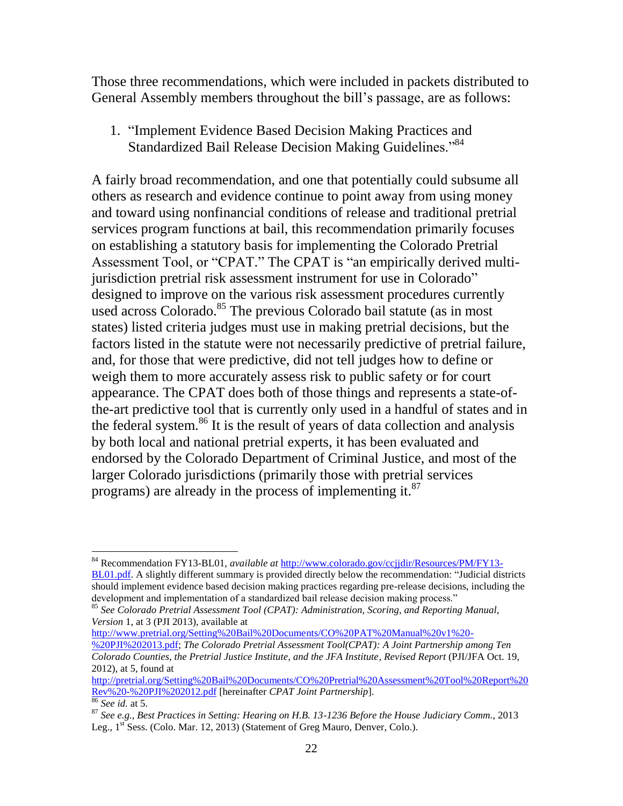Those three recommendations, which were included in packets distributed to General Assembly members throughout the bill's passage, are as follows:

1. "Implement Evidence Based Decision Making Practices and Standardized Bail Release Decision Making Guidelines."<sup>84</sup>

A fairly broad recommendation, and one that potentially could subsume all others as research and evidence continue to point away from using money and toward using nonfinancial conditions of release and traditional pretrial services program functions at bail, this recommendation primarily focuses on establishing a statutory basis for implementing the Colorado Pretrial Assessment Tool, or "CPAT." The CPAT is "an empirically derived multijurisdiction pretrial risk assessment instrument for use in Colorado" designed to improve on the various risk assessment procedures currently used across Colorado.<sup>85</sup> The previous Colorado bail statute (as in most states) listed criteria judges must use in making pretrial decisions, but the factors listed in the statute were not necessarily predictive of pretrial failure, and, for those that were predictive, did not tell judges how to define or weigh them to more accurately assess risk to public safety or for court appearance. The CPAT does both of those things and represents a state-ofthe-art predictive tool that is currently only used in a handful of states and in the federal system.<sup>86</sup> It is the result of years of data collection and analysis by both local and national pretrial experts, it has been evaluated and endorsed by the Colorado Department of Criminal Justice, and most of the larger Colorado jurisdictions (primarily those with pretrial services programs) are already in the process of implementing it.<sup>87</sup>

[http://www.pretrial.org/Setting%20Bail%20Documents/CO%20PAT%20Manual%20v1%20-](http://www.pretrial.org/Setting%20Bail%20Documents/CO%20PAT%20Manual%20v1%20-%20PJI%202013.pdf)

[http://pretrial.org/Setting%20Bail%20Documents/CO%20Pretrial%20Assessment%20Tool%20Report%20](http://pretrial.org/Setting%20Bail%20Documents/CO%20Pretrial%20Assessment%20Tool%20Report%20Rev%20-%20PJI%202012.pdf) [Rev%20-%20PJI%202012.pdf](http://pretrial.org/Setting%20Bail%20Documents/CO%20Pretrial%20Assessment%20Tool%20Report%20Rev%20-%20PJI%202012.pdf) [hereinafter *CPAT Joint Partnership*].

<sup>84</sup> Recommendation FY13-BL01, *available at* [http://www.colorado.gov/ccjjdir/Resources/PM/FY13-](http://www.colorado.gov/ccjjdir/Resources/PM/FY13-BL01.pdf) [BL01.pdf.](http://www.colorado.gov/ccjjdir/Resources/PM/FY13-BL01.pdf) A slightly different summary is provided directly below the recommendation: "Judicial districts should implement evidence based decision making practices regarding pre-release decisions, including the development and implementation of a standardized bail release decision making process."

<sup>85</sup> *See Colorado Pretrial Assessment Tool (CPAT): Administration, Scoring, and Reporting Manual, Version* 1, at 3 (PJI 2013), available at

[<sup>%20</sup>PJI%202013.pdf;](http://www.pretrial.org/Setting%20Bail%20Documents/CO%20PAT%20Manual%20v1%20-%20PJI%202013.pdf) *The Colorado Pretrial Assessment Tool(CPAT): A Joint Partnership among Ten Colorado Counties, the Pretrial Justice Institute, and the JFA Institute, Revised Report* (PJI/JFA Oct. 19, 2012), at 5, found at

<sup>86</sup> *See id.* at 5.

<sup>87</sup> *See e.g., Best Practices in Setting: Hearing on H.B. 13-1236 Before the House Judiciary Comm.*, 2013 Leg.,  $1<sup>st</sup>$  Sess. (Colo. Mar. 12, 2013) (Statement of Greg Mauro, Denver, Colo.).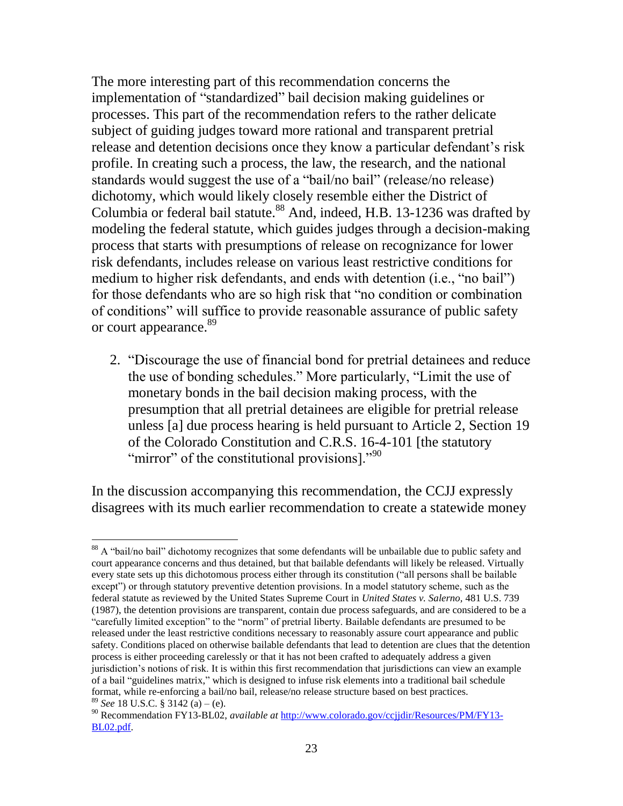The more interesting part of this recommendation concerns the implementation of "standardized" bail decision making guidelines or processes. This part of the recommendation refers to the rather delicate subject of guiding judges toward more rational and transparent pretrial release and detention decisions once they know a particular defendant's risk profile. In creating such a process, the law, the research, and the national standards would suggest the use of a "bail/no bail" (release/no release) dichotomy, which would likely closely resemble either the District of Columbia or federal bail statute.<sup>88</sup> And, indeed, H.B. 13-1236 was drafted by modeling the federal statute, which guides judges through a decision-making process that starts with presumptions of release on recognizance for lower risk defendants, includes release on various least restrictive conditions for medium to higher risk defendants, and ends with detention (i.e., "no bail") for those defendants who are so high risk that "no condition or combination of conditions" will suffice to provide reasonable assurance of public safety or court appearance.<sup>89</sup>

2. "Discourage the use of financial bond for pretrial detainees and reduce the use of bonding schedules." More particularly, "Limit the use of monetary bonds in the bail decision making process, with the presumption that all pretrial detainees are eligible for pretrial release unless [a] due process hearing is held pursuant to Article 2, Section 19 of the Colorado Constitution and C.R.S. 16-4-101 [the statutory "mirror" of the constitutional provisions]."<sup>90</sup>

In the discussion accompanying this recommendation, the CCJJ expressly disagrees with its much earlier recommendation to create a statewide money

 $\overline{a}$ <sup>88</sup> A "bail/no bail" dichotomy recognizes that some defendants will be unbailable due to public safety and court appearance concerns and thus detained, but that bailable defendants will likely be released. Virtually every state sets up this dichotomous process either through its constitution ("all persons shall be bailable except") or through statutory preventive detention provisions. In a model statutory scheme, such as the federal statute as reviewed by the United States Supreme Court in *United States v. Salerno,* 481 U.S. 739 (1987), the detention provisions are transparent, contain due process safeguards, and are considered to be a "carefully limited exception" to the "norm" of pretrial liberty. Bailable defendants are presumed to be released under the least restrictive conditions necessary to reasonably assure court appearance and public safety. Conditions placed on otherwise bailable defendants that lead to detention are clues that the detention process is either proceeding carelessly or that it has not been crafted to adequately address a given jurisdiction's notions of risk. It is within this first recommendation that jurisdictions can view an example of a bail "guidelines matrix," which is designed to infuse risk elements into a traditional bail schedule format, while re-enforcing a bail/no bail, release/no release structure based on best practices. <sup>89</sup> *See* 18 U.S.C. § 3142 (a) – (e).

<sup>90</sup> Recommendation FY13-BL02, *available at* [http://www.colorado.gov/ccjjdir/Resources/PM/FY13-](http://www.colorado.gov/ccjjdir/Resources/PM/FY13-BL02.pdf) [BL02.pdf.](http://www.colorado.gov/ccjjdir/Resources/PM/FY13-BL02.pdf)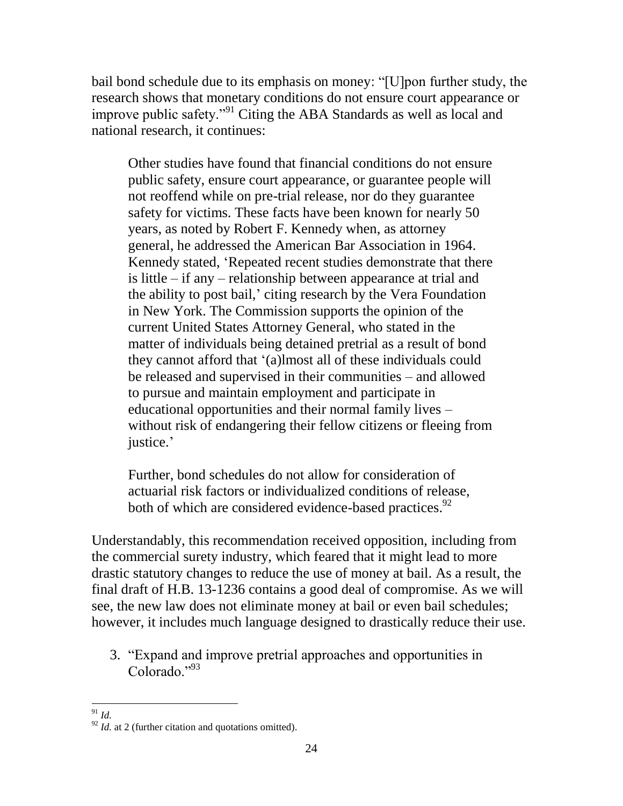bail bond schedule due to its emphasis on money: "[U]pon further study, the research shows that monetary conditions do not ensure court appearance or improve public safety."<sup>91</sup> Citing the ABA Standards as well as local and national research, it continues:

Other studies have found that financial conditions do not ensure public safety, ensure court appearance, or guarantee people will not reoffend while on pre-trial release, nor do they guarantee safety for victims. These facts have been known for nearly 50 years, as noted by Robert F. Kennedy when, as attorney general, he addressed the American Bar Association in 1964. Kennedy stated, 'Repeated recent studies demonstrate that there is little – if any – relationship between appearance at trial and the ability to post bail,' citing research by the Vera Foundation in New York. The Commission supports the opinion of the current United States Attorney General, who stated in the matter of individuals being detained pretrial as a result of bond they cannot afford that '(a)lmost all of these individuals could be released and supervised in their communities – and allowed to pursue and maintain employment and participate in educational opportunities and their normal family lives – without risk of endangering their fellow citizens or fleeing from justice.'

Further, bond schedules do not allow for consideration of actuarial risk factors or individualized conditions of release, both of which are considered evidence-based practices.<sup>92</sup>

Understandably, this recommendation received opposition, including from the commercial surety industry, which feared that it might lead to more drastic statutory changes to reduce the use of money at bail. As a result, the final draft of H.B. 13-1236 contains a good deal of compromise. As we will see, the new law does not eliminate money at bail or even bail schedules; however, it includes much language designed to drastically reduce their use.

3. "Expand and improve pretrial approaches and opportunities in Colorado."<sup>93</sup>

 $\overline{a}$ <sup>91</sup> *Id.* 

<sup>&</sup>lt;sup>92</sup> *Id.* at 2 (further citation and quotations omitted).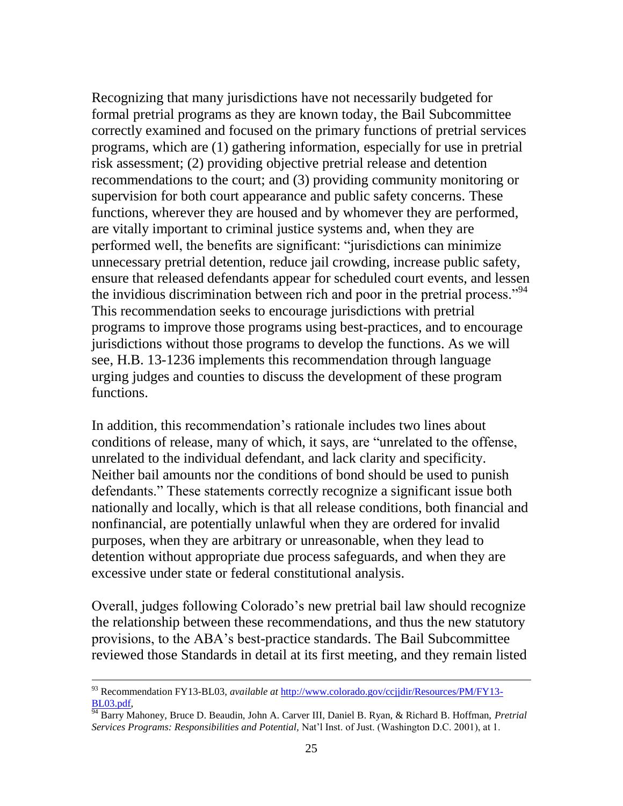Recognizing that many jurisdictions have not necessarily budgeted for formal pretrial programs as they are known today, the Bail Subcommittee correctly examined and focused on the primary functions of pretrial services programs, which are (1) gathering information, especially for use in pretrial risk assessment; (2) providing objective pretrial release and detention recommendations to the court; and (3) providing community monitoring or supervision for both court appearance and public safety concerns. These functions, wherever they are housed and by whomever they are performed, are vitally important to criminal justice systems and, when they are performed well, the benefits are significant: "jurisdictions can minimize unnecessary pretrial detention, reduce jail crowding, increase public safety, ensure that released defendants appear for scheduled court events, and lessen the invidious discrimination between rich and poor in the pretrial process."<sup>94</sup> This recommendation seeks to encourage jurisdictions with pretrial programs to improve those programs using best-practices, and to encourage jurisdictions without those programs to develop the functions. As we will see, H.B. 13-1236 implements this recommendation through language urging judges and counties to discuss the development of these program functions.

In addition, this recommendation's rationale includes two lines about conditions of release, many of which, it says, are "unrelated to the offense, unrelated to the individual defendant, and lack clarity and specificity. Neither bail amounts nor the conditions of bond should be used to punish defendants." These statements correctly recognize a significant issue both nationally and locally, which is that all release conditions, both financial and nonfinancial, are potentially unlawful when they are ordered for invalid purposes, when they are arbitrary or unreasonable, when they lead to detention without appropriate due process safeguards, and when they are excessive under state or federal constitutional analysis.

Overall, judges following Colorado's new pretrial bail law should recognize the relationship between these recommendations, and thus the new statutory provisions, to the ABA's best-practice standards. The Bail Subcommittee reviewed those Standards in detail at its first meeting, and they remain listed

<sup>93</sup> Recommendation FY13-BL03, *available at* [http://www.colorado.gov/ccjjdir/Resources/PM/FY13-](http://www.colorado.gov/ccjjdir/Resources/PM/FY13-BL03.pdf) [BL03.pdf,](http://www.colorado.gov/ccjjdir/Resources/PM/FY13-BL03.pdf)

<sup>94</sup> Barry Mahoney, Bruce D. Beaudin, John A. Carver III, Daniel B. Ryan, & Richard B. Hoffman, *Pretrial Services Programs: Responsibilities and Potential,* Nat'l Inst. of Just. (Washington D.C. 2001), at 1.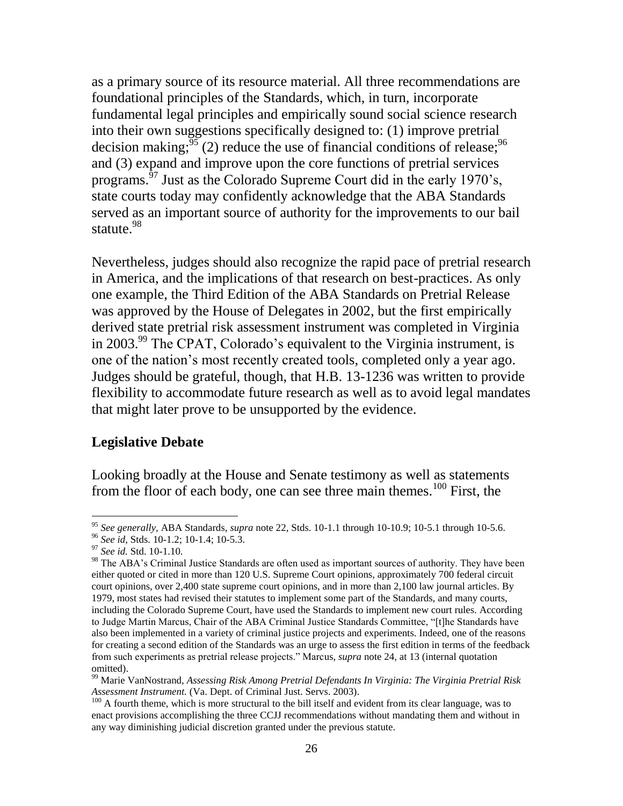as a primary source of its resource material. All three recommendations are foundational principles of the Standards, which, in turn, incorporate fundamental legal principles and empirically sound social science research into their own suggestions specifically designed to: (1) improve pretrial decision making;  $\frac{55}{3}$  (2) reduce the use of financial conditions of release;  $\frac{96}{3}$ and (3) expand and improve upon the core functions of pretrial services programs.<sup>97</sup> Just as the Colorado Supreme Court did in the early 1970's, state courts today may confidently acknowledge that the ABA Standards served as an important source of authority for the improvements to our bail statute.<sup>98</sup>

Nevertheless, judges should also recognize the rapid pace of pretrial research in America, and the implications of that research on best-practices. As only one example, the Third Edition of the ABA Standards on Pretrial Release was approved by the House of Delegates in 2002, but the first empirically derived state pretrial risk assessment instrument was completed in Virginia in 2003.<sup>99</sup> The CPAT, Colorado's equivalent to the Virginia instrument, is one of the nation's most recently created tools, completed only a year ago. Judges should be grateful, though, that H.B. 13-1236 was written to provide flexibility to accommodate future research as well as to avoid legal mandates that might later prove to be unsupported by the evidence.

### **Legislative Debate**

Looking broadly at the House and Senate testimony as well as statements from the floor of each body, one can see three main themes.<sup>100</sup> First, the

<sup>95</sup> *See generally,* ABA Standards, *supra* note 22, Stds. 10-1.1 through 10-10.9; 10-5.1 through 10-5.6.

<sup>96</sup> *See id,* Stds. 10-1.2; 10-1.4; 10-5.3.

<sup>97</sup> *See id.* Std. 10-1.10.

<sup>&</sup>lt;sup>98</sup> The ABA's Criminal Justice Standards are often used as important sources of authority. They have been either quoted or cited in more than 120 U.S. Supreme Court opinions, approximately 700 federal circuit court opinions, over 2,400 state supreme court opinions, and in more than 2,100 law journal articles. By 1979, most states had revised their statutes to implement some part of the Standards, and many courts, including the Colorado Supreme Court, have used the Standards to implement new court rules. According to Judge Martin Marcus, Chair of the ABA Criminal Justice Standards Committee, "[t]he Standards have also been implemented in a variety of criminal justice projects and experiments. Indeed, one of the reasons for creating a second edition of the Standards was an urge to assess the first edition in terms of the feedback from such experiments as pretrial release projects." Marcus, *supra* note 24, at 13 (internal quotation omitted).

<sup>99</sup> Marie VanNostrand, *Assessing Risk Among Pretrial Defendants In Virginia: The Virginia Pretrial Risk Assessment Instrument.* (Va. Dept. of Criminal Just. Servs. 2003).

<sup>&</sup>lt;sup>100</sup> A fourth theme, which is more structural to the bill itself and evident from its clear language, was to enact provisions accomplishing the three CCJJ recommendations without mandating them and without in any way diminishing judicial discretion granted under the previous statute.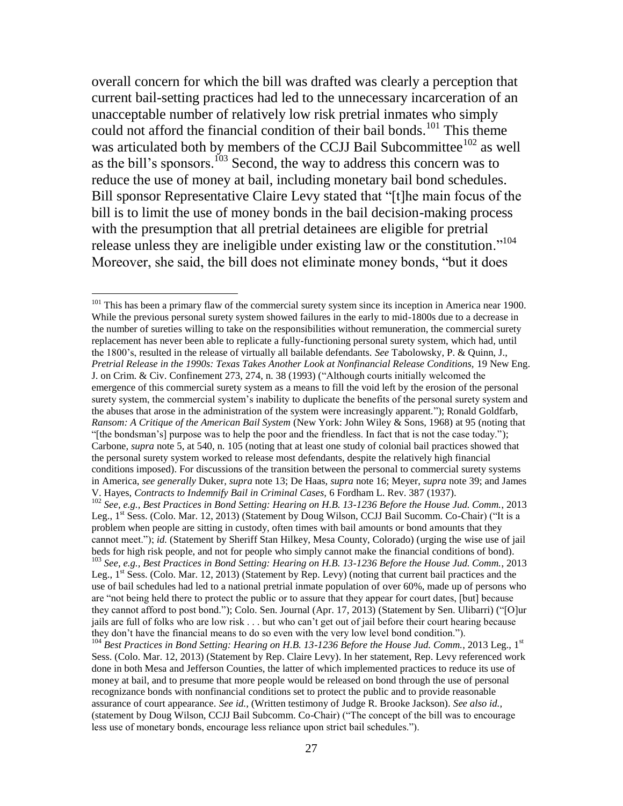overall concern for which the bill was drafted was clearly a perception that current bail-setting practices had led to the unnecessary incarceration of an unacceptable number of relatively low risk pretrial inmates who simply could not afford the financial condition of their bail bonds.<sup>101</sup> This theme was articulated both by members of the CCJJ Bail Subcommittee<sup>102</sup> as well as the bill's sponsors.<sup>103</sup> Second, the way to address this concern was to reduce the use of money at bail, including monetary bail bond schedules. Bill sponsor Representative Claire Levy stated that "[t]he main focus of the bill is to limit the use of money bonds in the bail decision-making process with the presumption that all pretrial detainees are eligible for pretrial release unless they are ineligible under existing law or the constitution."<sup>104</sup> Moreover, she said, the bill does not eliminate money bonds, "but it does

 $\overline{a}$ 

 $101$  This has been a primary flaw of the commercial surety system since its inception in America near 1900. While the previous personal surety system showed failures in the early to mid-1800s due to a decrease in the number of sureties willing to take on the responsibilities without remuneration, the commercial surety replacement has never been able to replicate a fully-functioning personal surety system, which had, until the 1800's, resulted in the release of virtually all bailable defendants. *See* Tabolowsky, P. & Quinn, J., *Pretrial Release in the 1990s: Texas Takes Another Look at Nonfinancial Release Conditions,* 19 New Eng. J. on Crim. & Civ. Confinement 273, 274, n. 38 (1993) ("Although courts initially welcomed the emergence of this commercial surety system as a means to fill the void left by the erosion of the personal surety system, the commercial system's inability to duplicate the benefits of the personal surety system and the abuses that arose in the administration of the system were increasingly apparent."); Ronald Goldfarb, *Ransom: A Critique of the American Bail System* (New York: John Wiley & Sons, 1968) at 95 (noting that "[the bondsman's] purpose was to help the poor and the friendless. In fact that is not the case today."); Carbone, *supra* note 5, at 540, n. 105 (noting that at least one study of colonial bail practices showed that the personal surety system worked to release most defendants, despite the relatively high financial conditions imposed). For discussions of the transition between the personal to commercial surety systems in America, *see generally* Duker, *supra* note 13; De Haas, *supra* note 16; Meyer, *supra* note 39; and James V. Hayes, *Contracts to Indemnify Bail in Criminal Cases,* 6 Fordham L. Rev. 387 (1937).

<sup>102</sup> *See, e.g., Best Practices in Bond Setting: Hearing on H.B. 13-1236 Before the House Jud. Comm.*, 2013 Leg., 1<sup>st</sup> Sess. (Colo. Mar. 12, 2013) (Statement by Doug Wilson, CCJJ Bail Sucomm. Co-Chair) ("It is a problem when people are sitting in custody, often times with bail amounts or bond amounts that they cannot meet."); *id.* (Statement by Sheriff Stan Hilkey, Mesa County, Colorado) (urging the wise use of jail beds for high risk people, and not for people who simply cannot make the financial conditions of bond). <sup>103</sup> *See, e.g., Best Practices in Bond Setting: Hearing on H.B. 13-1236 Before the House Jud. Comm.*, 2013

Leg.,  $1^{st}$  Sess. (Colo. Mar. 12, 2013) (Statement by Rep. Levy) (noting that current bail practices and the use of bail schedules had led to a national pretrial inmate population of over 60%, made up of persons who are "not being held there to protect the public or to assure that they appear for court dates, [but] because they cannot afford to post bond."); Colo. Sen. Journal (Apr. 17, 2013) (Statement by Sen. Ulibarri) ("[O]ur jails are full of folks who are low risk . . . but who can't get out of jail before their court hearing because they don't have the financial means to do so even with the very low level bond condition.").

<sup>&</sup>lt;sup>104</sup> Best Practices in Bond Setting: Hearing on H.B. 13-1236 Before the House Jud. Comm., 2013 Leg., 1<sup>st</sup> Sess. (Colo. Mar. 12, 2013) (Statement by Rep. Claire Levy). In her statement, Rep. Levy referenced work done in both Mesa and Jefferson Counties, the latter of which implemented practices to reduce its use of money at bail, and to presume that more people would be released on bond through the use of personal recognizance bonds with nonfinancial conditions set to protect the public and to provide reasonable assurance of court appearance. *See id.,* (Written testimony of Judge R. Brooke Jackson). *See also id.,*  (statement by Doug Wilson, CCJJ Bail Subcomm. Co-Chair) ("The concept of the bill was to encourage less use of monetary bonds, encourage less reliance upon strict bail schedules.").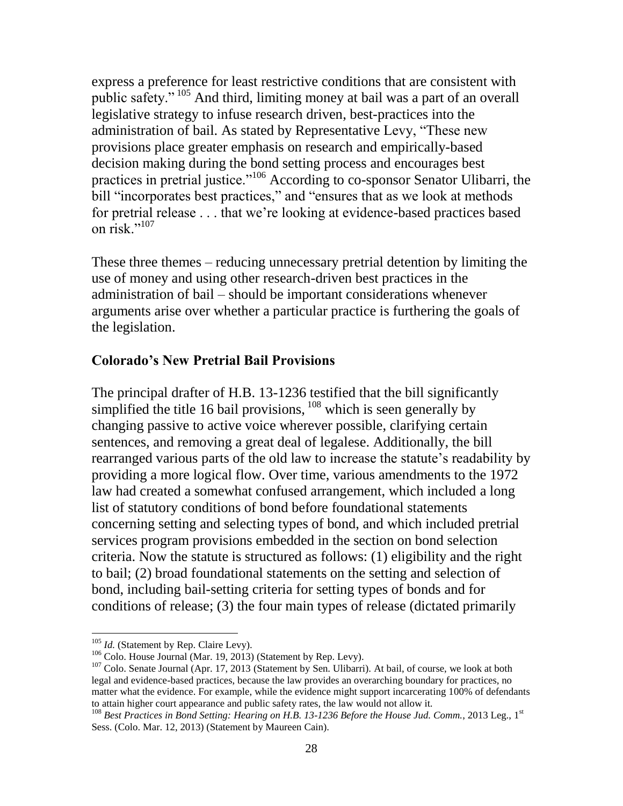express a preference for least restrictive conditions that are consistent with public safety." <sup>105</sup> And third, limiting money at bail was a part of an overall legislative strategy to infuse research driven, best-practices into the administration of bail. As stated by Representative Levy, "These new provisions place greater emphasis on research and empirically-based decision making during the bond setting process and encourages best practices in pretrial justice."<sup>106</sup> According to co-sponsor Senator Ulibarri, the bill "incorporates best practices," and "ensures that as we look at methods for pretrial release . . . that we're looking at evidence-based practices based on risk." $^{107}$ 

These three themes – reducing unnecessary pretrial detention by limiting the use of money and using other research-driven best practices in the administration of bail – should be important considerations whenever arguments arise over whether a particular practice is furthering the goals of the legislation.

#### **Colorado's New Pretrial Bail Provisions**

The principal drafter of H.B. 13-1236 testified that the bill significantly simplified the title 16 bail provisions,  $108$  which is seen generally by changing passive to active voice wherever possible, clarifying certain sentences, and removing a great deal of legalese. Additionally, the bill rearranged various parts of the old law to increase the statute's readability by providing a more logical flow. Over time, various amendments to the 1972 law had created a somewhat confused arrangement, which included a long list of statutory conditions of bond before foundational statements concerning setting and selecting types of bond, and which included pretrial services program provisions embedded in the section on bond selection criteria. Now the statute is structured as follows: (1) eligibility and the right to bail; (2) broad foundational statements on the setting and selection of bond, including bail-setting criteria for setting types of bonds and for conditions of release; (3) the four main types of release (dictated primarily

<sup>&</sup>lt;sup>105</sup> *Id.* (Statement by Rep. Claire Levy).

<sup>&</sup>lt;sup>106</sup> Colo. House Journal (Mar. 19, 2013) (Statement by Rep. Levy).

<sup>&</sup>lt;sup>107</sup> Colo. Senate Journal (Apr. 17, 2013 (Statement by Sen. Ulibarri). At bail, of course, we look at both legal and evidence-based practices, because the law provides an overarching boundary for practices, no matter what the evidence. For example, while the evidence might support incarcerating 100% of defendants to attain higher court appearance and public safety rates, the law would not allow it.

<sup>&</sup>lt;sup>108</sup> Best Practices in Bond Setting: Hearing on H.B. 13-1236 Before the House Jud. Comm., 2013 Leg., 1<sup>st</sup> Sess. (Colo. Mar. 12, 2013) (Statement by Maureen Cain).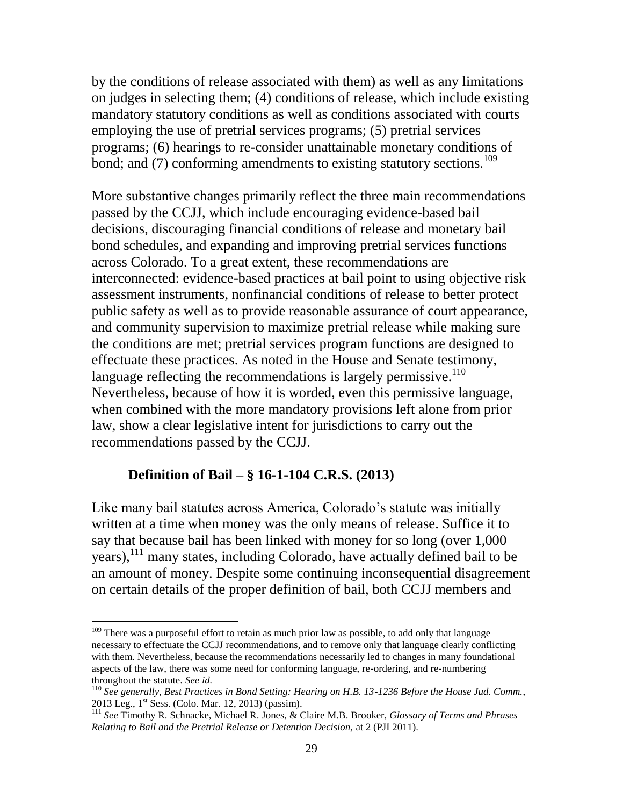by the conditions of release associated with them) as well as any limitations on judges in selecting them; (4) conditions of release, which include existing mandatory statutory conditions as well as conditions associated with courts employing the use of pretrial services programs; (5) pretrial services programs; (6) hearings to re-consider unattainable monetary conditions of bond; and (7) conforming amendments to existing statutory sections.<sup>109</sup>

More substantive changes primarily reflect the three main recommendations passed by the CCJJ, which include encouraging evidence-based bail decisions, discouraging financial conditions of release and monetary bail bond schedules, and expanding and improving pretrial services functions across Colorado. To a great extent, these recommendations are interconnected: evidence-based practices at bail point to using objective risk assessment instruments, nonfinancial conditions of release to better protect public safety as well as to provide reasonable assurance of court appearance, and community supervision to maximize pretrial release while making sure the conditions are met; pretrial services program functions are designed to effectuate these practices. As noted in the House and Senate testimony, language reflecting the recommendations is largely permissive.<sup>110</sup> Nevertheless, because of how it is worded, even this permissive language, when combined with the more mandatory provisions left alone from prior law, show a clear legislative intent for jurisdictions to carry out the recommendations passed by the CCJJ.

#### **Definition of Bail – § 16-1-104 C.R.S. (2013)**

 $\overline{a}$ 

Like many bail statutes across America, Colorado's statute was initially written at a time when money was the only means of release. Suffice it to say that because bail has been linked with money for so long (over 1,000 years),<sup>111</sup> many states, including Colorado, have actually defined bail to be an amount of money. Despite some continuing inconsequential disagreement on certain details of the proper definition of bail, both CCJJ members and

 $109$  There was a purposeful effort to retain as much prior law as possible, to add only that language necessary to effectuate the CCJJ recommendations, and to remove only that language clearly conflicting with them. Nevertheless, because the recommendations necessarily led to changes in many foundational aspects of the law, there was some need for conforming language, re-ordering, and re-numbering throughout the statute. *See id.*

<sup>110</sup> *See generally, Best Practices in Bond Setting: Hearing on H.B. 13-1236 Before the House Jud. Comm.*, 2013 Leg., 1st Sess. (Colo. Mar. 12, 2013) (passim).

<sup>111</sup> *See* Timothy R. Schnacke, Michael R. Jones, & Claire M.B. Brooker, *Glossary of Terms and Phrases Relating to Bail and the Pretrial Release or Detention Decision,* at 2 (PJI 2011).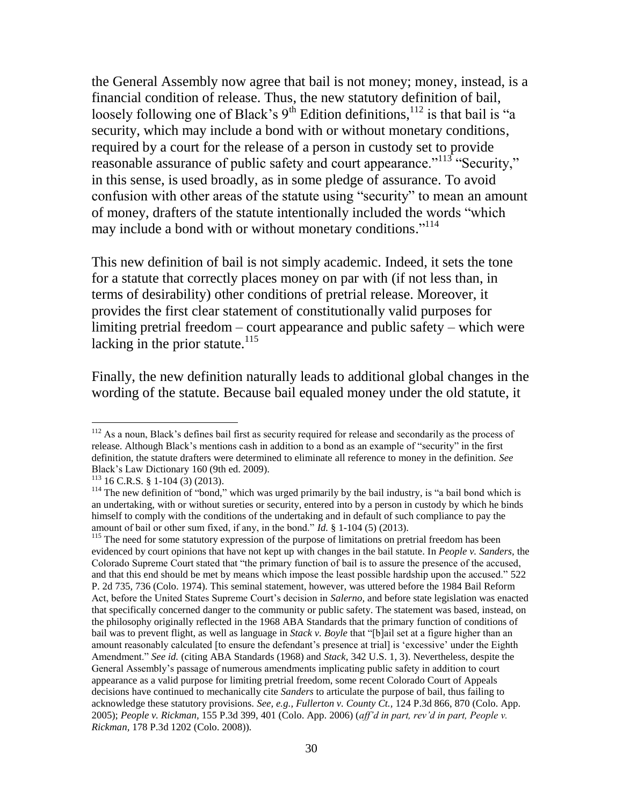the General Assembly now agree that bail is not money; money, instead, is a financial condition of release. Thus, the new statutory definition of bail, loosely following one of Black's  $9<sup>th</sup>$  Edition definitions,  $1<sup>12</sup>$  is that bail is "a security, which may include a bond with or without monetary conditions, required by a court for the release of a person in custody set to provide reasonable assurance of public safety and court appearance."<sup>113</sup> "Security," in this sense, is used broadly, as in some pledge of assurance. To avoid confusion with other areas of the statute using "security" to mean an amount of money, drafters of the statute intentionally included the words "which may include a bond with or without monetary conditions."<sup>114</sup>

This new definition of bail is not simply academic. Indeed, it sets the tone for a statute that correctly places money on par with (if not less than, in terms of desirability) other conditions of pretrial release. Moreover, it provides the first clear statement of constitutionally valid purposes for limiting pretrial freedom – court appearance and public safety – which were lacking in the prior statute. $^{115}$ 

Finally, the new definition naturally leads to additional global changes in the wording of the statute. Because bail equaled money under the old statute, it

<sup>&</sup>lt;sup>112</sup> As a noun, Black's defines bail first as security required for release and secondarily as the process of release. Although Black's mentions cash in addition to a bond as an example of "security" in the first definition, the statute drafters were determined to eliminate all reference to money in the definition. *See*  Black's Law Dictionary 160 (9th ed. 2009).

 $113$  16 C.R.S. § 1-104 (3) (2013).

<sup>&</sup>lt;sup>114</sup> The new definition of "bond," which was urged primarily by the bail industry, is "a bail bond which is an undertaking, with or without sureties or security, entered into by a person in custody by which he binds himself to comply with the conditions of the undertaking and in default of such compliance to pay the amount of bail or other sum fixed, if any, in the bond." *Id.* § 1-104 (5) (2013).

<sup>&</sup>lt;sup>115</sup> The need for some statutory expression of the purpose of limitations on pretrial freedom has been evidenced by court opinions that have not kept up with changes in the bail statute. In *People v. Sanders,* the Colorado Supreme Court stated that "the primary function of bail is to assure the presence of the accused, and that this end should be met by means which impose the least possible hardship upon the accused." 522 P. 2d 735, 736 (Colo. 1974). This seminal statement, however, was uttered before the 1984 Bail Reform Act, before the United States Supreme Court's decision in *Salerno,* and before state legislation was enacted that specifically concerned danger to the community or public safety. The statement was based, instead, on the philosophy originally reflected in the 1968 ABA Standards that the primary function of conditions of bail was to prevent flight, as well as language in *Stack v. Boyle* that "[b]ail set at a figure higher than an amount reasonably calculated [to ensure the defendant's presence at trial] is 'excessive' under the Eighth Amendment." *See id.* (citing ABA Standards (1968) and *Stack,* 342 U.S. 1, 3). Nevertheless, despite the General Assembly's passage of numerous amendments implicating public safety in addition to court appearance as a valid purpose for limiting pretrial freedom, some recent Colorado Court of Appeals decisions have continued to mechanically cite *Sanders* to articulate the purpose of bail, thus failing to acknowledge these statutory provisions. *See, e.g., Fullerton v. County Ct.,* 124 P.3d 866, 870 (Colo. App. 2005); *People v. Rickman,* 155 P.3d 399, 401 (Colo. App. 2006) (*aff'd in part, rev'd in part, People v. Rickman,* 178 P.3d 1202 (Colo. 2008)).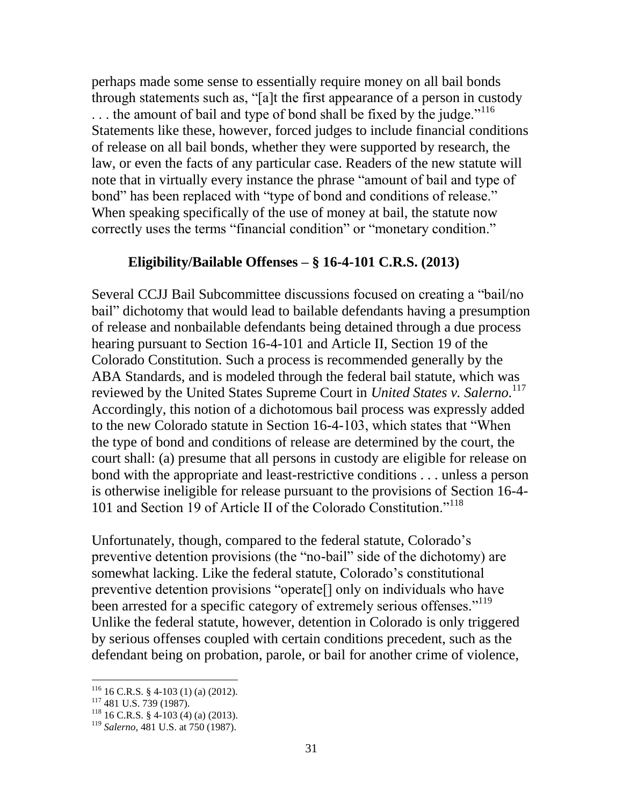perhaps made some sense to essentially require money on all bail bonds through statements such as, "[a]t the first appearance of a person in custody ... the amount of bail and type of bond shall be fixed by the judge."<sup>116</sup> Statements like these, however, forced judges to include financial conditions of release on all bail bonds, whether they were supported by research, the law, or even the facts of any particular case. Readers of the new statute will note that in virtually every instance the phrase "amount of bail and type of bond" has been replaced with "type of bond and conditions of release." When speaking specifically of the use of money at bail, the statute now correctly uses the terms "financial condition" or "monetary condition."

#### **Eligibility/Bailable Offenses – § 16-4-101 C.R.S. (2013)**

Several CCJJ Bail Subcommittee discussions focused on creating a "bail/no bail" dichotomy that would lead to bailable defendants having a presumption of release and nonbailable defendants being detained through a due process hearing pursuant to Section 16-4-101 and Article II, Section 19 of the Colorado Constitution. Such a process is recommended generally by the ABA Standards, and is modeled through the federal bail statute, which was reviewed by the United States Supreme Court in *United States v. Salerno.*<sup>117</sup> Accordingly, this notion of a dichotomous bail process was expressly added to the new Colorado statute in Section 16-4-103, which states that "When the type of bond and conditions of release are determined by the court, the court shall: (a) presume that all persons in custody are eligible for release on bond with the appropriate and least-restrictive conditions . . . unless a person is otherwise ineligible for release pursuant to the provisions of Section 16-4- 101 and Section 19 of Article II of the Colorado Constitution."<sup>118</sup>

Unfortunately, though, compared to the federal statute, Colorado's preventive detention provisions (the "no-bail" side of the dichotomy) are somewhat lacking. Like the federal statute, Colorado's constitutional preventive detention provisions "operate[] only on individuals who have been arrested for a specific category of extremely serious offenses."<sup>119</sup> Unlike the federal statute, however, detention in Colorado is only triggered by serious offenses coupled with certain conditions precedent, such as the defendant being on probation, parole, or bail for another crime of violence,

 $116$  16 C.R.S. § 4-103 (1) (a) (2012).

 $117$  481 U.S. 739 (1987).

 $118$  16 C.R.S. § 4-103 (4) (a) (2013).

<sup>119</sup> *Salerno,* 481 U.S. at 750 (1987).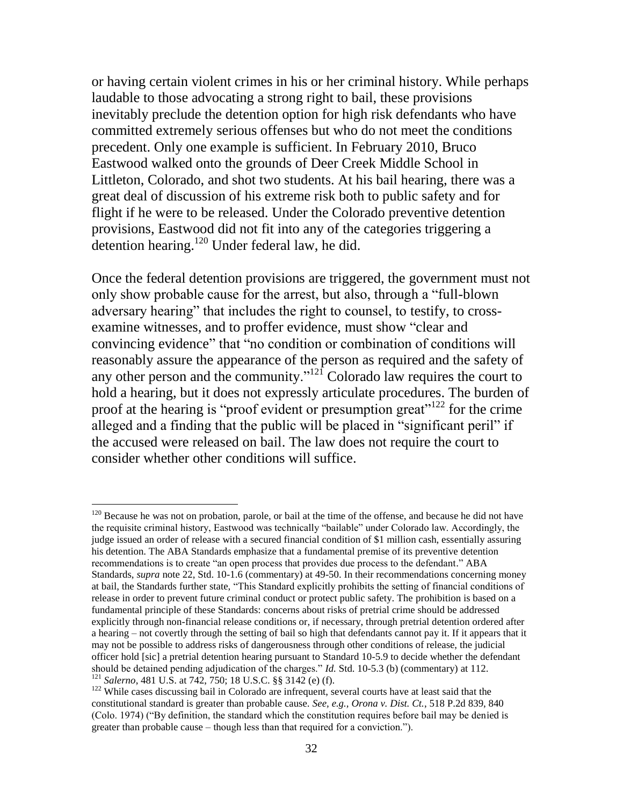or having certain violent crimes in his or her criminal history. While perhaps laudable to those advocating a strong right to bail, these provisions inevitably preclude the detention option for high risk defendants who have committed extremely serious offenses but who do not meet the conditions precedent. Only one example is sufficient. In February 2010, Bruco Eastwood walked onto the grounds of Deer Creek Middle School in Littleton, Colorado, and shot two students. At his bail hearing, there was a great deal of discussion of his extreme risk both to public safety and for flight if he were to be released. Under the Colorado preventive detention provisions, Eastwood did not fit into any of the categories triggering a detention hearing.<sup>120</sup> Under federal law, he did.

Once the federal detention provisions are triggered, the government must not only show probable cause for the arrest, but also, through a "full-blown adversary hearing" that includes the right to counsel, to testify, to crossexamine witnesses, and to proffer evidence, must show "clear and convincing evidence" that "no condition or combination of conditions will reasonably assure the appearance of the person as required and the safety of any other person and the community."<sup>121</sup> Colorado law requires the court to hold a hearing, but it does not expressly articulate procedures. The burden of proof at the hearing is "proof evident or presumption great"<sup>122</sup> for the crime alleged and a finding that the public will be placed in "significant peril" if the accused were released on bail. The law does not require the court to consider whether other conditions will suffice.

<sup>&</sup>lt;sup>120</sup> Because he was not on probation, parole, or bail at the time of the offense, and because he did not have the requisite criminal history, Eastwood was technically "bailable" under Colorado law. Accordingly, the judge issued an order of release with a secured financial condition of \$1 million cash, essentially assuring his detention. The ABA Standards emphasize that a fundamental premise of its preventive detention recommendations is to create "an open process that provides due process to the defendant." ABA Standards, *supra* note 22, Std. 10-1.6 (commentary) at 49-50. In their recommendations concerning money at bail, the Standards further state, "This Standard explicitly prohibits the setting of financial conditions of release in order to prevent future criminal conduct or protect public safety. The prohibition is based on a fundamental principle of these Standards: concerns about risks of pretrial crime should be addressed explicitly through non-financial release conditions or, if necessary, through pretrial detention ordered after a hearing – not covertly through the setting of bail so high that defendants cannot pay it. If it appears that it may not be possible to address risks of dangerousness through other conditions of release, the judicial officer hold [sic] a pretrial detention hearing pursuant to Standard 10-5.9 to decide whether the defendant should be detained pending adjudication of the charges." *Id.* Std. 10-5.3 (b) (commentary) at 112. <sup>121</sup> *Salerno*, 481 U.S. at 742, 750; 18 U.S.C. §§ 3142 (e) (f).

<sup>&</sup>lt;sup>122</sup> While cases discussing bail in Colorado are infrequent, several courts have at least said that the constitutional standard is greater than probable cause. *See, e.g., Orona v. Dist. Ct.*, 518 P.2d 839, 840 (Colo. 1974) ("By definition, the standard which the constitution requires before bail may be denied is greater than probable cause – though less than that required for a conviction.").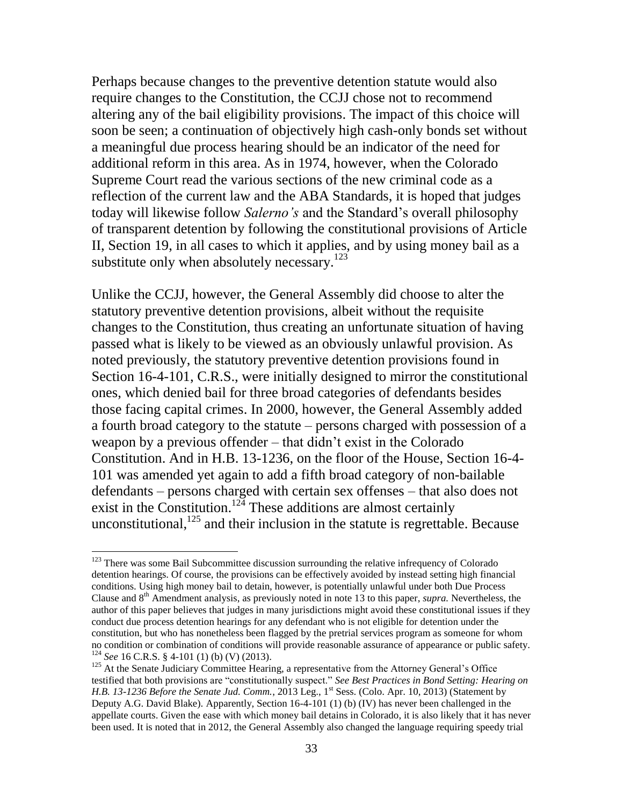Perhaps because changes to the preventive detention statute would also require changes to the Constitution, the CCJJ chose not to recommend altering any of the bail eligibility provisions. The impact of this choice will soon be seen; a continuation of objectively high cash-only bonds set without a meaningful due process hearing should be an indicator of the need for additional reform in this area. As in 1974, however, when the Colorado Supreme Court read the various sections of the new criminal code as a reflection of the current law and the ABA Standards, it is hoped that judges today will likewise follow *Salerno's* and the Standard's overall philosophy of transparent detention by following the constitutional provisions of Article II, Section 19, in all cases to which it applies, and by using money bail as a substitute only when absolutely necessary. $123$ 

Unlike the CCJJ, however, the General Assembly did choose to alter the statutory preventive detention provisions, albeit without the requisite changes to the Constitution, thus creating an unfortunate situation of having passed what is likely to be viewed as an obviously unlawful provision. As noted previously, the statutory preventive detention provisions found in Section 16-4-101, C.R.S., were initially designed to mirror the constitutional ones, which denied bail for three broad categories of defendants besides those facing capital crimes. In 2000, however, the General Assembly added a fourth broad category to the statute – persons charged with possession of a weapon by a previous offender – that didn't exist in the Colorado Constitution. And in H.B. 13-1236, on the floor of the House, Section 16-4- 101 was amended yet again to add a fifth broad category of non-bailable defendants – persons charged with certain sex offenses – that also does not exist in the Constitution.<sup>124</sup> These additions are almost certainly unconstitutional,  $125$  and their inclusion in the statute is regrettable. Because

 $123$  There was some Bail Subcommittee discussion surrounding the relative infrequency of Colorado detention hearings. Of course, the provisions can be effectively avoided by instead setting high financial conditions. Using high money bail to detain, however, is potentially unlawful under both Due Process Clause and 8th Amendment analysis, as previously noted in note 13 to this paper, *supra.* Nevertheless, the author of this paper believes that judges in many jurisdictions might avoid these constitutional issues if they conduct due process detention hearings for any defendant who is not eligible for detention under the constitution, but who has nonetheless been flagged by the pretrial services program as someone for whom no condition or combination of conditions will provide reasonable assurance of appearance or public safety. <sup>124</sup> *See* 16 C.R.S. § 4-101 (1) (b) (V) (2013).

<sup>&</sup>lt;sup>125</sup> At the Senate Judiciary Committee Hearing, a representative from the Attorney General's Office testified that both provisions are "constitutionally suspect." *See Best Practices in Bond Setting: Hearing on H.B. 13-1236 Before the Senate Jud. Comm.*, 2013 Leg., 1<sup>st</sup> Sess. (Colo. Apr. 10, 2013) (Statement by Deputy A.G. David Blake). Apparently, Section 16-4-101 (1) (b) (IV) has never been challenged in the appellate courts. Given the ease with which money bail detains in Colorado, it is also likely that it has never been used. It is noted that in 2012, the General Assembly also changed the language requiring speedy trial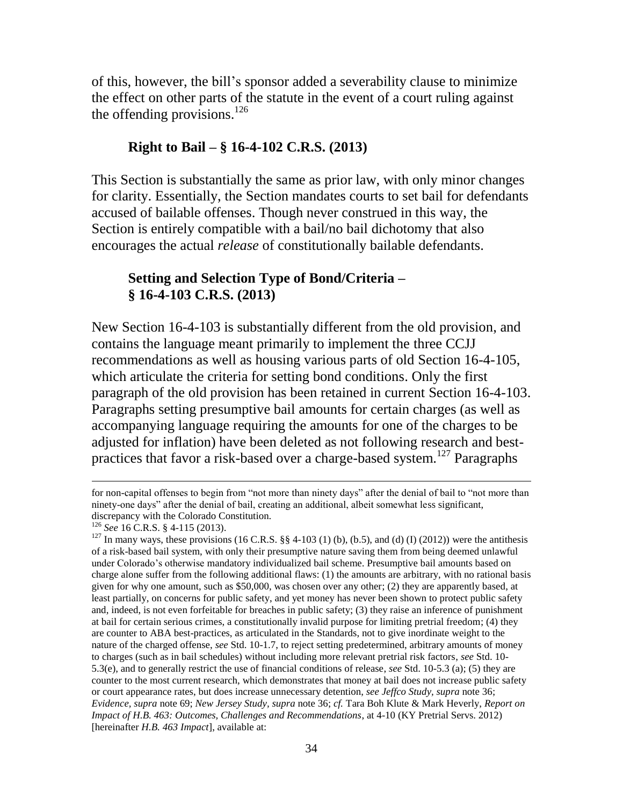of this, however, the bill's sponsor added a severability clause to minimize the effect on other parts of the statute in the event of a court ruling against the offending provisions. $^{126}$ 

## **Right to Bail – § 16-4-102 C.R.S. (2013)**

This Section is substantially the same as prior law, with only minor changes for clarity. Essentially, the Section mandates courts to set bail for defendants accused of bailable offenses. Though never construed in this way, the Section is entirely compatible with a bail/no bail dichotomy that also encourages the actual *release* of constitutionally bailable defendants.

# **Setting and Selection Type of Bond/Criteria – § 16-4-103 C.R.S. (2013)**

New Section 16-4-103 is substantially different from the old provision, and contains the language meant primarily to implement the three CCJJ recommendations as well as housing various parts of old Section 16-4-105, which articulate the criteria for setting bond conditions. Only the first paragraph of the old provision has been retained in current Section 16-4-103. Paragraphs setting presumptive bail amounts for certain charges (as well as accompanying language requiring the amounts for one of the charges to be adjusted for inflation) have been deleted as not following research and bestpractices that favor a risk-based over a charge-based system.<sup>127</sup> Paragraphs

for non-capital offenses to begin from "not more than ninety days" after the denial of bail to "not more than ninety-one days" after the denial of bail, creating an additional, albeit somewhat less significant, discrepancy with the Colorado Constitution.

<sup>126</sup> *See* 16 C.R.S. § 4-115 (2013).

<sup>&</sup>lt;sup>127</sup> In many ways, these provisions (16 C.R.S. §§ 4-103 (1) (b), (b.5), and (d) (I) (2012)) were the antithesis of a risk-based bail system, with only their presumptive nature saving them from being deemed unlawful under Colorado's otherwise mandatory individualized bail scheme. Presumptive bail amounts based on charge alone suffer from the following additional flaws: (1) the amounts are arbitrary, with no rational basis given for why one amount, such as \$50,000, was chosen over any other; (2) they are apparently based, at least partially, on concerns for public safety, and yet money has never been shown to protect public safety and, indeed, is not even forfeitable for breaches in public safety; (3) they raise an inference of punishment at bail for certain serious crimes, a constitutionally invalid purpose for limiting pretrial freedom; (4) they are counter to ABA best-practices, as articulated in the Standards, not to give inordinate weight to the nature of the charged offense, *see* Std. 10-1.7, to reject setting predetermined, arbitrary amounts of money to charges (such as in bail schedules) without including more relevant pretrial risk factors, *see* Std. 10- 5.3(e), and to generally restrict the use of financial conditions of release, *see* Std. 10-5.3 (a); (5) they are counter to the most current research, which demonstrates that money at bail does not increase public safety or court appearance rates, but does increase unnecessary detention, *see Jeffco Study, supra* note 36; *Evidence, supra* note 69; *New Jersey Study, supra* note 36; *cf.* Tara Boh Klute & Mark Heverly, *Report on Impact of H.B. 463: Outcomes, Challenges and Recommendations*, at 4-10 (KY Pretrial Servs. 2012) [hereinafter *H.B. 463 Impact*], available at: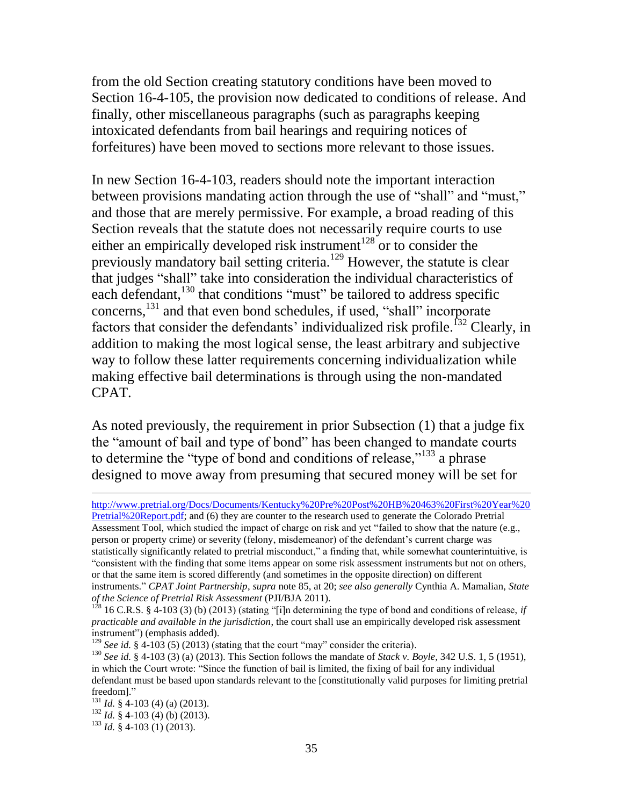from the old Section creating statutory conditions have been moved to Section 16-4-105, the provision now dedicated to conditions of release. And finally, other miscellaneous paragraphs (such as paragraphs keeping intoxicated defendants from bail hearings and requiring notices of forfeitures) have been moved to sections more relevant to those issues.

In new Section 16-4-103, readers should note the important interaction between provisions mandating action through the use of "shall" and "must," and those that are merely permissive. For example, a broad reading of this Section reveals that the statute does not necessarily require courts to use either an empirically developed risk instrument<sup>128</sup> or to consider the previously mandatory bail setting criteria.<sup>129</sup> However, the statute is clear that judges "shall" take into consideration the individual characteristics of each defendant,<sup>130</sup> that conditions "must" be tailored to address specific concerns, <sup>131</sup> and that even bond schedules, if used, "shall" incorporate factors that consider the defendants' individualized risk profile.<sup> $132$ </sup> Clearly, in addition to making the most logical sense, the least arbitrary and subjective way to follow these latter requirements concerning individualization while making effective bail determinations is through using the non-mandated CPAT.

As noted previously, the requirement in prior Subsection (1) that a judge fix the "amount of bail and type of bond" has been changed to mandate courts to determine the "type of bond and conditions of release,"<sup>133</sup> a phrase designed to move away from presuming that secured money will be set for

Assessment Tool, which studied the impact of charge on risk and yet "failed to show that the nature (e.g., person or property crime) or severity (felony, misdemeanor) of the defendant's current charge was statistically significantly related to pretrial misconduct," a finding that, while somewhat counterintuitive, is "consistent with the finding that some items appear on some risk assessment instruments but not on others, or that the same item is scored differently (and sometimes in the opposite direction) on different instruments." *CPAT Joint Partnership*, *supra* note 85, at 20; *see also generally* Cynthia A. Mamalian, *State of the Science of Pretrial Risk Assessment* (PJI/BJA 2011).

 $\overline{a}$ [http://www.pretrial.org/Docs/Documents/Kentucky%20Pre%20Post%20HB%20463%20First%20Year%20](http://www.pretrial.org/Docs/Documents/Kentucky%20Pre%20Post%20HB%20463%20First%20Year%20Pretrial%20Report.pdf) [Pretrial%20Report.pdf;](http://www.pretrial.org/Docs/Documents/Kentucky%20Pre%20Post%20HB%20463%20First%20Year%20Pretrial%20Report.pdf) and (6) they are counter to the research used to generate the Colorado Pretrial

 $1^{28}$  16 C.R.S. § 4-103 (3) (b) (2013) (stating "[i]n determining the type of bond and conditions of release, *if practicable and available in the jurisdiction*, the court shall use an empirically developed risk assessment instrument") (emphasis added).

<sup>&</sup>lt;sup>129</sup> *See id.*  $\hat{\mathbf{g}}$  4-103 (5) (2013) (stating that the court "may" consider the criteria).

<sup>130</sup> *See id.* § 4-103 (3) (a) (2013). This Section follows the mandate of *Stack v. Boyle,* 342 U.S. 1, 5 (1951), in which the Court wrote: "Since the function of bail is limited, the fixing of bail for any individual defendant must be based upon standards relevant to the [constitutionally valid purposes for limiting pretrial freedom]."

<sup>131</sup> *Id.* § 4-103 (4) (a) (2013).

<sup>132</sup> *Id.* § 4-103 (4) (b) (2013).

<sup>133</sup> *Id.* § 4-103 (1) (2013).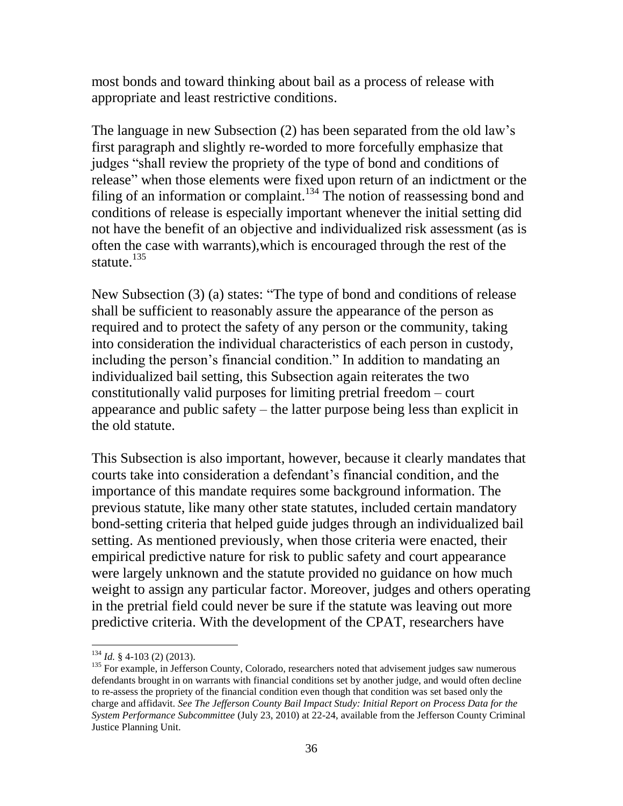most bonds and toward thinking about bail as a process of release with appropriate and least restrictive conditions.

The language in new Subsection (2) has been separated from the old law's first paragraph and slightly re-worded to more forcefully emphasize that judges "shall review the propriety of the type of bond and conditions of release" when those elements were fixed upon return of an indictment or the filing of an information or complaint.<sup>134</sup> The notion of reassessing bond and conditions of release is especially important whenever the initial setting did not have the benefit of an objective and individualized risk assessment (as is often the case with warrants),which is encouraged through the rest of the statute. $^{135}$ 

New Subsection (3) (a) states: "The type of bond and conditions of release shall be sufficient to reasonably assure the appearance of the person as required and to protect the safety of any person or the community, taking into consideration the individual characteristics of each person in custody, including the person's financial condition." In addition to mandating an individualized bail setting, this Subsection again reiterates the two constitutionally valid purposes for limiting pretrial freedom – court appearance and public safety – the latter purpose being less than explicit in the old statute.

This Subsection is also important, however, because it clearly mandates that courts take into consideration a defendant's financial condition, and the importance of this mandate requires some background information. The previous statute, like many other state statutes, included certain mandatory bond-setting criteria that helped guide judges through an individualized bail setting. As mentioned previously, when those criteria were enacted, their empirical predictive nature for risk to public safety and court appearance were largely unknown and the statute provided no guidance on how much weight to assign any particular factor. Moreover, judges and others operating in the pretrial field could never be sure if the statute was leaving out more predictive criteria. With the development of the CPAT, researchers have

<sup>134</sup> *Id.* § 4-103 (2) (2013).

<sup>&</sup>lt;sup>135</sup> For example, in Jefferson County, Colorado, researchers noted that advisement judges saw numerous defendants brought in on warrants with financial conditions set by another judge, and would often decline to re-assess the propriety of the financial condition even though that condition was set based only the charge and affidavit. *See The Jefferson County Bail Impact Study: Initial Report on Process Data for the System Performance Subcommittee* (July 23, 2010) at 22-24, available from the Jefferson County Criminal Justice Planning Unit.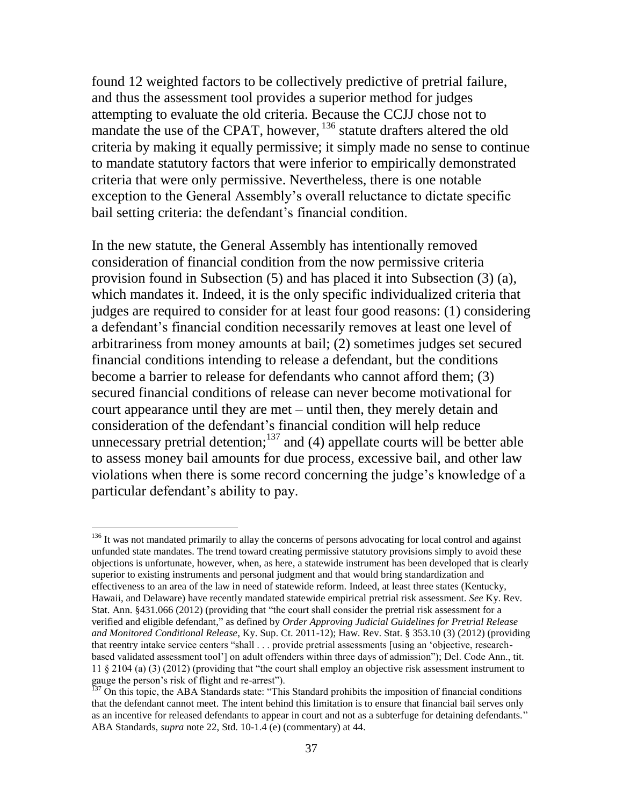found 12 weighted factors to be collectively predictive of pretrial failure, and thus the assessment tool provides a superior method for judges attempting to evaluate the old criteria. Because the CCJJ chose not to mandate the use of the CPAT, however, <sup>136</sup> statute drafters altered the old criteria by making it equally permissive; it simply made no sense to continue to mandate statutory factors that were inferior to empirically demonstrated criteria that were only permissive. Nevertheless, there is one notable exception to the General Assembly's overall reluctance to dictate specific bail setting criteria: the defendant's financial condition.

In the new statute, the General Assembly has intentionally removed consideration of financial condition from the now permissive criteria provision found in Subsection (5) and has placed it into Subsection (3) (a), which mandates it. Indeed, it is the only specific individualized criteria that judges are required to consider for at least four good reasons: (1) considering a defendant's financial condition necessarily removes at least one level of arbitrariness from money amounts at bail; (2) sometimes judges set secured financial conditions intending to release a defendant, but the conditions become a barrier to release for defendants who cannot afford them; (3) secured financial conditions of release can never become motivational for court appearance until they are met – until then, they merely detain and consideration of the defendant's financial condition will help reduce unnecessary pretrial detention;  $137$  and (4) appellate courts will be better able to assess money bail amounts for due process, excessive bail, and other law violations when there is some record concerning the judge's knowledge of a particular defendant's ability to pay.

<sup>&</sup>lt;sup>136</sup> It was not mandated primarily to allay the concerns of persons advocating for local control and against unfunded state mandates. The trend toward creating permissive statutory provisions simply to avoid these objections is unfortunate, however, when, as here, a statewide instrument has been developed that is clearly superior to existing instruments and personal judgment and that would bring standardization and effectiveness to an area of the law in need of statewide reform. Indeed, at least three states (Kentucky, Hawaii, and Delaware) have recently mandated statewide empirical pretrial risk assessment. *See* Ky. Rev. Stat. Ann. §431.066 (2012) (providing that "the court shall consider the pretrial risk assessment for a verified and eligible defendant," as defined by *Order Approving Judicial Guidelines for Pretrial Release and Monitored Conditional Release*, Ky. Sup. Ct. 2011-12); Haw. Rev. Stat. § 353.10 (3) (2012) (providing that reentry intake service centers "shall . . . provide pretrial assessments [using an 'objective, researchbased validated assessment tool'] on adult offenders within three days of admission"); Del. Code Ann., tit. 11 § 2104 (a) (3) (2012) (providing that "the court shall employ an objective risk assessment instrument to gauge the person's risk of flight and re-arrest").

 $<sup>137</sup>$  On this topic, the ABA Standards state: "This Standard prohibits the imposition of financial conditions</sup> that the defendant cannot meet. The intent behind this limitation is to ensure that financial bail serves only as an incentive for released defendants to appear in court and not as a subterfuge for detaining defendants." ABA Standards, *supra* note 22, Std. 10-1.4 (e) (commentary) at 44.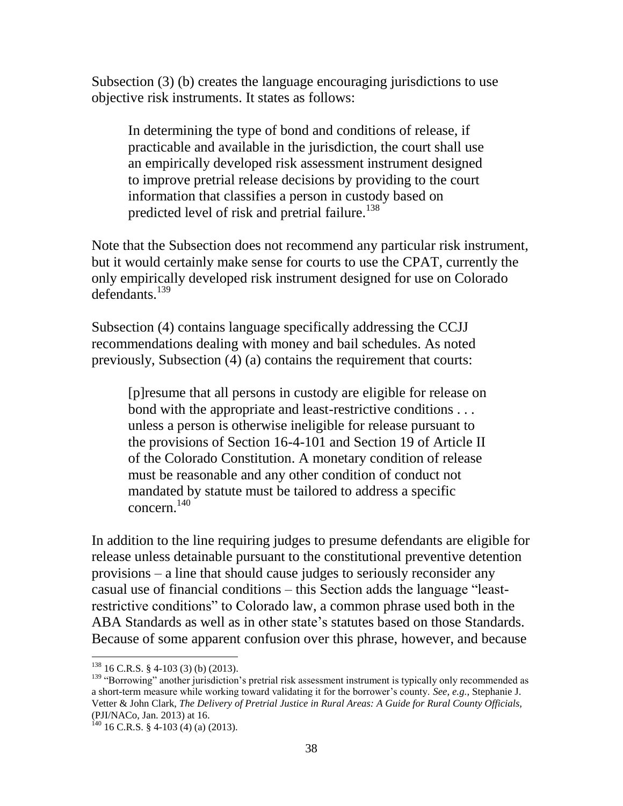Subsection (3) (b) creates the language encouraging jurisdictions to use objective risk instruments. It states as follows:

In determining the type of bond and conditions of release, if practicable and available in the jurisdiction, the court shall use an empirically developed risk assessment instrument designed to improve pretrial release decisions by providing to the court information that classifies a person in custody based on predicted level of risk and pretrial failure.<sup>138</sup>

Note that the Subsection does not recommend any particular risk instrument, but it would certainly make sense for courts to use the CPAT, currently the only empirically developed risk instrument designed for use on Colorado defendants<sup>139</sup>

Subsection (4) contains language specifically addressing the CCJJ recommendations dealing with money and bail schedules. As noted previously, Subsection (4) (a) contains the requirement that courts:

[p]resume that all persons in custody are eligible for release on bond with the appropriate and least-restrictive conditions . . . unless a person is otherwise ineligible for release pursuant to the provisions of Section 16-4-101 and Section 19 of Article II of the Colorado Constitution. A monetary condition of release must be reasonable and any other condition of conduct not mandated by statute must be tailored to address a specific concern. 140

In addition to the line requiring judges to presume defendants are eligible for release unless detainable pursuant to the constitutional preventive detention provisions – a line that should cause judges to seriously reconsider any casual use of financial conditions – this Section adds the language "leastrestrictive conditions" to Colorado law, a common phrase used both in the ABA Standards as well as in other state's statutes based on those Standards. Because of some apparent confusion over this phrase, however, and because

 $138$  16 C.R.S. § 4-103 (3) (b) (2013).

<sup>&</sup>lt;sup>139</sup> "Borrowing" another jurisdiction's pretrial risk assessment instrument is typically only recommended as a short-term measure while working toward validating it for the borrower's county. *See, e.g.,* Stephanie J. Vetter & John Clark, *The Delivery of Pretrial Justice in Rural Areas: A Guide for Rural County Officials,*  (PJI/NACo, Jan. 2013) at 16.

 $140$  16 C.R.S. § 4-103 (4) (a) (2013).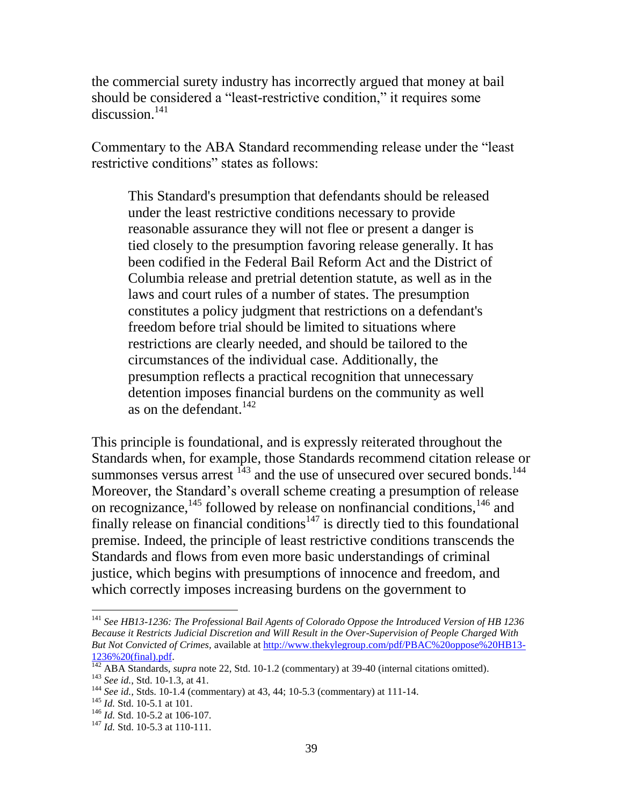the commercial surety industry has incorrectly argued that money at bail should be considered a "least-restrictive condition," it requires some discussion. $141$ 

Commentary to the ABA Standard recommending release under the "least restrictive conditions" states as follows:

This Standard's presumption that defendants should be released under the least restrictive conditions necessary to provide reasonable assurance they will not flee or present a danger is tied closely to the presumption favoring release generally. It has been codified in the Federal Bail Reform Act and the District of Columbia release and pretrial detention statute, as well as in the laws and court rules of a number of states. The presumption constitutes a policy judgment that restrictions on a defendant's freedom before trial should be limited to situations where restrictions are clearly needed, and should be tailored to the circumstances of the individual case. Additionally, the presumption reflects a practical recognition that unnecessary detention imposes financial burdens on the community as well as on the defendant. $^{142}$ 

This principle is foundational, and is expressly reiterated throughout the Standards when, for example, those Standards recommend citation release or summonses versus arrest  $143$  and the use of unsecured over secured bonds.<sup>144</sup> Moreover, the Standard's overall scheme creating a presumption of release on recognizance,<sup>145</sup> followed by release on nonfinancial conditions,  $146$  and finally release on financial conditions<sup> $147$ </sup> is directly tied to this foundational premise. Indeed, the principle of least restrictive conditions transcends the Standards and flows from even more basic understandings of criminal justice, which begins with presumptions of innocence and freedom, and which correctly imposes increasing burdens on the government to

<sup>141</sup> *See HB13-1236: The Professional Bail Agents of Colorado Oppose the Introduced Version of HB 1236 Because it Restricts Judicial Discretion and Will Result in the Over-Supervision of People Charged With But Not Convicted of Crimes,* available at [http://www.thekylegroup.com/pdf/PBAC%20oppose%20HB13-](http://www.thekylegroup.com/pdf/PBAC%20oppose%20HB13-1236%20(final).pdf) [1236%20\(final\).pdf.](http://www.thekylegroup.com/pdf/PBAC%20oppose%20HB13-1236%20(final).pdf)

<sup>142</sup> ABA Standards, *supra* note 22, Std. 10-1.2 (commentary) at 39-40 (internal citations omitted). <sup>143</sup> *See id.*, Std. 10-1.3, at 41.

<sup>144</sup> *See id.,* Stds. 10-1.4 (commentary) at 43, 44; 10-5.3 (commentary) at 111-14.

<sup>145</sup> *Id.* Std. 10-5.1 at 101.

<sup>&</sup>lt;sup>146</sup> *Id.* Std. 10-5.2 at 106-107.

<sup>&</sup>lt;sup>147</sup> *Id.* Std. 10-5.3 at 110-111.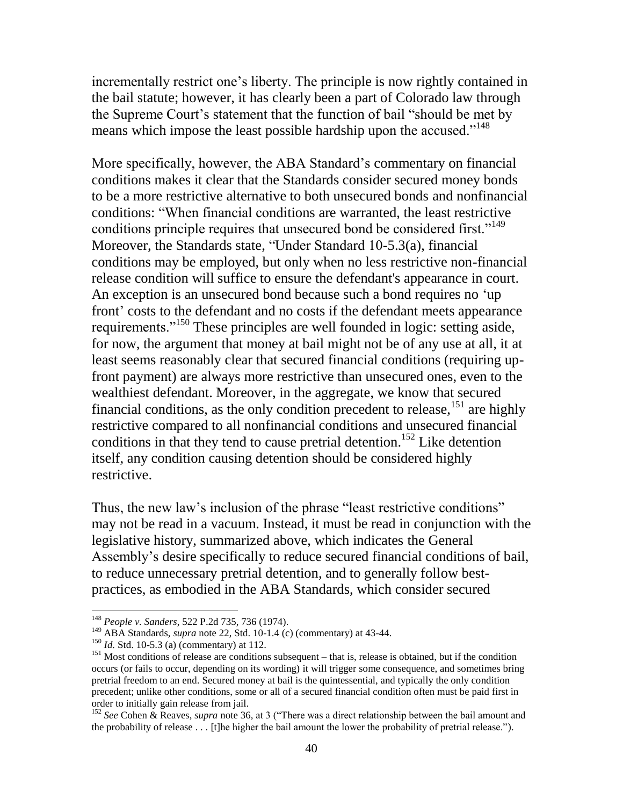incrementally restrict one's liberty. The principle is now rightly contained in the bail statute; however, it has clearly been a part of Colorado law through the Supreme Court's statement that the function of bail "should be met by means which impose the least possible hardship upon the accused."<sup>148</sup>

More specifically, however, the ABA Standard's commentary on financial conditions makes it clear that the Standards consider secured money bonds to be a more restrictive alternative to both unsecured bonds and nonfinancial conditions: "When financial conditions are warranted, the least restrictive conditions principle requires that unsecured bond be considered first."<sup>149</sup> Moreover, the Standards state, "Under Standard 10-5.3(a), financial conditions may be employed, but only when no less restrictive non-financial release condition will suffice to ensure the defendant's appearance in court. An exception is an unsecured bond because such a bond requires no 'up front' costs to the defendant and no costs if the defendant meets appearance requirements."<sup>150</sup> These principles are well founded in logic: setting aside, for now, the argument that money at bail might not be of any use at all, it at least seems reasonably clear that secured financial conditions (requiring upfront payment) are always more restrictive than unsecured ones, even to the wealthiest defendant. Moreover, in the aggregate, we know that secured financial conditions, as the only condition precedent to release,  $^{151}$  are highly restrictive compared to all nonfinancial conditions and unsecured financial conditions in that they tend to cause pretrial detention.<sup>152</sup> Like detention itself, any condition causing detention should be considered highly restrictive.

Thus, the new law's inclusion of the phrase "least restrictive conditions" may not be read in a vacuum. Instead, it must be read in conjunction with the legislative history, summarized above, which indicates the General Assembly's desire specifically to reduce secured financial conditions of bail, to reduce unnecessary pretrial detention, and to generally follow bestpractices, as embodied in the ABA Standards, which consider secured

<sup>148</sup> *People v. Sanders*, 522 P.2d 735, 736 (1974).

<sup>149</sup> ABA Standards, *supra* note 22, Std. 10-1.4 (c) (commentary) at 43-44.

<sup>150</sup> *Id.* Std. 10-5.3 (a) (commentary) at 112.

<sup>&</sup>lt;sup>151</sup> Most conditions of release are conditions subsequent – that is, release is obtained, but if the condition occurs (or fails to occur, depending on its wording) it will trigger some consequence, and sometimes bring pretrial freedom to an end. Secured money at bail is the quintessential, and typically the only condition precedent; unlike other conditions, some or all of a secured financial condition often must be paid first in order to initially gain release from jail.

<sup>&</sup>lt;sup>152</sup> See Cohen & Reaves, *supra* note 36, at 3 ("There was a direct relationship between the bail amount and the probability of release . . . [t]he higher the bail amount the lower the probability of pretrial release.").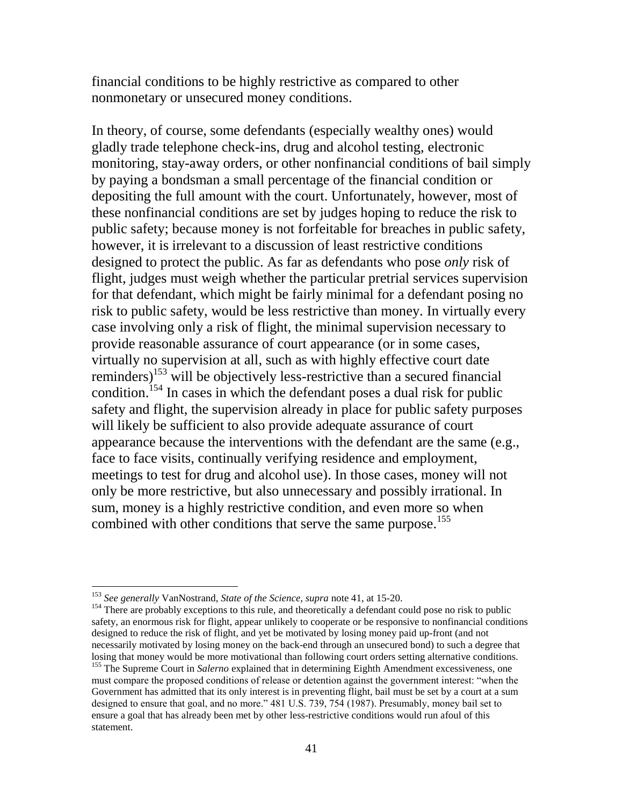financial conditions to be highly restrictive as compared to other nonmonetary or unsecured money conditions.

In theory, of course, some defendants (especially wealthy ones) would gladly trade telephone check-ins, drug and alcohol testing, electronic monitoring, stay-away orders, or other nonfinancial conditions of bail simply by paying a bondsman a small percentage of the financial condition or depositing the full amount with the court. Unfortunately, however, most of these nonfinancial conditions are set by judges hoping to reduce the risk to public safety; because money is not forfeitable for breaches in public safety, however, it is irrelevant to a discussion of least restrictive conditions designed to protect the public. As far as defendants who pose *only* risk of flight, judges must weigh whether the particular pretrial services supervision for that defendant, which might be fairly minimal for a defendant posing no risk to public safety, would be less restrictive than money. In virtually every case involving only a risk of flight, the minimal supervision necessary to provide reasonable assurance of court appearance (or in some cases, virtually no supervision at all, such as with highly effective court date reminders)<sup>153</sup> will be objectively less-restrictive than a secured financial condition.<sup>154</sup> In cases in which the defendant poses a dual risk for public safety and flight, the supervision already in place for public safety purposes will likely be sufficient to also provide adequate assurance of court appearance because the interventions with the defendant are the same (e.g., face to face visits, continually verifying residence and employment, meetings to test for drug and alcohol use). In those cases, money will not only be more restrictive, but also unnecessary and possibly irrational. In sum, money is a highly restrictive condition, and even more so when combined with other conditions that serve the same purpose.<sup>155</sup>

<sup>153</sup> *See generally* VanNostrand, *State of the Science, supra* note 41, at 15-20.

<sup>&</sup>lt;sup>154</sup> There are probably exceptions to this rule, and theoretically a defendant could pose no risk to public safety, an enormous risk for flight, appear unlikely to cooperate or be responsive to nonfinancial conditions designed to reduce the risk of flight, and yet be motivated by losing money paid up-front (and not necessarily motivated by losing money on the back-end through an unsecured bond) to such a degree that losing that money would be more motivational than following court orders setting alternative conditions. <sup>155</sup> The Supreme Court in *Salerno* explained that in determining Eighth Amendment excessiveness, one must compare the proposed conditions of release or detention against the government interest: "when the Government has admitted that its only interest is in preventing flight, bail must be set by a court at a sum designed to ensure that goal, and no more." 481 U.S. 739, 754 (1987). Presumably, money bail set to ensure a goal that has already been met by other less-restrictive conditions would run afoul of this statement.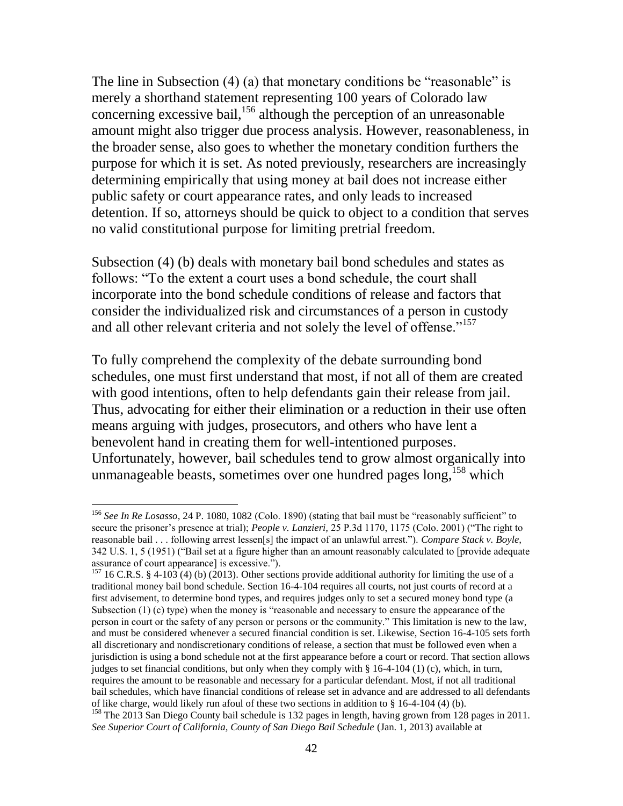The line in Subsection (4) (a) that monetary conditions be "reasonable" is merely a shorthand statement representing 100 years of Colorado law concerning excessive bail, $156$  although the perception of an unreasonable amount might also trigger due process analysis. However, reasonableness, in the broader sense, also goes to whether the monetary condition furthers the purpose for which it is set. As noted previously, researchers are increasingly determining empirically that using money at bail does not increase either public safety or court appearance rates, and only leads to increased detention. If so, attorneys should be quick to object to a condition that serves no valid constitutional purpose for limiting pretrial freedom.

Subsection (4) (b) deals with monetary bail bond schedules and states as follows: "To the extent a court uses a bond schedule, the court shall incorporate into the bond schedule conditions of release and factors that consider the individualized risk and circumstances of a person in custody and all other relevant criteria and not solely the level of offense."<sup>157</sup>

To fully comprehend the complexity of the debate surrounding bond schedules, one must first understand that most, if not all of them are created with good intentions, often to help defendants gain their release from jail. Thus, advocating for either their elimination or a reduction in their use often means arguing with judges, prosecutors, and others who have lent a benevolent hand in creating them for well-intentioned purposes. Unfortunately, however, bail schedules tend to grow almost organically into unmanageable beasts, sometimes over one hundred pages long,<sup>158</sup> which

<sup>156</sup> *See In Re Losasso,* 24 P. 1080, 1082 (Colo. 1890) (stating that bail must be "reasonably sufficient" to secure the prisoner's presence at trial); *People v. Lanzieri,* 25 P.3d 1170, 1175 (Colo. 2001) ("The right to reasonable bail . . . following arrest lessen[s] the impact of an unlawful arrest."). *Compare Stack v. Boyle,*  342 U.S. 1, 5 (1951) ("Bail set at a figure higher than an amount reasonably calculated to [provide adequate assurance of court appearance] is excessive.").

<sup>&</sup>lt;sup>157</sup> 16 C.R.S. § 4-103 (4) (b) (2013). Other sections provide additional authority for limiting the use of a traditional money bail bond schedule. Section 16-4-104 requires all courts, not just courts of record at a first advisement, to determine bond types, and requires judges only to set a secured money bond type (a Subsection (1) (c) type) when the money is "reasonable and necessary to ensure the appearance of the person in court or the safety of any person or persons or the community." This limitation is new to the law, and must be considered whenever a secured financial condition is set. Likewise, Section 16-4-105 sets forth all discretionary and nondiscretionary conditions of release, a section that must be followed even when a jurisdiction is using a bond schedule not at the first appearance before a court or record. That section allows judges to set financial conditions, but only when they comply with  $\S 16-4-104$  (1) (c), which, in turn, requires the amount to be reasonable and necessary for a particular defendant. Most, if not all traditional bail schedules, which have financial conditions of release set in advance and are addressed to all defendants of like charge, would likely run afoul of these two sections in addition to § 16-4-104 (4) (b).

<sup>&</sup>lt;sup>158</sup> The 2013 San Diego County bail schedule is 132 pages in length, having grown from 128 pages in 2011. See Superior Court of California, County of San Diego Bail Schedule (Jan. 1, 2013) available at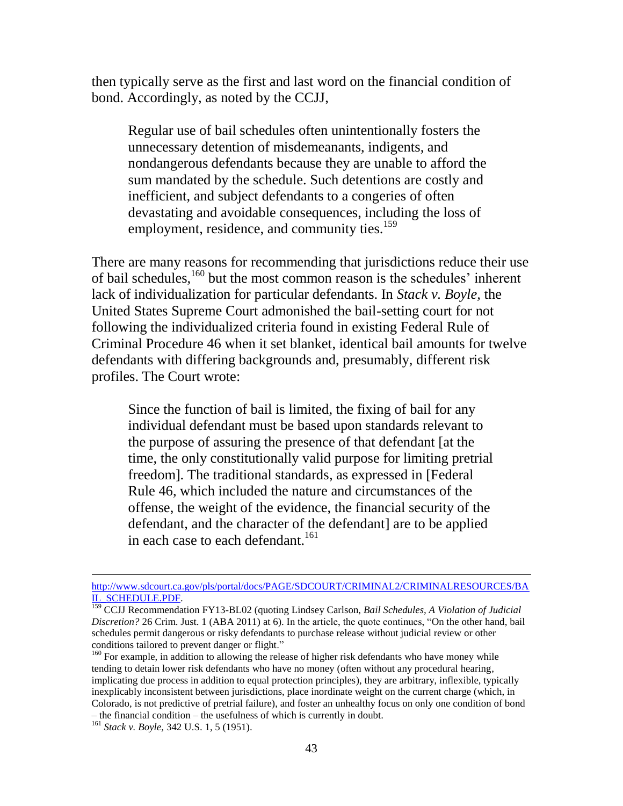then typically serve as the first and last word on the financial condition of bond. Accordingly, as noted by the CCJJ,

Regular use of bail schedules often unintentionally fosters the unnecessary detention of misdemeanants, indigents, and nondangerous defendants because they are unable to afford the sum mandated by the schedule. Such detentions are costly and inefficient, and subject defendants to a congeries of often devastating and avoidable consequences, including the loss of employment, residence, and community ties.<sup>159</sup>

There are many reasons for recommending that jurisdictions reduce their use of bail schedules,<sup>160</sup> but the most common reason is the schedules' inherent lack of individualization for particular defendants. In *Stack v. Boyle,* the United States Supreme Court admonished the bail-setting court for not following the individualized criteria found in existing Federal Rule of Criminal Procedure 46 when it set blanket, identical bail amounts for twelve defendants with differing backgrounds and, presumably, different risk profiles. The Court wrote:

Since the function of bail is limited, the fixing of bail for any individual defendant must be based upon standards relevant to the purpose of assuring the presence of that defendant [at the time, the only constitutionally valid purpose for limiting pretrial freedom]. The traditional standards, as expressed in [Federal Rule 46, which included the nature and circumstances of the offense, the weight of the evidence, the financial security of the defendant, and the character of the defendant] are to be applied in each case to each defendant.<sup>161</sup>

[http://www.sdcourt.ca.gov/pls/portal/docs/PAGE/SDCOURT/CRIMINAL2/CRIMINALRESOURCES/BA](http://www.sdcourt.ca.gov/pls/portal/docs/PAGE/SDCOURT/CRIMINAL2/CRIMINALRESOURCES/BAIL_SCHEDULE.PDF) [IL\\_SCHEDULE.PDF.](http://www.sdcourt.ca.gov/pls/portal/docs/PAGE/SDCOURT/CRIMINAL2/CRIMINALRESOURCES/BAIL_SCHEDULE.PDF)

<sup>159</sup> CCJJ Recommendation FY13-BL02 (quoting Lindsey Carlson, *Bail Schedules, A Violation of Judicial Discretion?* 26 Crim. Just. 1 (ABA 2011) at 6). In the article, the quote continues, "On the other hand, bail schedules permit dangerous or risky defendants to purchase release without judicial review or other conditions tailored to prevent danger or flight."

<sup>&</sup>lt;sup>160</sup> For example, in addition to allowing the release of higher risk defendants who have money while tending to detain lower risk defendants who have no money (often without any procedural hearing, implicating due process in addition to equal protection principles), they are arbitrary, inflexible, typically inexplicably inconsistent between jurisdictions, place inordinate weight on the current charge (which, in Colorado, is not predictive of pretrial failure), and foster an unhealthy focus on only one condition of bond – the financial condition – the usefulness of which is currently in doubt.

<sup>161</sup> *Stack v. Boyle,* 342 U.S. 1, 5 (1951).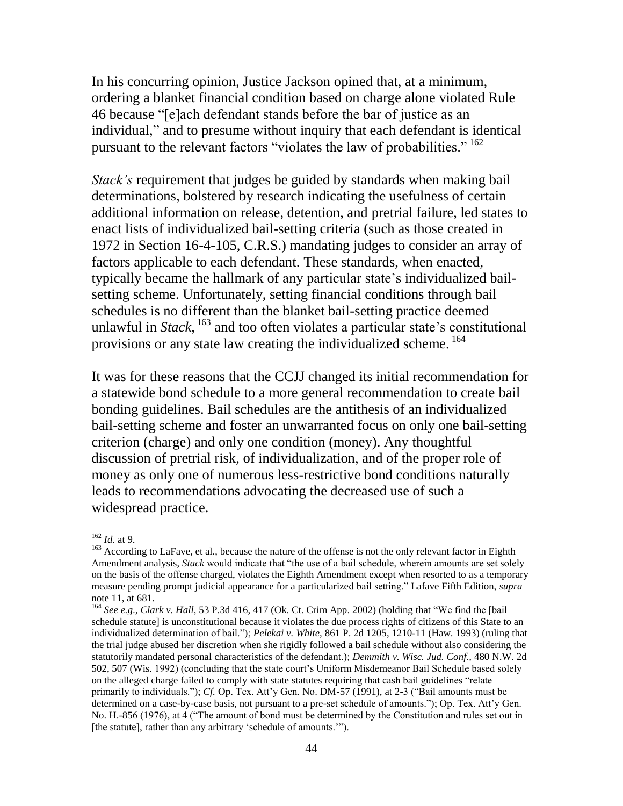In his concurring opinion, Justice Jackson opined that, at a minimum, ordering a blanket financial condition based on charge alone violated Rule 46 because "[e]ach defendant stands before the bar of justice as an individual," and to presume without inquiry that each defendant is identical pursuant to the relevant factors "violates the law of probabilities." <sup>162</sup>

*Stack's* requirement that judges be guided by standards when making bail determinations, bolstered by research indicating the usefulness of certain additional information on release, detention, and pretrial failure, led states to enact lists of individualized bail-setting criteria (such as those created in 1972 in Section 16-4-105, C.R.S.) mandating judges to consider an array of factors applicable to each defendant. These standards, when enacted, typically became the hallmark of any particular state's individualized bailsetting scheme. Unfortunately, setting financial conditions through bail schedules is no different than the blanket bail-setting practice deemed unlawful in *Stack*, <sup>163</sup> and too often violates a particular state's constitutional provisions or any state law creating the individualized scheme. <sup>164</sup>

It was for these reasons that the CCJJ changed its initial recommendation for a statewide bond schedule to a more general recommendation to create bail bonding guidelines. Bail schedules are the antithesis of an individualized bail-setting scheme and foster an unwarranted focus on only one bail-setting criterion (charge) and only one condition (money). Any thoughtful discussion of pretrial risk, of individualization, and of the proper role of money as only one of numerous less-restrictive bond conditions naturally leads to recommendations advocating the decreased use of such a widespread practice.

<sup>162</sup> *Id.* at 9.

<sup>&</sup>lt;sup>163</sup> According to LaFave, et al., because the nature of the offense is not the only relevant factor in Eighth Amendment analysis, *Stack* would indicate that "the use of a bail schedule, wherein amounts are set solely on the basis of the offense charged, violates the Eighth Amendment except when resorted to as a temporary measure pending prompt judicial appearance for a particularized bail setting." Lafave Fifth Edition, *supra*  note 11, at 681.

<sup>164</sup> *See e.g., Clark v. Hall,* 53 P.3d 416, 417 (Ok. Ct. Crim App. 2002) (holding that "We find the [bail schedule statute] is unconstitutional because it violates the due process rights of citizens of this State to an individualized determination of bail."); *Pelekai v. White,* 861 P. 2d 1205, 1210-11 (Haw. 1993) (ruling that the trial judge abused her discretion when she rigidly followed a bail schedule without also considering the statutorily mandated personal characteristics of the defendant.); *Demmith v. Wisc. Jud. Conf.,* 480 N.W. 2d 502, 507 (Wis. 1992) (concluding that the state court's Uniform Misdemeanor Bail Schedule based solely on the alleged charge failed to comply with state statutes requiring that cash bail guidelines "relate primarily to individuals."); *Cf.* Op. Tex. Att'y Gen. No. DM-57 (1991), at 2-3 ("Bail amounts must be determined on a case-by-case basis, not pursuant to a pre-set schedule of amounts."); Op. Tex. Att'y Gen. No. H.-856 (1976), at 4 ("The amount of bond must be determined by the Constitution and rules set out in [the statute], rather than any arbitrary 'schedule of amounts.'").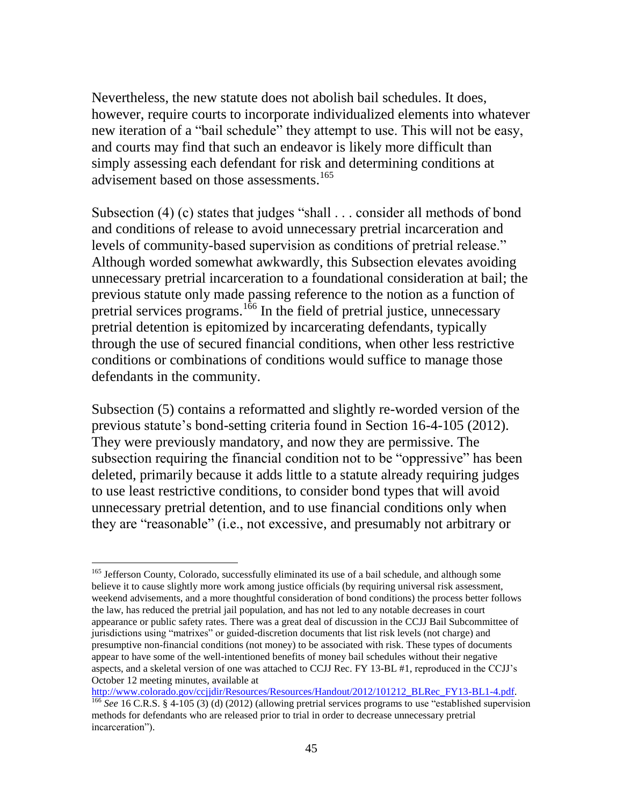Nevertheless, the new statute does not abolish bail schedules. It does, however, require courts to incorporate individualized elements into whatever new iteration of a "bail schedule" they attempt to use. This will not be easy, and courts may find that such an endeavor is likely more difficult than simply assessing each defendant for risk and determining conditions at advisement based on those assessments.<sup>165</sup>

Subsection (4) (c) states that judges "shall . . . consider all methods of bond and conditions of release to avoid unnecessary pretrial incarceration and levels of community-based supervision as conditions of pretrial release." Although worded somewhat awkwardly, this Subsection elevates avoiding unnecessary pretrial incarceration to a foundational consideration at bail; the previous statute only made passing reference to the notion as a function of pretrial services programs.<sup>166</sup> In the field of pretrial justice, unnecessary pretrial detention is epitomized by incarcerating defendants, typically through the use of secured financial conditions, when other less restrictive conditions or combinations of conditions would suffice to manage those defendants in the community.

Subsection (5) contains a reformatted and slightly re-worded version of the previous statute's bond-setting criteria found in Section 16-4-105 (2012). They were previously mandatory, and now they are permissive. The subsection requiring the financial condition not to be "oppressive" has been deleted, primarily because it adds little to a statute already requiring judges to use least restrictive conditions, to consider bond types that will avoid unnecessary pretrial detention, and to use financial conditions only when they are "reasonable" (i.e., not excessive, and presumably not arbitrary or

<sup>&</sup>lt;sup>165</sup> Jefferson County, Colorado, successfully eliminated its use of a bail schedule, and although some believe it to cause slightly more work among justice officials (by requiring universal risk assessment, weekend advisements, and a more thoughtful consideration of bond conditions) the process better follows the law, has reduced the pretrial jail population, and has not led to any notable decreases in court appearance or public safety rates. There was a great deal of discussion in the CCJJ Bail Subcommittee of jurisdictions using "matrixes" or guided-discretion documents that list risk levels (not charge) and presumptive non-financial conditions (not money) to be associated with risk. These types of documents appear to have some of the well-intentioned benefits of money bail schedules without their negative aspects, and a skeletal version of one was attached to CCJJ Rec. FY 13-BL #1, reproduced in the CCJJ's October 12 meeting minutes, available at

[http://www.colorado.gov/ccjjdir/Resources/Resources/Handout/2012/101212\\_BLRec\\_FY13-BL1-4.pdf.](http://www.colorado.gov/ccjjdir/Resources/Resources/Handout/2012/101212_BLRec_FY13-BL1-4.pdf) <sup>166</sup> *See* 16 C.R.S. § 4-105 (3) (d) (2012) (allowing pretrial services programs to use "established supervision methods for defendants who are released prior to trial in order to decrease unnecessary pretrial incarceration").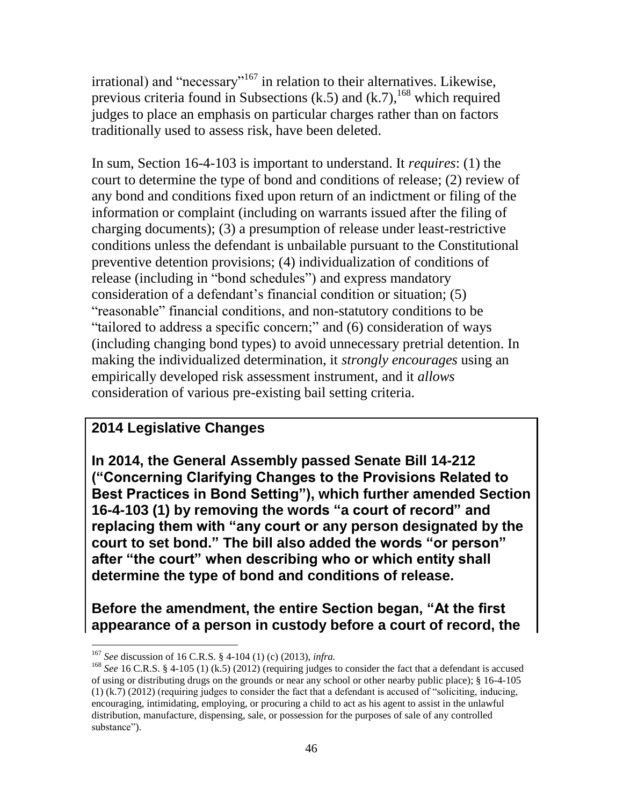$irrational)$  and "necessary"<sup>167</sup> in relation to their alternatives. Likewise, previous criteria found in Subsections (k.5) and  $(k.7)$ , <sup>168</sup> which required judges to place an emphasis on particular charges rather than on factors traditionally used to assess risk, have been deleted.

In sum, Section 16-4-103 is important to understand. It *requires*: (1) the court to determine the type of bond and conditions of release; (2) review of any bond and conditions fixed upon return of an indictment or filing of the information or complaint (including on warrants issued after the filing of charging documents); (3) a presumption of release under least-restrictive conditions unless the defendant is unbailable pursuant to the Constitutional preventive detention provisions; (4) individualization of conditions of release (including in "bond schedules") and express mandatory consideration of a defendant's financial condition or situation; (5) "reasonable" financial conditions, and non-statutory conditions to be "tailored to address a specific concern;" and (6) consideration of ways (including changing bond types) to avoid unnecessary pretrial detention. In making the individualized determination, it *strongly encourages* using an empirically developed risk assessment instrument, and it *allows* consideration of various pre-existing bail setting criteria.

# **2014 Legislative Changes**

**In 2014, the General Assembly passed Senate Bill 14-212 ("Concerning Clarifying Changes to the Provisions Related to Best Practices in Bond Setting"), which further amended Section 16-4-103 (1) by removing the words "a court of record" and replacing them with "any court or any person designated by the court to set bond." The bill also added the words "or person" after "the court" when describing who or which entity shall determine the type of bond and conditions of release.** 

**Before the amendment, the entire Section began, "At the first appearance of a person in custody before a court of record, the** 

<sup>167</sup> *See* discussion of 16 C.R.S. § 4-104 (1) (c) (2013), *infra.* 

<sup>&</sup>lt;sup>168</sup> *See* 16 C.R.S. § 4-105 (1) (k.5) (2012) (requiring judges to consider the fact that a defendant is accused of using or distributing drugs on the grounds or near any school or other nearby public place); § 16-4-105 (1) (k.7) (2012) (requiring judges to consider the fact that a defendant is accused of "soliciting, inducing, encouraging, intimidating, employing, or procuring a child to act as his agent to assist in the unlawful distribution, manufacture, dispensing, sale, or possession for the purposes of sale of any controlled substance").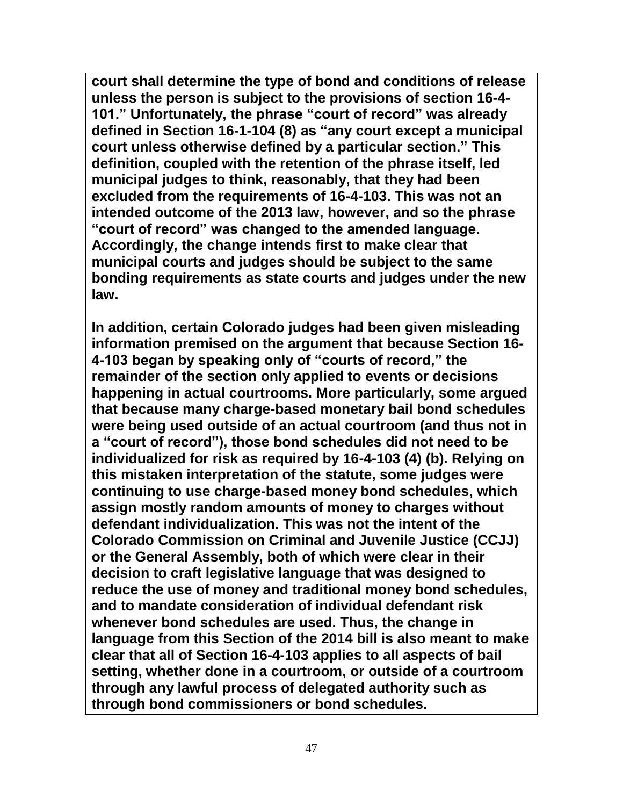**court shall determine the type of bond and conditions of release unless the person is subject to the provisions of section 16-4- 101." Unfortunately, the phrase "court of record" was already defined in Section 16-1-104 (8) as "any court except a municipal court unless otherwise defined by a particular section." This definition, coupled with the retention of the phrase itself, led municipal judges to think, reasonably, that they had been excluded from the requirements of 16-4-103. This was not an intended outcome of the 2013 law, however, and so the phrase "court of record" was changed to the amended language. Accordingly, the change intends first to make clear that municipal courts and judges should be subject to the same bonding requirements as state courts and judges under the new law.** 

**In addition, certain Colorado judges had been given misleading information premised on the argument that because Section 16- 4-103 began by speaking only of "courts of record," the remainder of the section only applied to events or decisions happening in actual courtrooms. More particularly, some argued that because many charge-based monetary bail bond schedules were being used outside of an actual courtroom (and thus not in a "court of record"), those bond schedules did not need to be individualized for risk as required by 16-4-103 (4) (b). Relying on this mistaken interpretation of the statute, some judges were continuing to use charge-based money bond schedules, which assign mostly random amounts of money to charges without defendant individualization. This was not the intent of the Colorado Commission on Criminal and Juvenile Justice (CCJJ) or the General Assembly, both of which were clear in their decision to craft legislative language that was designed to reduce the use of money and traditional money bond schedules, and to mandate consideration of individual defendant risk whenever bond schedules are used. Thus, the change in language from this Section of the 2014 bill is also meant to make clear that all of Section 16-4-103 applies to all aspects of bail setting, whether done in a courtroom, or outside of a courtroom through any lawful process of delegated authority such as through bond commissioners or bond schedules.**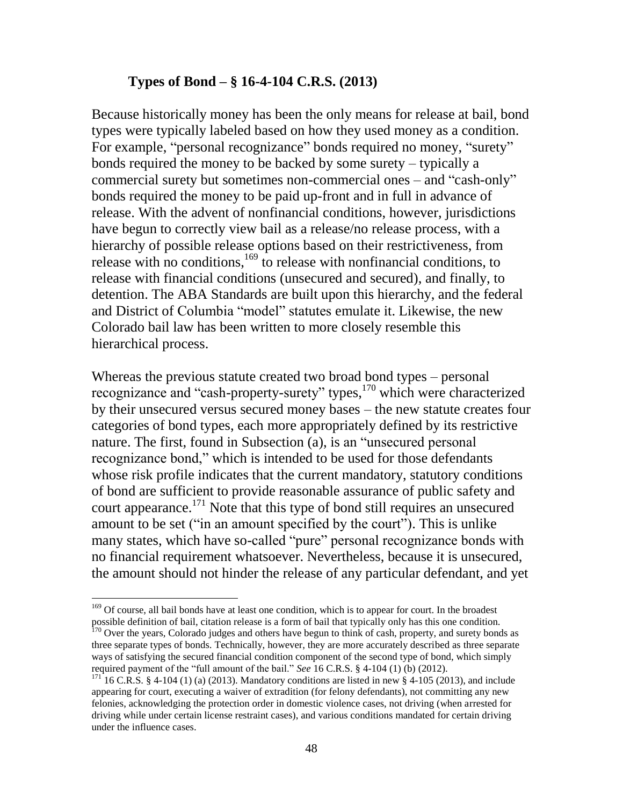#### **Types of Bond – § 16-4-104 C.R.S. (2013)**

Because historically money has been the only means for release at bail, bond types were typically labeled based on how they used money as a condition. For example, "personal recognizance" bonds required no money, "surety" bonds required the money to be backed by some surety – typically a commercial surety but sometimes non-commercial ones – and "cash-only" bonds required the money to be paid up-front and in full in advance of release. With the advent of nonfinancial conditions, however, jurisdictions have begun to correctly view bail as a release/no release process, with a hierarchy of possible release options based on their restrictiveness, from release with no conditions, $169$  to release with nonfinancial conditions, to release with financial conditions (unsecured and secured), and finally, to detention. The ABA Standards are built upon this hierarchy, and the federal and District of Columbia "model" statutes emulate it. Likewise, the new Colorado bail law has been written to more closely resemble this hierarchical process.

Whereas the previous statute created two broad bond types – personal recognizance and "cash-property-surety" types, <sup>170</sup> which were characterized by their unsecured versus secured money bases – the new statute creates four categories of bond types, each more appropriately defined by its restrictive nature. The first, found in Subsection (a), is an "unsecured personal recognizance bond," which is intended to be used for those defendants whose risk profile indicates that the current mandatory, statutory conditions of bond are sufficient to provide reasonable assurance of public safety and court appearance.<sup>171</sup> Note that this type of bond still requires an unsecured amount to be set ("in an amount specified by the court"). This is unlike many states, which have so-called "pure" personal recognizance bonds with no financial requirement whatsoever. Nevertheless, because it is unsecured, the amount should not hinder the release of any particular defendant, and yet

<sup>&</sup>lt;sup>169</sup> Of course, all bail bonds have at least one condition, which is to appear for court. In the broadest possible definition of bail, citation release is a form of bail that typically only has this one condition. <sup>170</sup> Over the years, Colorado judges and others have begun to think of cash, property, and surety bonds as three separate types of bonds. Technically, however, they are more accurately described as three separate ways of satisfying the secured financial condition component of the second type of bond, which simply required payment of the "full amount of the bail." *See* 16 C.R.S. § 4-104 (1) (b) (2012).

 $171 \n16$  C.R.S. § 4-104 (1) (a) (2013). Mandatory conditions are listed in new § 4-105 (2013), and include appearing for court, executing a waiver of extradition (for felony defendants), not committing any new felonies, acknowledging the protection order in domestic violence cases, not driving (when arrested for driving while under certain license restraint cases), and various conditions mandated for certain driving under the influence cases.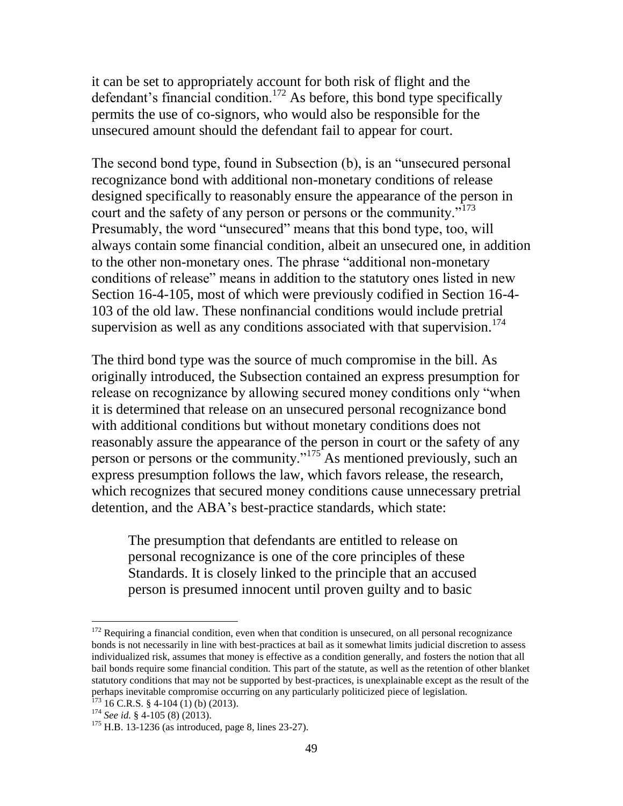it can be set to appropriately account for both risk of flight and the defendant's financial condition.<sup>172</sup> As before, this bond type specifically permits the use of co-signors, who would also be responsible for the unsecured amount should the defendant fail to appear for court.

The second bond type, found in Subsection (b), is an "unsecured personal recognizance bond with additional non-monetary conditions of release designed specifically to reasonably ensure the appearance of the person in court and the safety of any person or persons or the community."<sup>173</sup> Presumably, the word "unsecured" means that this bond type, too, will always contain some financial condition, albeit an unsecured one, in addition to the other non-monetary ones. The phrase "additional non-monetary conditions of release" means in addition to the statutory ones listed in new Section 16-4-105, most of which were previously codified in Section 16-4- 103 of the old law. These nonfinancial conditions would include pretrial supervision as well as any conditions associated with that supervision.<sup>174</sup>

The third bond type was the source of much compromise in the bill. As originally introduced, the Subsection contained an express presumption for release on recognizance by allowing secured money conditions only "when it is determined that release on an unsecured personal recognizance bond with additional conditions but without monetary conditions does not reasonably assure the appearance of the person in court or the safety of any person or persons or the community."<sup>175</sup> As mentioned previously, such an express presumption follows the law, which favors release, the research, which recognizes that secured money conditions cause unnecessary pretrial detention, and the ABA's best-practice standards, which state:

The presumption that defendants are entitled to release on personal recognizance is one of the core principles of these Standards. It is closely linked to the principle that an accused person is presumed innocent until proven guilty and to basic

 $172$  Requiring a financial condition, even when that condition is unsecured, on all personal recognizance bonds is not necessarily in line with best-practices at bail as it somewhat limits judicial discretion to assess individualized risk, assumes that money is effective as a condition generally, and fosters the notion that all bail bonds require some financial condition. This part of the statute, as well as the retention of other blanket statutory conditions that may not be supported by best-practices, is unexplainable except as the result of the perhaps inevitable compromise occurring on any particularly politicized piece of legislation.

 $173$  16 C.R.S. § 4-104 (1) (b) (2013).

<sup>174</sup> *See id.* § 4-105 (8) (2013).

 $175$  H.B. 13-1236 (as introduced, page 8, lines 23-27).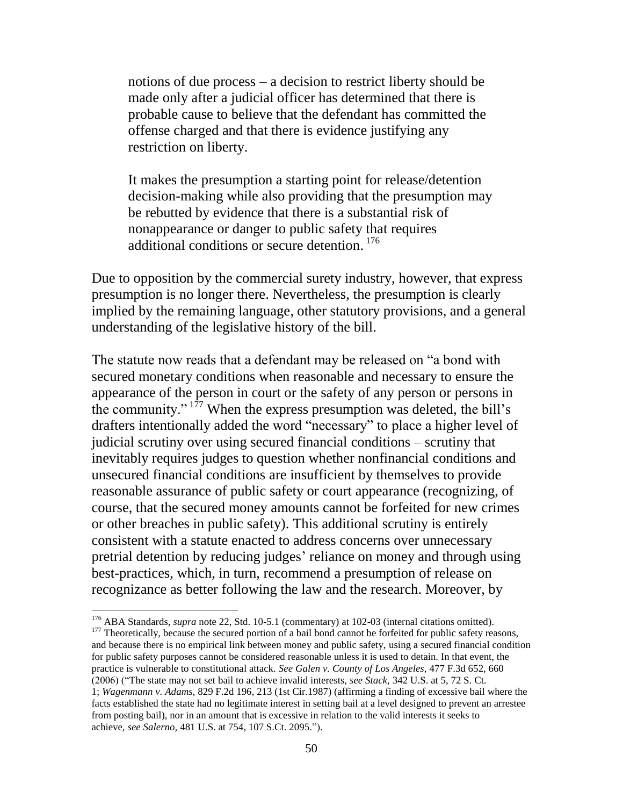notions of due process – a decision to restrict liberty should be made only after a judicial officer has determined that there is probable cause to believe that the defendant has committed the offense charged and that there is evidence justifying any restriction on liberty.

It makes the presumption a starting point for release/detention decision-making while also providing that the presumption may be rebutted by evidence that there is a substantial risk of nonappearance or danger to public safety that requires additional conditions or secure detention. 176

Due to opposition by the commercial surety industry, however, that express presumption is no longer there. Nevertheless, the presumption is clearly implied by the remaining language, other statutory provisions, and a general understanding of the legislative history of the bill.

The statute now reads that a defendant may be released on "a bond with secured monetary conditions when reasonable and necessary to ensure the appearance of the person in court or the safety of any person or persons in the community." <sup>177</sup> When the express presumption was deleted, the bill's drafters intentionally added the word "necessary" to place a higher level of judicial scrutiny over using secured financial conditions – scrutiny that inevitably requires judges to question whether nonfinancial conditions and unsecured financial conditions are insufficient by themselves to provide reasonable assurance of public safety or court appearance (recognizing, of course, that the secured money amounts cannot be forfeited for new crimes or other breaches in public safety). This additional scrutiny is entirely consistent with a statute enacted to address concerns over unnecessary pretrial detention by reducing judges' reliance on money and through using best-practices, which, in turn, recommend a presumption of release on recognizance as better following the law and the research. Moreover, by

 $\overline{a}$ 

<sup>177</sup> Theoretically, because the secured portion of a bail bond cannot be forfeited for public safety reasons, and because there is no empirical link between money and public safety, using a secured financial condition for public safety purposes cannot be considered reasonable unless it is used to detain. In that event, the practice is vulnerable to constitutional attack. *See Galen v. County of Los Angeles,* 477 F.3d 652, 660 (2006) ("The state may not set bail to achieve invalid interests, *see Stack,* 342 U.S. at 5, 72 S. Ct.

<sup>176</sup> ABA Standards, *supra* note 22, Std. 10-5.1 (commentary) at 102-03 (internal citations omitted).

<sup>1;</sup> *Wagenmann v. Adams,* 829 F.2d 196, 213 (1st Cir.1987) (affirming a finding of excessive bail where the facts established the state had no legitimate interest in setting bail at a level designed to prevent an arrestee from posting bail), nor in an amount that is excessive in relation to the valid interests it seeks to achieve, *see Salerno,* 481 U.S. at 754, 107 S.Ct. 2095.").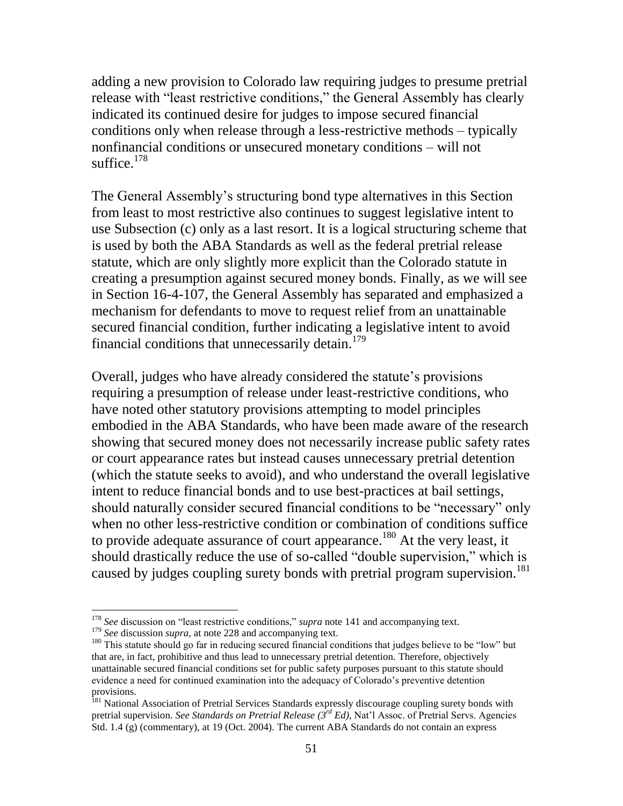adding a new provision to Colorado law requiring judges to presume pretrial release with "least restrictive conditions," the General Assembly has clearly indicated its continued desire for judges to impose secured financial conditions only when release through a less-restrictive methods – typically nonfinancial conditions or unsecured monetary conditions – will not suffice. $178$ 

The General Assembly's structuring bond type alternatives in this Section from least to most restrictive also continues to suggest legislative intent to use Subsection (c) only as a last resort. It is a logical structuring scheme that is used by both the ABA Standards as well as the federal pretrial release statute, which are only slightly more explicit than the Colorado statute in creating a presumption against secured money bonds. Finally, as we will see in Section 16-4-107, the General Assembly has separated and emphasized a mechanism for defendants to move to request relief from an unattainable secured financial condition, further indicating a legislative intent to avoid financial conditions that unnecessarily detain.<sup>179</sup>

Overall, judges who have already considered the statute's provisions requiring a presumption of release under least-restrictive conditions, who have noted other statutory provisions attempting to model principles embodied in the ABA Standards, who have been made aware of the research showing that secured money does not necessarily increase public safety rates or court appearance rates but instead causes unnecessary pretrial detention (which the statute seeks to avoid), and who understand the overall legislative intent to reduce financial bonds and to use best-practices at bail settings, should naturally consider secured financial conditions to be "necessary" only when no other less-restrictive condition or combination of conditions suffice to provide adequate assurance of court appearance.<sup>180</sup> At the very least, it should drastically reduce the use of so-called "double supervision," which is caused by judges coupling surety bonds with pretrial program supervision.<sup>181</sup>

<sup>178</sup> *See* discussion on "least restrictive conditions," *supra* note 141 and accompanying text.

<sup>&</sup>lt;sup>179</sup> *See* discussion *supra*, at note 228 and accompanying text.

<sup>&</sup>lt;sup>180</sup> This statute should go far in reducing secured financial conditions that judges believe to be "low" but that are, in fact, prohibitive and thus lead to unnecessary pretrial detention. Therefore, objectively unattainable secured financial conditions set for public safety purposes pursuant to this statute should evidence a need for continued examination into the adequacy of Colorado's preventive detention provisions.

<sup>&</sup>lt;sup>181</sup> National Association of Pretrial Services Standards expressly discourage coupling surety bonds with pretrial supervision. *See Standards on Pretrial Release (3rd Ed),* Nat'l Assoc. of Pretrial Servs. Agencies Std. 1.4 (g) (commentary), at 19 (Oct. 2004). The current ABA Standards do not contain an express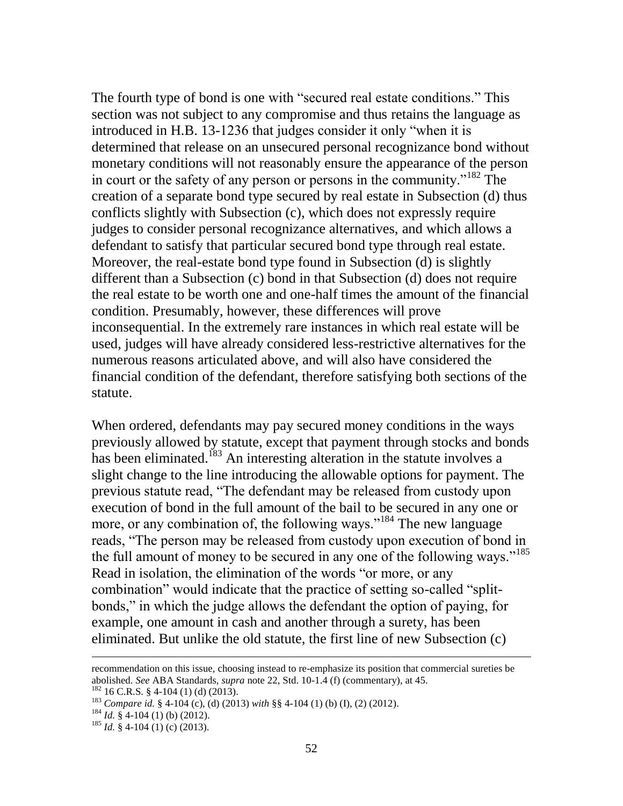The fourth type of bond is one with "secured real estate conditions." This section was not subject to any compromise and thus retains the language as introduced in H.B. 13-1236 that judges consider it only "when it is determined that release on an unsecured personal recognizance bond without monetary conditions will not reasonably ensure the appearance of the person in court or the safety of any person or persons in the community.<sup>"182</sup> The creation of a separate bond type secured by real estate in Subsection (d) thus conflicts slightly with Subsection (c), which does not expressly require judges to consider personal recognizance alternatives, and which allows a defendant to satisfy that particular secured bond type through real estate. Moreover, the real-estate bond type found in Subsection (d) is slightly different than a Subsection (c) bond in that Subsection (d) does not require the real estate to be worth one and one-half times the amount of the financial condition. Presumably, however, these differences will prove inconsequential. In the extremely rare instances in which real estate will be used, judges will have already considered less-restrictive alternatives for the numerous reasons articulated above, and will also have considered the financial condition of the defendant, therefore satisfying both sections of the statute.

When ordered, defendants may pay secured money conditions in the ways previously allowed by statute, except that payment through stocks and bonds has been eliminated.<sup>183</sup> An interesting alteration in the statute involves a slight change to the line introducing the allowable options for payment. The previous statute read, "The defendant may be released from custody upon execution of bond in the full amount of the bail to be secured in any one or more, or any combination of, the following ways."<sup>184</sup> The new language reads, "The person may be released from custody upon execution of bond in the full amount of money to be secured in any one of the following ways."<sup>185</sup> Read in isolation, the elimination of the words "or more, or any combination" would indicate that the practice of setting so-called "splitbonds," in which the judge allows the defendant the option of paying, for example, one amount in cash and another through a surety, has been eliminated. But unlike the old statute, the first line of new Subsection (c)

recommendation on this issue, choosing instead to re-emphasize its position that commercial sureties be abolished. *See* ABA Standards, *supra* note 22, Std. 10-1.4 (f) (commentary), at 45.

 $182$  16 C.R.S. § 4-104 (1) (d) (2013).

<sup>183</sup> *Compare id.* § 4-104 (c), (d) (2013) *with* §§ 4-104 (1) (b) (I), (2) (2012).

 $184$  *Id.* § 4-104 (1) (b) (2012).

 $185$  *Id.* § 4-104 (1) (c) (2013).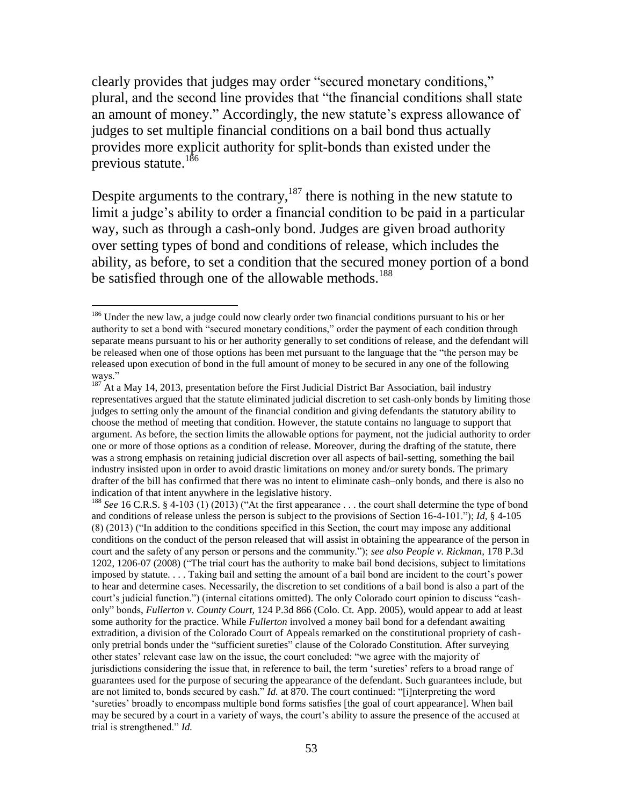clearly provides that judges may order "secured monetary conditions," plural, and the second line provides that "the financial conditions shall state an amount of money." Accordingly, the new statute's express allowance of judges to set multiple financial conditions on a bail bond thus actually provides more explicit authority for split-bonds than existed under the previous statute.<sup>186</sup>

Despite arguments to the contrary,  $187$  there is nothing in the new statute to limit a judge's ability to order a financial condition to be paid in a particular way, such as through a cash-only bond. Judges are given broad authority over setting types of bond and conditions of release, which includes the ability, as before, to set a condition that the secured money portion of a bond be satisfied through one of the allowable methods.<sup>188</sup>

 $\overline{a}$ 

<sup>188</sup> *See* 16 C.R.S. § 4-103 (1) (2013) ("At the first appearance . . . the court shall determine the type of bond and conditions of release unless the person is subject to the provisions of Section 16-4-101."); *Id,* § 4-105 (8) (2013) ("In addition to the conditions specified in this Section, the court may impose any additional conditions on the conduct of the person released that will assist in obtaining the appearance of the person in court and the safety of any person or persons and the community."); *see also People v. Rickman,* 178 P.3d 1202, 1206-07 (2008) ("The trial court has the authority to make bail bond decisions, subject to limitations imposed by statute. . . . Taking bail and setting the amount of a bail bond are incident to the court's power to hear and determine cases. Necessarily, the discretion to set conditions of a bail bond is also a part of the court's judicial function.") (internal citations omitted). The only Colorado court opinion to discuss "cashonly" bonds, *Fullerton v. County Court,* 124 P.3d 866 (Colo. Ct. App. 2005), would appear to add at least some authority for the practice. While *Fullerton* involved a money bail bond for a defendant awaiting extradition, a division of the Colorado Court of Appeals remarked on the constitutional propriety of cashonly pretrial bonds under the "sufficient sureties" clause of the Colorado Constitution. After surveying other states' relevant case law on the issue, the court concluded: "we agree with the majority of jurisdictions considering the issue that, in reference to bail, the term 'sureties' refers to a broad range of guarantees used for the purpose of securing the appearance of the defendant. Such guarantees include, but are not limited to, bonds secured by cash." *Id.* at 870. The court continued: "[i]nterpreting the word 'sureties' broadly to encompass multiple bond forms satisfies [the goal of court appearance]. When bail may be secured by a court in a variety of ways, the court's ability to assure the presence of the accused at trial is strengthened." *Id.*

<sup>&</sup>lt;sup>186</sup> Under the new law, a judge could now clearly order two financial conditions pursuant to his or her authority to set a bond with "secured monetary conditions," order the payment of each condition through separate means pursuant to his or her authority generally to set conditions of release, and the defendant will be released when one of those options has been met pursuant to the language that the "the person may be released upon execution of bond in the full amount of money to be secured in any one of the following ways."

 $187$  At a May 14, 2013, presentation before the First Judicial District Bar Association, bail industry representatives argued that the statute eliminated judicial discretion to set cash-only bonds by limiting those judges to setting only the amount of the financial condition and giving defendants the statutory ability to choose the method of meeting that condition. However, the statute contains no language to support that argument. As before, the section limits the allowable options for payment, not the judicial authority to order one or more of those options as a condition of release. Moreover, during the drafting of the statute, there was a strong emphasis on retaining judicial discretion over all aspects of bail-setting, something the bail industry insisted upon in order to avoid drastic limitations on money and/or surety bonds. The primary drafter of the bill has confirmed that there was no intent to eliminate cash–only bonds, and there is also no indication of that intent anywhere in the legislative history.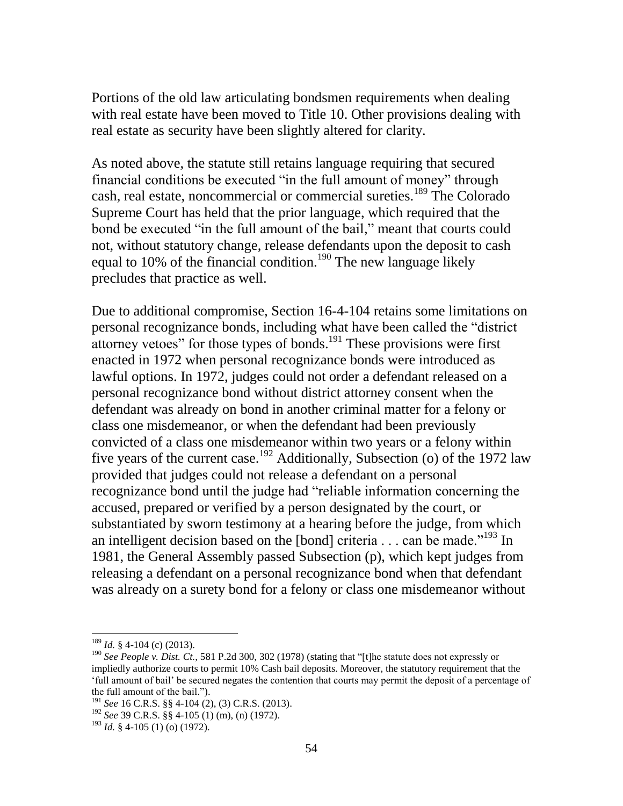Portions of the old law articulating bondsmen requirements when dealing with real estate have been moved to Title 10. Other provisions dealing with real estate as security have been slightly altered for clarity.

As noted above, the statute still retains language requiring that secured financial conditions be executed "in the full amount of money" through cash, real estate, noncommercial or commercial sureties.<sup>189</sup> The Colorado Supreme Court has held that the prior language, which required that the bond be executed "in the full amount of the bail," meant that courts could not, without statutory change, release defendants upon the deposit to cash equal to 10% of the financial condition.<sup>190</sup> The new language likely precludes that practice as well.

Due to additional compromise, Section 16-4-104 retains some limitations on personal recognizance bonds, including what have been called the "district attorney vetoes" for those types of bonds. $191$  These provisions were first enacted in 1972 when personal recognizance bonds were introduced as lawful options. In 1972, judges could not order a defendant released on a personal recognizance bond without district attorney consent when the defendant was already on bond in another criminal matter for a felony or class one misdemeanor, or when the defendant had been previously convicted of a class one misdemeanor within two years or a felony within five years of the current case.<sup>192</sup> Additionally, Subsection (o) of the 1972 law provided that judges could not release a defendant on a personal recognizance bond until the judge had "reliable information concerning the accused, prepared or verified by a person designated by the court, or substantiated by sworn testimony at a hearing before the judge, from which an intelligent decision based on the [bond] criteria  $\dots$  can be made.<sup> $193$ </sup> In 1981, the General Assembly passed Subsection (p), which kept judges from releasing a defendant on a personal recognizance bond when that defendant was already on a surety bond for a felony or class one misdemeanor without

<sup>189</sup> *Id.* § 4-104 (c) (2013).

<sup>&</sup>lt;sup>190</sup> See People *v. Dist. Ct.*, 581 P.2d 300, 302 (1978) (stating that "[t]he statute does not expressly or impliedly authorize courts to permit 10% Cash bail deposits. Moreover, the statutory requirement that the 'full amount of bail' be secured negates the contention that courts may permit the deposit of a percentage of the full amount of the bail.").

<sup>191</sup> *See* 16 C.R.S. §§ 4-104 (2), (3) C.R.S. (2013).

<sup>192</sup> *See* 39 C.R.S. §§ 4-105 (1) (m), (n) (1972).

<sup>193</sup> *Id.* § 4-105 (1) (o) (1972).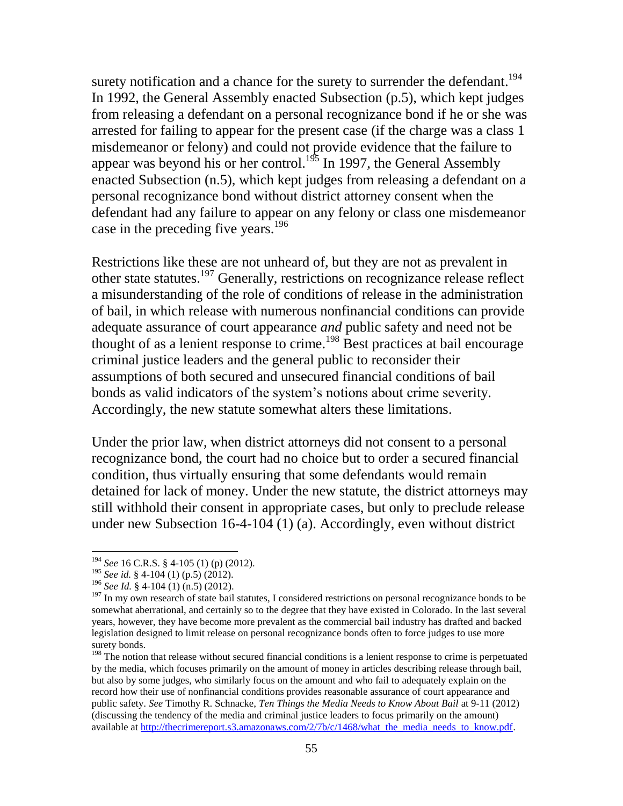surety notification and a chance for the surety to surrender the defendant.<sup>194</sup> In 1992, the General Assembly enacted Subsection (p.5), which kept judges from releasing a defendant on a personal recognizance bond if he or she was arrested for failing to appear for the present case (if the charge was a class 1 misdemeanor or felony) and could not provide evidence that the failure to appear was beyond his or her control.<sup>195</sup> In 1997, the General Assembly enacted Subsection (n.5), which kept judges from releasing a defendant on a personal recognizance bond without district attorney consent when the defendant had any failure to appear on any felony or class one misdemeanor case in the preceding five years.<sup>196</sup>

Restrictions like these are not unheard of, but they are not as prevalent in other state statutes.<sup>197</sup> Generally, restrictions on recognizance release reflect a misunderstanding of the role of conditions of release in the administration of bail, in which release with numerous nonfinancial conditions can provide adequate assurance of court appearance *and* public safety and need not be thought of as a lenient response to crime.<sup>198</sup> Best practices at bail encourage criminal justice leaders and the general public to reconsider their assumptions of both secured and unsecured financial conditions of bail bonds as valid indicators of the system's notions about crime severity. Accordingly, the new statute somewhat alters these limitations.

Under the prior law, when district attorneys did not consent to a personal recognizance bond, the court had no choice but to order a secured financial condition, thus virtually ensuring that some defendants would remain detained for lack of money. Under the new statute, the district attorneys may still withhold their consent in appropriate cases, but only to preclude release under new Subsection 16-4-104 (1) (a). Accordingly, even without district

<sup>194</sup> *See* 16 C.R.S. § 4-105 (1) (p) (2012).

<sup>195</sup> *See id.* § 4-104 (1) (p.5) (2012).

<sup>196</sup> *See Id.* § 4-104 (1) (n.5) (2012).

<sup>&</sup>lt;sup>197</sup> In my own research of state bail statutes, I considered restrictions on personal recognizance bonds to be somewhat aberrational, and certainly so to the degree that they have existed in Colorado. In the last several years, however, they have become more prevalent as the commercial bail industry has drafted and backed legislation designed to limit release on personal recognizance bonds often to force judges to use more surety bonds.

<sup>&</sup>lt;sup>198</sup> The notion that release without secured financial conditions is a lenient response to crime is perpetuated by the media, which focuses primarily on the amount of money in articles describing release through bail, but also by some judges, who similarly focus on the amount and who fail to adequately explain on the record how their use of nonfinancial conditions provides reasonable assurance of court appearance and public safety. *See* Timothy R. Schnacke, *Ten Things the Media Needs to Know About Bail* at 9-11 (2012) (discussing the tendency of the media and criminal justice leaders to focus primarily on the amount) available at http://thecrimereport.s3.amazonaws.com/2/7b/c/1468/what\_the\_media\_needs\_to\_know.pdf.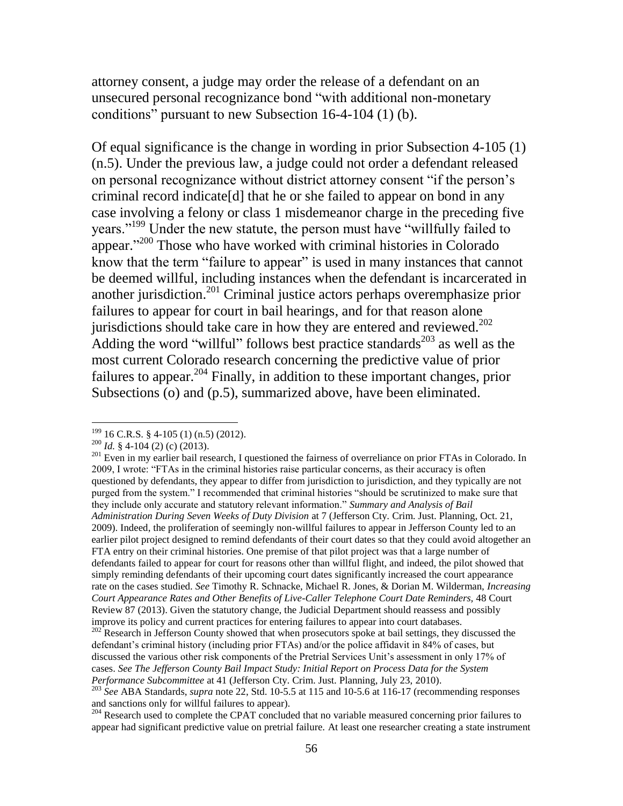attorney consent, a judge may order the release of a defendant on an unsecured personal recognizance bond "with additional non-monetary conditions" pursuant to new Subsection 16-4-104 (1) (b).

Of equal significance is the change in wording in prior Subsection 4-105 (1) (n.5). Under the previous law, a judge could not order a defendant released on personal recognizance without district attorney consent "if the person's criminal record indicate[d] that he or she failed to appear on bond in any case involving a felony or class 1 misdemeanor charge in the preceding five years."<sup>199</sup> Under the new statute, the person must have "willfully failed to appear."<sup>200</sup> Those who have worked with criminal histories in Colorado know that the term "failure to appear" is used in many instances that cannot be deemed willful, including instances when the defendant is incarcerated in another jurisdiction.<sup>201</sup> Criminal justice actors perhaps overemphasize prior failures to appear for court in bail hearings, and for that reason alone jurisdictions should take care in how they are entered and reviewed.<sup>202</sup> Adding the word "willful" follows best practice standards<sup>203</sup> as well as the most current Colorado research concerning the predictive value of prior failures to appear.  $204$  Finally, in addition to these important changes, prior Subsections (o) and (p.5), summarized above, have been eliminated.

 $199$  16 C.R.S. § 4-105 (1) (n.5) (2012).

<sup>200</sup> *Id.* § 4-104 (2) (c) (2013).

<sup>&</sup>lt;sup>201</sup> Even in my earlier bail research, I questioned the fairness of overreliance on prior FTAs in Colorado. In 2009, I wrote: "FTAs in the criminal histories raise particular concerns, as their accuracy is often questioned by defendants, they appear to differ from jurisdiction to jurisdiction, and they typically are not purged from the system." I recommended that criminal histories "should be scrutinized to make sure that they include only accurate and statutory relevant information." *Summary and Analysis of Bail Administration During Seven Weeks of Duty Division* at 7 (Jefferson Cty. Crim. Just. Planning, Oct. 21, 2009). Indeed, the proliferation of seemingly non-willful failures to appear in Jefferson County led to an earlier pilot project designed to remind defendants of their court dates so that they could avoid altogether an FTA entry on their criminal histories. One premise of that pilot project was that a large number of defendants failed to appear for court for reasons other than willful flight, and indeed, the pilot showed that simply reminding defendants of their upcoming court dates significantly increased the court appearance rate on the cases studied. *See* Timothy R. Schnacke, Michael R. Jones, & Dorian M. Wilderman, *Increasing Court Appearance Rates and Other Benefits of Live-Caller Telephone Court Date Reminders,* 48 Court Review 87 (2013). Given the statutory change, the Judicial Department should reassess and possibly improve its policy and current practices for entering failures to appear into court databases.

<sup>&</sup>lt;sup>202</sup> Research in Jefferson County showed that when prosecutors spoke at bail settings, they discussed the defendant's criminal history (including prior FTAs) and/or the police affidavit in 84% of cases, but discussed the various other risk components of the Pretrial Services Unit's assessment in only 17% of cases. *See The Jefferson County Bail Impact Study: Initial Report on Process Data for the System Performance Subcommittee* at 41 (Jefferson Cty. Crim. Just. Planning, July 23, 2010).

<sup>&</sup>lt;sup>203</sup> See ABA Standards, *supra* note 22, Std. 10-5.5 at 115 and 10-5.6 at 116-17 (recommending responses and sanctions only for willful failures to appear).

<sup>&</sup>lt;sup>204</sup> Research used to complete the CPAT concluded that no variable measured concerning prior failures to appear had significant predictive value on pretrial failure. At least one researcher creating a state instrument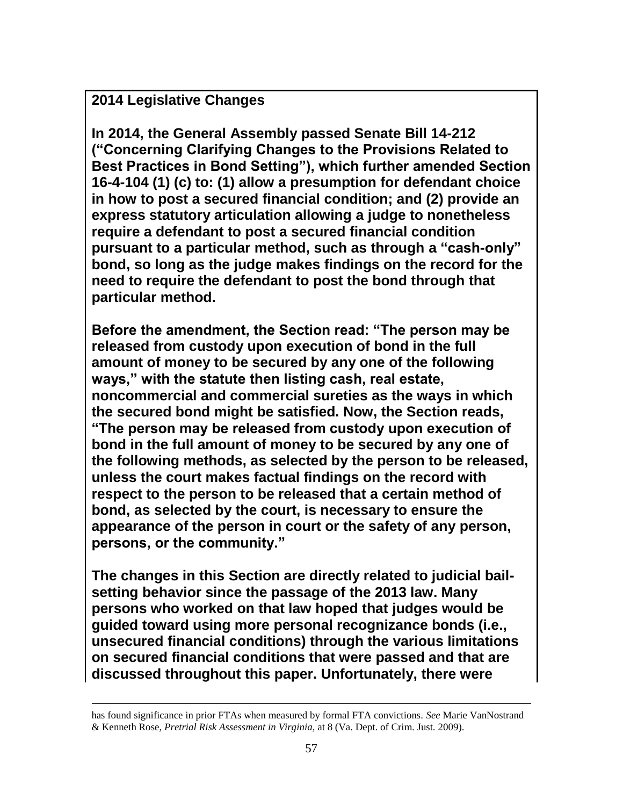**2014 Legislative Changes**

 $\overline{a}$ 

**In 2014, the General Assembly passed Senate Bill 14-212 ("Concerning Clarifying Changes to the Provisions Related to Best Practices in Bond Setting"), which further amended Section 16-4-104 (1) (c) to: (1) allow a presumption for defendant choice in how to post a secured financial condition; and (2) provide an express statutory articulation allowing a judge to nonetheless require a defendant to post a secured financial condition pursuant to a particular method, such as through a "cash-only" bond, so long as the judge makes findings on the record for the need to require the defendant to post the bond through that particular method.**

**Before the amendment, the Section read: "The person may be released from custody upon execution of bond in the full amount of money to be secured by any one of the following ways," with the statute then listing cash, real estate, noncommercial and commercial sureties as the ways in which the secured bond might be satisfied. Now, the Section reads, "The person may be released from custody upon execution of bond in the full amount of money to be secured by any one of the following methods, as selected by the person to be released, unless the court makes factual findings on the record with respect to the person to be released that a certain method of bond, as selected by the court, is necessary to ensure the appearance of the person in court or the safety of any person, persons, or the community."** 

**The changes in this Section are directly related to judicial bailsetting behavior since the passage of the 2013 law. Many persons who worked on that law hoped that judges would be guided toward using more personal recognizance bonds (i.e., unsecured financial conditions) through the various limitations on secured financial conditions that were passed and that are discussed throughout this paper. Unfortunately, there were** 

has found significance in prior FTAs when measured by formal FTA convictions. *See* Marie VanNostrand & Kenneth Rose, *Pretrial Risk Assessment in Virginia,* at 8 (Va. Dept. of Crim. Just. 2009).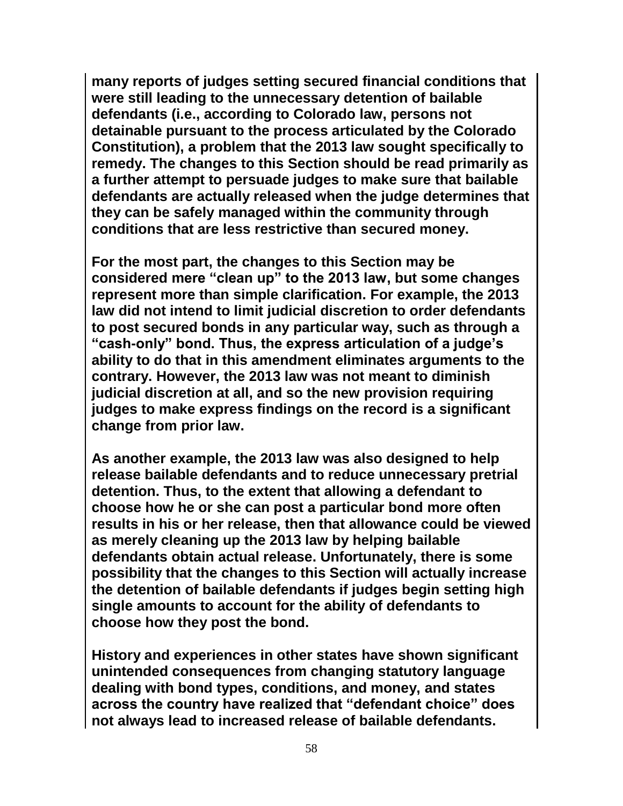**many reports of judges setting secured financial conditions that were still leading to the unnecessary detention of bailable defendants (i.e., according to Colorado law, persons not detainable pursuant to the process articulated by the Colorado Constitution), a problem that the 2013 law sought specifically to remedy. The changes to this Section should be read primarily as a further attempt to persuade judges to make sure that bailable defendants are actually released when the judge determines that they can be safely managed within the community through conditions that are less restrictive than secured money.**

**For the most part, the changes to this Section may be considered mere "clean up" to the 2013 law, but some changes represent more than simple clarification. For example, the 2013 law did not intend to limit judicial discretion to order defendants to post secured bonds in any particular way, such as through a "cash-only" bond. Thus, the express articulation of a judge's ability to do that in this amendment eliminates arguments to the contrary. However, the 2013 law was not meant to diminish judicial discretion at all, and so the new provision requiring judges to make express findings on the record is a significant change from prior law.** 

**As another example, the 2013 law was also designed to help release bailable defendants and to reduce unnecessary pretrial detention. Thus, to the extent that allowing a defendant to choose how he or she can post a particular bond more often results in his or her release, then that allowance could be viewed as merely cleaning up the 2013 law by helping bailable defendants obtain actual release. Unfortunately, there is some possibility that the changes to this Section will actually increase the detention of bailable defendants if judges begin setting high single amounts to account for the ability of defendants to choose how they post the bond.** 

**History and experiences in other states have shown significant unintended consequences from changing statutory language dealing with bond types, conditions, and money, and states across the country have realized that "defendant choice" does not always lead to increased release of bailable defendants.**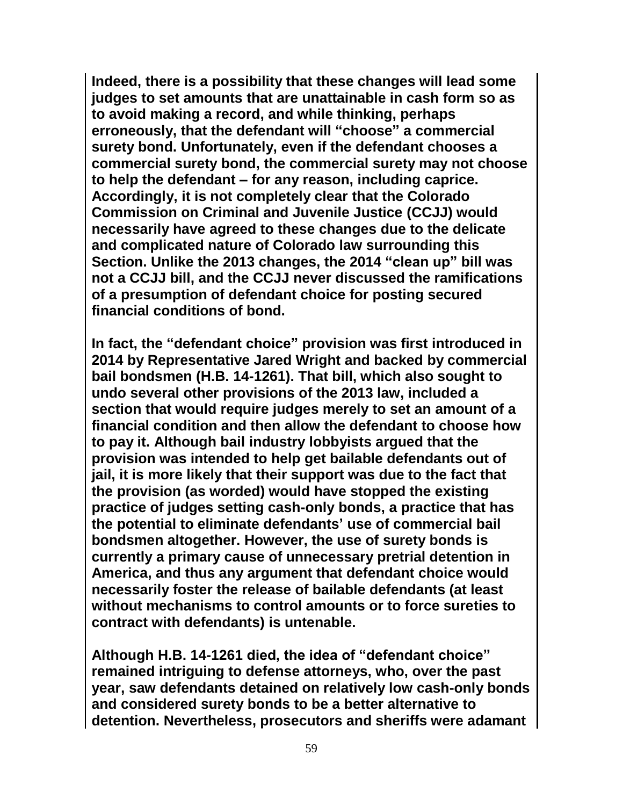**Indeed, there is a possibility that these changes will lead some judges to set amounts that are unattainable in cash form so as to avoid making a record, and while thinking, perhaps erroneously, that the defendant will "choose" a commercial surety bond. Unfortunately, even if the defendant chooses a commercial surety bond, the commercial surety may not choose to help the defendant – for any reason, including caprice. Accordingly, it is not completely clear that the Colorado Commission on Criminal and Juvenile Justice (CCJJ) would necessarily have agreed to these changes due to the delicate and complicated nature of Colorado law surrounding this Section. Unlike the 2013 changes, the 2014 "clean up" bill was not a CCJJ bill, and the CCJJ never discussed the ramifications of a presumption of defendant choice for posting secured financial conditions of bond.** 

**In fact, the "defendant choice" provision was first introduced in 2014 by Representative Jared Wright and backed by commercial bail bondsmen (H.B. 14-1261). That bill, which also sought to undo several other provisions of the 2013 law, included a section that would require judges merely to set an amount of a financial condition and then allow the defendant to choose how to pay it. Although bail industry lobbyists argued that the provision was intended to help get bailable defendants out of jail, it is more likely that their support was due to the fact that the provision (as worded) would have stopped the existing practice of judges setting cash-only bonds, a practice that has the potential to eliminate defendants' use of commercial bail bondsmen altogether. However, the use of surety bonds is currently a primary cause of unnecessary pretrial detention in America, and thus any argument that defendant choice would necessarily foster the release of bailable defendants (at least without mechanisms to control amounts or to force sureties to contract with defendants) is untenable.** 

**Although H.B. 14-1261 died, the idea of "defendant choice" remained intriguing to defense attorneys, who, over the past year, saw defendants detained on relatively low cash-only bonds and considered surety bonds to be a better alternative to detention. Nevertheless, prosecutors and sheriffs were adamant**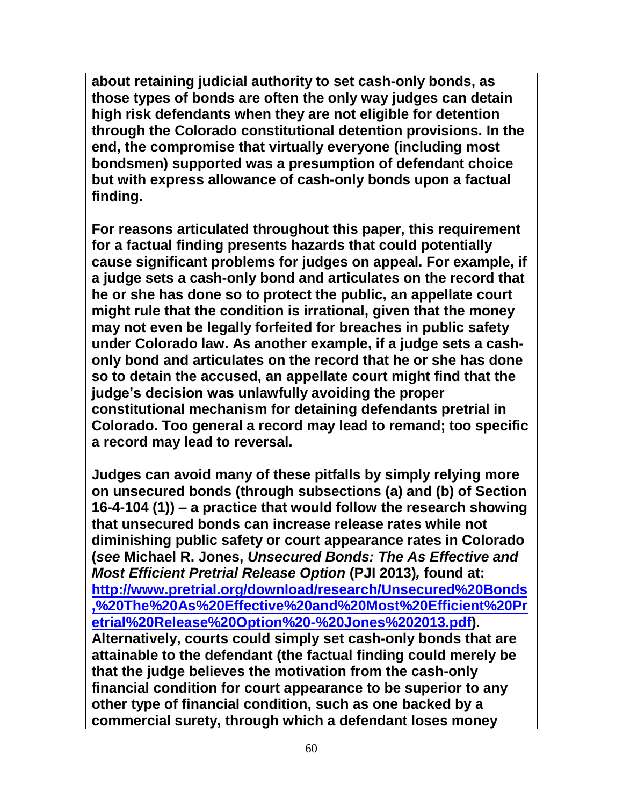**about retaining judicial authority to set cash-only bonds, as those types of bonds are often the only way judges can detain high risk defendants when they are not eligible for detention through the Colorado constitutional detention provisions. In the end, the compromise that virtually everyone (including most bondsmen) supported was a presumption of defendant choice but with express allowance of cash-only bonds upon a factual finding.** 

**For reasons articulated throughout this paper, this requirement for a factual finding presents hazards that could potentially cause significant problems for judges on appeal. For example, if a judge sets a cash-only bond and articulates on the record that he or she has done so to protect the public, an appellate court might rule that the condition is irrational, given that the money may not even be legally forfeited for breaches in public safety under Colorado law. As another example, if a judge sets a cashonly bond and articulates on the record that he or she has done so to detain the accused, an appellate court might find that the judge's decision was unlawfully avoiding the proper constitutional mechanism for detaining defendants pretrial in Colorado. Too general a record may lead to remand; too specific a record may lead to reversal.** 

**Judges can avoid many of these pitfalls by simply relying more on unsecured bonds (through subsections (a) and (b) of Section 16-4-104 (1)) – a practice that would follow the research showing that unsecured bonds can increase release rates while not diminishing public safety or court appearance rates in Colorado (***see* **Michael R. Jones,** *Unsecured Bonds: The As Effective and Most Efficient Pretrial Release Option* **(PJI 2013)***,* **found at: [http://www.pretrial.org/download/research/Unsecured%20Bonds](http://www.pretrial.org/download/research/Unsecured%20Bonds,%20The%20As%20Effective%20and%20Most%20Efficient%20Pretrial%20Release%20Option%20-%20Jones%202013.pdf) [,%20The%20As%20Effective%20and%20Most%20Efficient%20Pr](http://www.pretrial.org/download/research/Unsecured%20Bonds,%20The%20As%20Effective%20and%20Most%20Efficient%20Pretrial%20Release%20Option%20-%20Jones%202013.pdf) [etrial%20Release%20Option%20-%20Jones%202013.pdf\)](http://www.pretrial.org/download/research/Unsecured%20Bonds,%20The%20As%20Effective%20and%20Most%20Efficient%20Pretrial%20Release%20Option%20-%20Jones%202013.pdf). Alternatively, courts could simply set cash-only bonds that are attainable to the defendant (the factual finding could merely be that the judge believes the motivation from the cash-only financial condition for court appearance to be superior to any other type of financial condition, such as one backed by a commercial surety, through which a defendant loses money**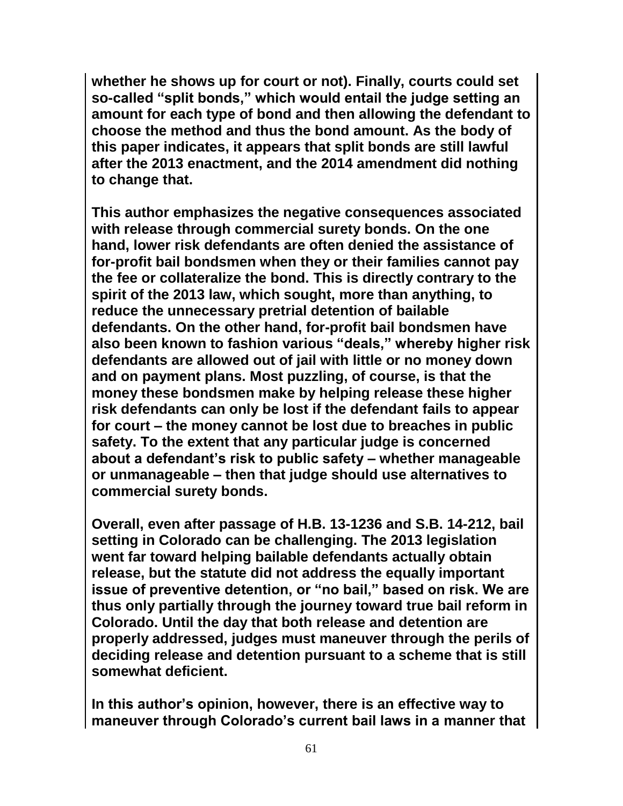**whether he shows up for court or not). Finally, courts could set so-called "split bonds," which would entail the judge setting an amount for each type of bond and then allowing the defendant to choose the method and thus the bond amount. As the body of this paper indicates, it appears that split bonds are still lawful after the 2013 enactment, and the 2014 amendment did nothing to change that.**

**This author emphasizes the negative consequences associated with release through commercial surety bonds. On the one hand, lower risk defendants are often denied the assistance of for-profit bail bondsmen when they or their families cannot pay the fee or collateralize the bond. This is directly contrary to the spirit of the 2013 law, which sought, more than anything, to reduce the unnecessary pretrial detention of bailable defendants. On the other hand, for-profit bail bondsmen have also been known to fashion various "deals," whereby higher risk defendants are allowed out of jail with little or no money down and on payment plans. Most puzzling, of course, is that the money these bondsmen make by helping release these higher risk defendants can only be lost if the defendant fails to appear for court – the money cannot be lost due to breaches in public safety. To the extent that any particular judge is concerned about a defendant's risk to public safety – whether manageable or unmanageable – then that judge should use alternatives to commercial surety bonds.** 

**Overall, even after passage of H.B. 13-1236 and S.B. 14-212, bail setting in Colorado can be challenging. The 2013 legislation went far toward helping bailable defendants actually obtain release, but the statute did not address the equally important issue of preventive detention, or "no bail," based on risk. We are thus only partially through the journey toward true bail reform in Colorado. Until the day that both release and detention are properly addressed, judges must maneuver through the perils of deciding release and detention pursuant to a scheme that is still somewhat deficient.**

**In this author's opinion, however, there is an effective way to maneuver through Colorado's current bail laws in a manner that**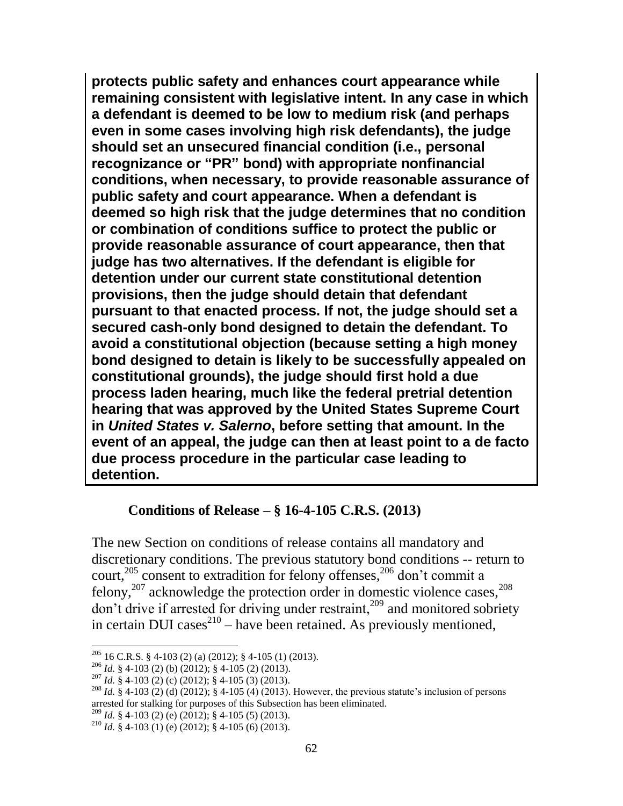**protects public safety and enhances court appearance while remaining consistent with legislative intent. In any case in which a defendant is deemed to be low to medium risk (and perhaps even in some cases involving high risk defendants), the judge should set an unsecured financial condition (i.e., personal recognizance or "PR" bond) with appropriate nonfinancial conditions, when necessary, to provide reasonable assurance of public safety and court appearance. When a defendant is deemed so high risk that the judge determines that no condition or combination of conditions suffice to protect the public or provide reasonable assurance of court appearance, then that judge has two alternatives. If the defendant is eligible for detention under our current state constitutional detention provisions, then the judge should detain that defendant pursuant to that enacted process. If not, the judge should set a secured cash-only bond designed to detain the defendant. To avoid a constitutional objection (because setting a high money bond designed to detain is likely to be successfully appealed on constitutional grounds), the judge should first hold a due process laden hearing, much like the federal pretrial detention hearing that was approved by the United States Supreme Court in** *United States v. Salerno***, before setting that amount. In the event of an appeal, the judge can then at least point to a de facto due process procedure in the particular case leading to detention.** 

### **Conditions of Release – § 16-4-105 C.R.S. (2013)**

The new Section on conditions of release contains all mandatory and discretionary conditions. The previous statutory bond conditions -- return to court,<sup>205</sup> consent to extradition for felony offenses,<sup>206</sup> don't commit a felony,<sup>207</sup> acknowledge the protection order in domestic violence cases, $^{208}$  $\frac{1}{209}$  don't drive if arrested for driving under restraint,<sup>209</sup> and monitored sobriety in certain DUI cases<sup>210</sup> – have been retained. As previously mentioned,

 $^{205}$  16 C.R.S. § 4-103 (2) (a) (2012); § 4-105 (1) (2013).

<sup>206</sup> *Id.* § 4-103 (2) (b) (2012); § 4-105 (2) (2013).

<sup>207</sup> *Id.* § 4-103 (2) (c) (2012); § 4-105 (3) (2013).

<sup>&</sup>lt;sup>208</sup> *Id.* § 4-103 (2) (d) (2012); § 4-105 (4) (2013). However, the previous statute's inclusion of persons arrested for stalking for purposes of this Subsection has been eliminated.

 $209$  *Id.* § 4-103 (2) (e) (2012); § 4-105 (5) (2013).

<sup>&</sup>lt;sup>210</sup> *Id.* § 4-103 (1) (e) (2012); § 4-105 (6) (2013).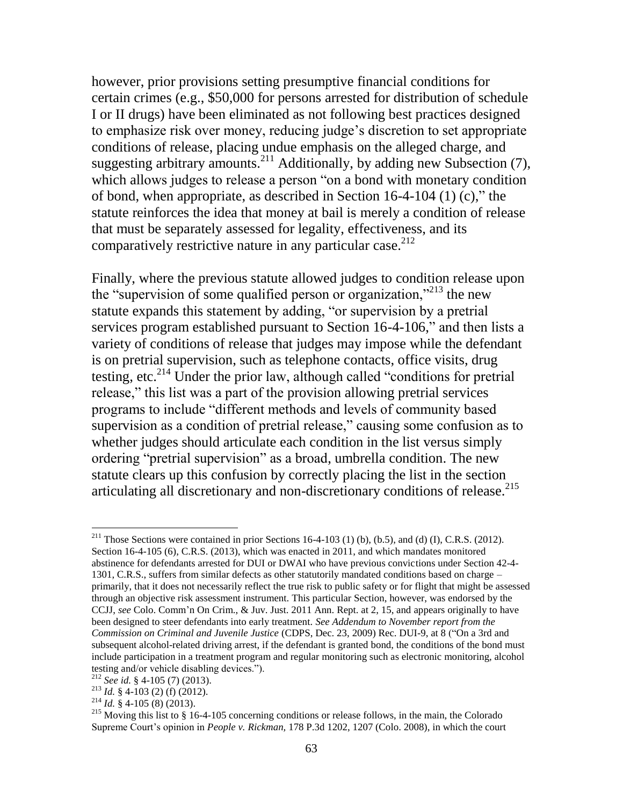however, prior provisions setting presumptive financial conditions for certain crimes (e.g., \$50,000 for persons arrested for distribution of schedule I or II drugs) have been eliminated as not following best practices designed to emphasize risk over money, reducing judge's discretion to set appropriate conditions of release, placing undue emphasis on the alleged charge, and suggesting arbitrary amounts.<sup>211</sup> Additionally, by adding new Subsection  $(7)$ , which allows judges to release a person "on a bond with monetary condition" of bond, when appropriate, as described in Section 16-4-104 (1) (c)," the statute reinforces the idea that money at bail is merely a condition of release that must be separately assessed for legality, effectiveness, and its comparatively restrictive nature in any particular case.  $2^{12}$ 

Finally, where the previous statute allowed judges to condition release upon the "supervision of some qualified person or organization,"<sup>213</sup> the new statute expands this statement by adding, "or supervision by a pretrial services program established pursuant to Section 16-4-106," and then lists a variety of conditions of release that judges may impose while the defendant is on pretrial supervision, such as telephone contacts, office visits, drug testing, etc.<sup>214</sup> Under the prior law, although called "conditions for pretrial release," this list was a part of the provision allowing pretrial services programs to include "different methods and levels of community based supervision as a condition of pretrial release," causing some confusion as to whether judges should articulate each condition in the list versus simply ordering "pretrial supervision" as a broad, umbrella condition. The new statute clears up this confusion by correctly placing the list in the section articulating all discretionary and non-discretionary conditions of release.<sup>215</sup>

<sup>&</sup>lt;sup>211</sup> Those Sections were contained in prior Sections 16-4-103 (1) (b), (b.5), and (d) (I), C.R.S. (2012). Section 16-4-105 (6), C.R.S. (2013), which was enacted in 2011, and which mandates monitored abstinence for defendants arrested for DUI or DWAI who have previous convictions under Section 42-4- 1301, C.R.S., suffers from similar defects as other statutorily mandated conditions based on charge – primarily, that it does not necessarily reflect the true risk to public safety or for flight that might be assessed through an objective risk assessment instrument. This particular Section, however, was endorsed by the CCJJ, *see* Colo. Comm'n On Crim., & Juv. Just. 2011 Ann. Rept. at 2, 15, and appears originally to have been designed to steer defendants into early treatment. *See Addendum to November report from the Commission on Criminal and Juvenile Justice* (CDPS, Dec. 23, 2009) Rec. DUI-9, at 8 ("On a 3rd and subsequent alcohol-related driving arrest, if the defendant is granted bond, the conditions of the bond must include participation in a treatment program and regular monitoring such as electronic monitoring, alcohol testing and/or vehicle disabling devices.").

<sup>212</sup> *See id.* § 4-105 (7) (2013).

<sup>213</sup> *Id.* § 4-103 (2) (f) (2012).

<sup>214</sup> *Id.* § 4-105 (8) (2013).

<sup>&</sup>lt;sup>215</sup> Moving this list to  $\S$  16-4-105 concerning conditions or release follows, in the main, the Colorado Supreme Court's opinion in *People v. Rickman,* 178 P.3d 1202, 1207 (Colo. 2008), in which the court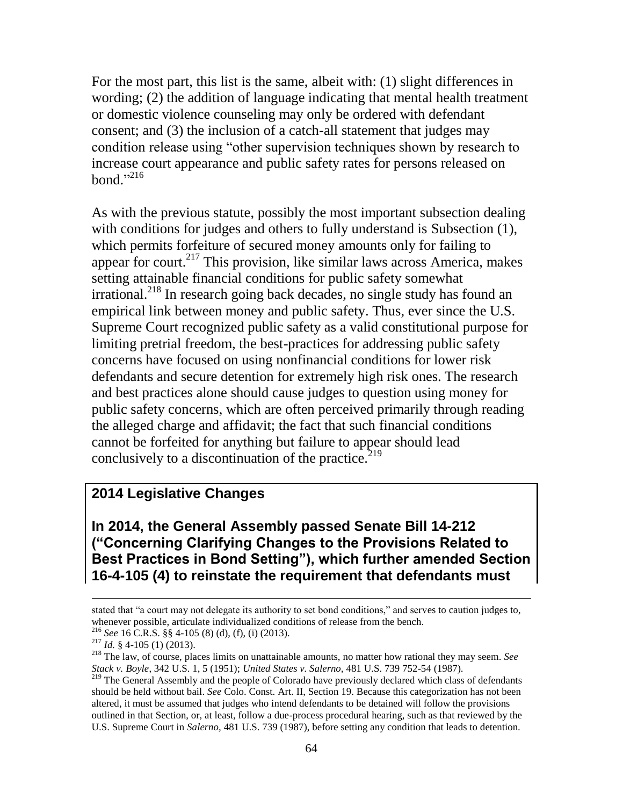For the most part, this list is the same, albeit with: (1) slight differences in wording; (2) the addition of language indicating that mental health treatment or domestic violence counseling may only be ordered with defendant consent; and (3) the inclusion of a catch-all statement that judges may condition release using "other supervision techniques shown by research to increase court appearance and public safety rates for persons released on bond." 216

As with the previous statute, possibly the most important subsection dealing with conditions for judges and others to fully understand is Subsection  $(1)$ , which permits forfeiture of secured money amounts only for failing to appear for court.<sup>217</sup> This provision, like similar laws across America, makes setting attainable financial conditions for public safety somewhat irrational.<sup>218</sup> In research going back decades, no single study has found an empirical link between money and public safety. Thus, ever since the U.S. Supreme Court recognized public safety as a valid constitutional purpose for limiting pretrial freedom, the best-practices for addressing public safety concerns have focused on using nonfinancial conditions for lower risk defendants and secure detention for extremely high risk ones. The research and best practices alone should cause judges to question using money for public safety concerns, which are often perceived primarily through reading the alleged charge and affidavit; the fact that such financial conditions cannot be forfeited for anything but failure to appear should lead conclusively to a discontinuation of the practice.<sup>219</sup>

### **2014 Legislative Changes**

**In 2014, the General Assembly passed Senate Bill 14-212 ("Concerning Clarifying Changes to the Provisions Related to Best Practices in Bond Setting"), which further amended Section 16-4-105 (4) to reinstate the requirement that defendants must** 

<sup>216</sup> *See* 16 C.R.S. §§ 4-105 (8) (d), (f), (i) (2013).

stated that "a court may not delegate its authority to set bond conditions," and serves to caution judges to, whenever possible, articulate individualized conditions of release from the bench.

<sup>217</sup> *Id.* § 4-105 (1) (2013).

<sup>218</sup> The law, of course, places limits on unattainable amounts, no matter how rational they may seem. *See Stack v. Boyle*, 342 U.S. 1, 5 (1951); *United States v. Salerno,* 481 U.S. 739 752-54 (1987).

<sup>&</sup>lt;sup>219</sup> The General Assembly and the people of Colorado have previously declared which class of defendants should be held without bail. *See* Colo. Const. Art. II, Section 19. Because this categorization has not been altered, it must be assumed that judges who intend defendants to be detained will follow the provisions outlined in that Section, or, at least, follow a due-process procedural hearing, such as that reviewed by the U.S. Supreme Court in *Salerno,* 481 U.S. 739 (1987), before setting any condition that leads to detention.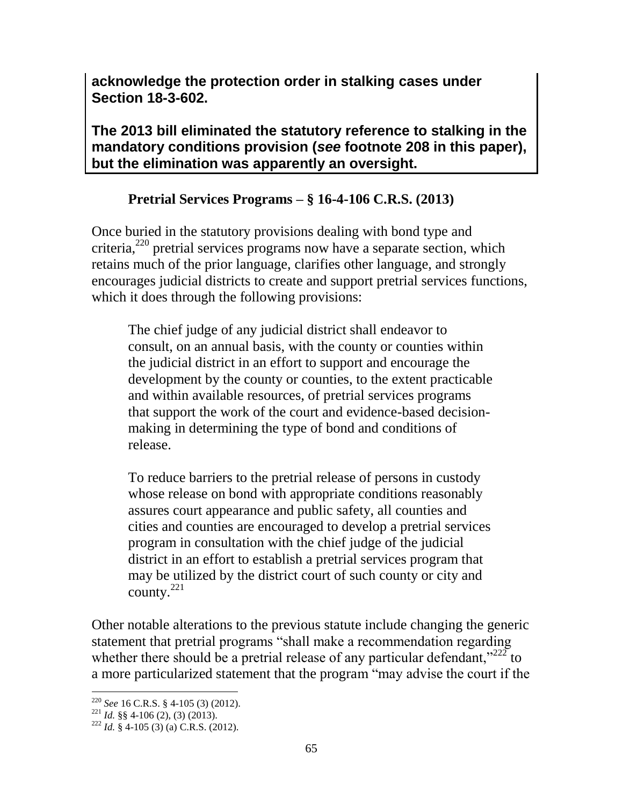**acknowledge the protection order in stalking cases under Section 18-3-602.** 

**The 2013 bill eliminated the statutory reference to stalking in the mandatory conditions provision (***see* **footnote 208 in this paper), but the elimination was apparently an oversight.** 

## **Pretrial Services Programs – § 16-4-106 C.R.S. (2013)**

Once buried in the statutory provisions dealing with bond type and criteria, $^{220}$  pretrial services programs now have a separate section, which retains much of the prior language, clarifies other language, and strongly encourages judicial districts to create and support pretrial services functions, which it does through the following provisions:

The chief judge of any judicial district shall endeavor to consult, on an annual basis, with the county or counties within the judicial district in an effort to support and encourage the development by the county or counties, to the extent practicable and within available resources, of pretrial services programs that support the work of the court and evidence-based decisionmaking in determining the type of bond and conditions of release.

To reduce barriers to the pretrial release of persons in custody whose release on bond with appropriate conditions reasonably assures court appearance and public safety, all counties and cities and counties are encouraged to develop a pretrial services program in consultation with the chief judge of the judicial district in an effort to establish a pretrial services program that may be utilized by the district court of such county or city and county.<sup>221</sup>

Other notable alterations to the previous statute include changing the generic statement that pretrial programs "shall make a recommendation regarding whether there should be a pretrial release of any particular defendant," $^{222}$  to a more particularized statement that the program "may advise the court if the

 $\overline{a}$ <sup>220</sup> *See* 16 C.R.S. § 4-105 (3) (2012).

 $^{221}$  *Id.* §§ 4-106 (2), (3) (2013).

<sup>222</sup> *Id.* § 4-105 (3) (a) C.R.S. (2012).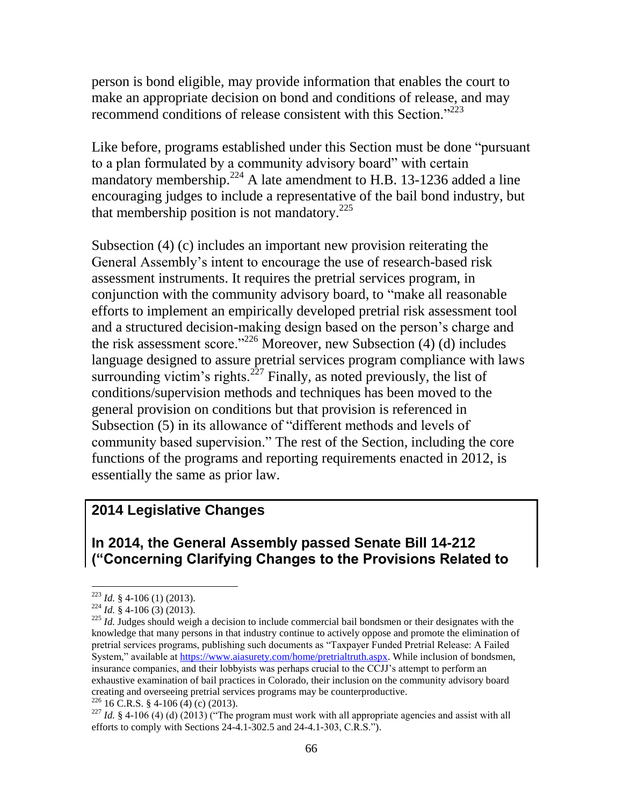person is bond eligible, may provide information that enables the court to make an appropriate decision on bond and conditions of release, and may recommend conditions of release consistent with this Section."<sup>223</sup>

Like before, programs established under this Section must be done "pursuant to a plan formulated by a community advisory board" with certain mandatory membership.<sup>224</sup> A late amendment to H.B. 13-1236 added a line encouraging judges to include a representative of the bail bond industry, but that membership position is not mandatory. 225

Subsection (4) (c) includes an important new provision reiterating the General Assembly's intent to encourage the use of research-based risk assessment instruments. It requires the pretrial services program, in conjunction with the community advisory board, to "make all reasonable efforts to implement an empirically developed pretrial risk assessment tool and a structured decision-making design based on the person's charge and the risk assessment score."<sup>226</sup> Moreover, new Subsection (4) (d) includes language designed to assure pretrial services program compliance with laws surrounding victim's rights.<sup>227</sup> Finally, as noted previously, the list of conditions/supervision methods and techniques has been moved to the general provision on conditions but that provision is referenced in Subsection (5) in its allowance of "different methods and levels of community based supervision." The rest of the Section, including the core functions of the programs and reporting requirements enacted in 2012, is essentially the same as prior law.

## **2014 Legislative Changes**

**In 2014, the General Assembly passed Senate Bill 14-212 ("Concerning Clarifying Changes to the Provisions Related to** 

<sup>223</sup> *Id.* § 4-106 (1) (2013).

<sup>224</sup> *Id.* § 4-106 (3) (2013).

<sup>&</sup>lt;sup>225</sup> *Id.* Judges should weigh a decision to include commercial bail bondsmen or their designates with the knowledge that many persons in that industry continue to actively oppose and promote the elimination of pretrial services programs, publishing such documents as "Taxpayer Funded Pretrial Release: A Failed System," available at [https://www.aiasurety.com/home/pretrialtruth.aspx.](https://www.aiasurety.com/home/pretrialtruth.aspx) While inclusion of bondsmen, insurance companies, and their lobbyists was perhaps crucial to the CCJJ's attempt to perform an exhaustive examination of bail practices in Colorado, their inclusion on the community advisory board creating and overseeing pretrial services programs may be counterproductive.

 $226$  16 C.R.S. § 4-106 (4) (c) (2013).

<sup>&</sup>lt;sup>227</sup> *Id.* § 4-106 (4) (d) (2013) ("The program must work with all appropriate agencies and assist with all efforts to comply with Sections 24-4.1-302.5 and 24-4.1-303, C.R.S.").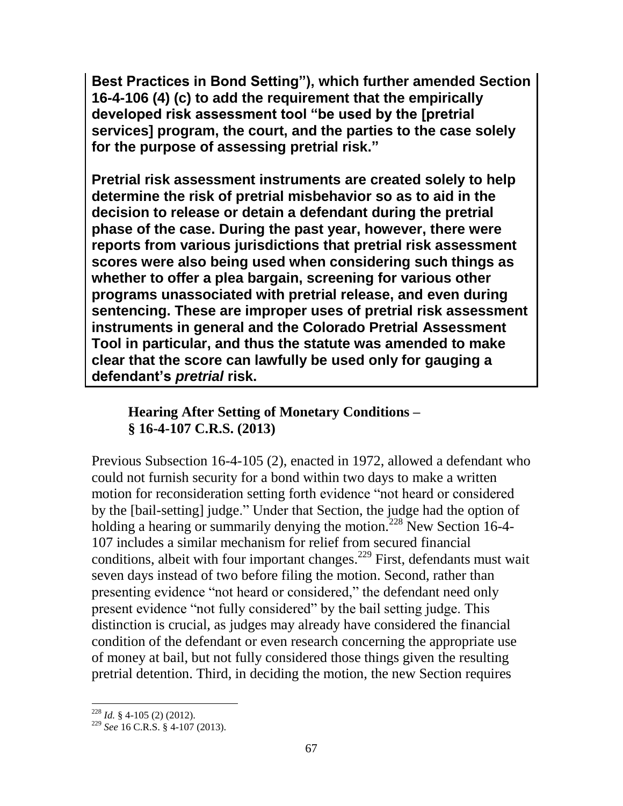**Best Practices in Bond Setting"), which further amended Section 16-4-106 (4) (c) to add the requirement that the empirically developed risk assessment tool "be used by the [pretrial services] program, the court, and the parties to the case solely for the purpose of assessing pretrial risk."** 

**Pretrial risk assessment instruments are created solely to help determine the risk of pretrial misbehavior so as to aid in the decision to release or detain a defendant during the pretrial phase of the case. During the past year, however, there were reports from various jurisdictions that pretrial risk assessment scores were also being used when considering such things as whether to offer a plea bargain, screening for various other programs unassociated with pretrial release, and even during sentencing. These are improper uses of pretrial risk assessment instruments in general and the Colorado Pretrial Assessment Tool in particular, and thus the statute was amended to make clear that the score can lawfully be used only for gauging a defendant's** *pretrial* **risk.**

## **Hearing After Setting of Monetary Conditions – § 16-4-107 C.R.S. (2013)**

Previous Subsection 16-4-105 (2), enacted in 1972, allowed a defendant who could not furnish security for a bond within two days to make a written motion for reconsideration setting forth evidence "not heard or considered by the [bail-setting] judge." Under that Section, the judge had the option of holding a hearing or summarily denying the motion.<sup>228</sup> New Section 16-4-107 includes a similar mechanism for relief from secured financial conditions, albeit with four important changes.<sup>229</sup> First, defendants must wait seven days instead of two before filing the motion. Second, rather than presenting evidence "not heard or considered," the defendant need only present evidence "not fully considered" by the bail setting judge. This distinction is crucial, as judges may already have considered the financial condition of the defendant or even research concerning the appropriate use of money at bail, but not fully considered those things given the resulting pretrial detention. Third, in deciding the motion, the new Section requires

 $\overline{a}$ <sup>228</sup> *Id.* § 4-105 (2) (2012).

<sup>229</sup> *See* 16 C.R.S. § 4-107 (2013).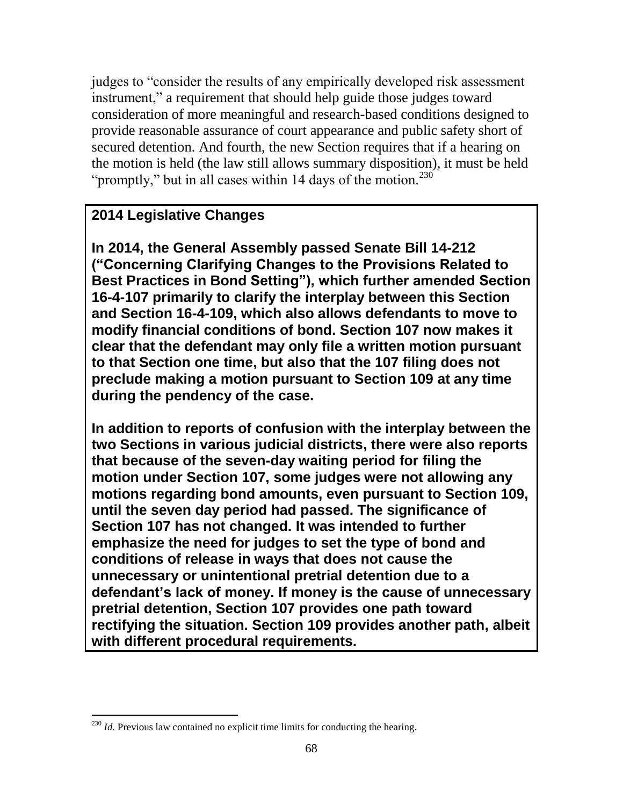judges to "consider the results of any empirically developed risk assessment instrument," a requirement that should help guide those judges toward consideration of more meaningful and research-based conditions designed to provide reasonable assurance of court appearance and public safety short of secured detention. And fourth, the new Section requires that if a hearing on the motion is held (the law still allows summary disposition), it must be held "promptly," but in all cases within 14 days of the motion. $230$ 

# **2014 Legislative Changes**

**In 2014, the General Assembly passed Senate Bill 14-212 ("Concerning Clarifying Changes to the Provisions Related to Best Practices in Bond Setting"), which further amended Section 16-4-107 primarily to clarify the interplay between this Section and Section 16-4-109, which also allows defendants to move to modify financial conditions of bond. Section 107 now makes it clear that the defendant may only file a written motion pursuant to that Section one time, but also that the 107 filing does not preclude making a motion pursuant to Section 109 at any time during the pendency of the case.** 

**In addition to reports of confusion with the interplay between the two Sections in various judicial districts, there were also reports that because of the seven-day waiting period for filing the motion under Section 107, some judges were not allowing any motions regarding bond amounts, even pursuant to Section 109, until the seven day period had passed. The significance of Section 107 has not changed. It was intended to further emphasize the need for judges to set the type of bond and conditions of release in ways that does not cause the unnecessary or unintentional pretrial detention due to a defendant's lack of money. If money is the cause of unnecessary pretrial detention, Section 107 provides one path toward rectifying the situation. Section 109 provides another path, albeit with different procedural requirements.** 

<sup>&</sup>lt;sup>230</sup> *Id.* Previous law contained no explicit time limits for conducting the hearing.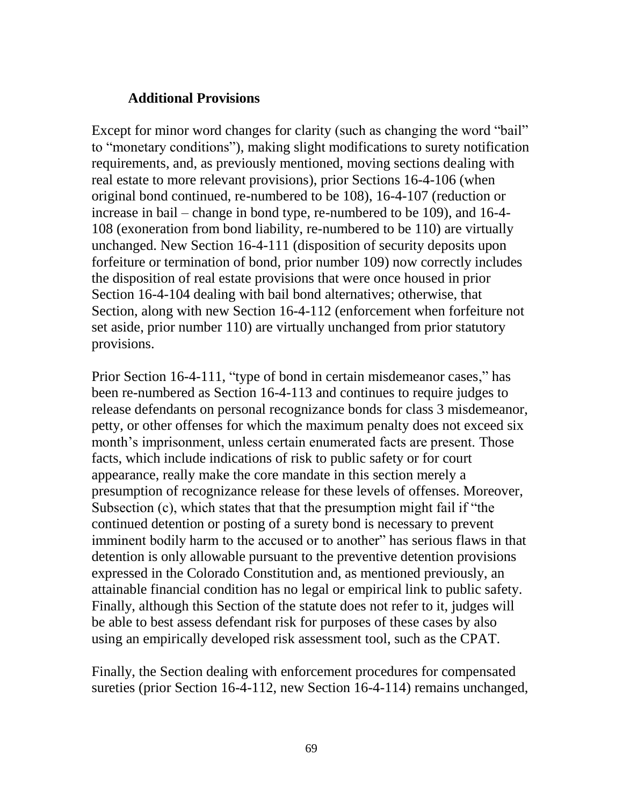#### **Additional Provisions**

Except for minor word changes for clarity (such as changing the word "bail" to "monetary conditions"), making slight modifications to surety notification requirements, and, as previously mentioned, moving sections dealing with real estate to more relevant provisions), prior Sections 16-4-106 (when original bond continued, re-numbered to be 108), 16-4-107 (reduction or increase in bail – change in bond type, re-numbered to be 109), and 16-4- 108 (exoneration from bond liability, re-numbered to be 110) are virtually unchanged. New Section 16-4-111 (disposition of security deposits upon forfeiture or termination of bond, prior number 109) now correctly includes the disposition of real estate provisions that were once housed in prior Section 16-4-104 dealing with bail bond alternatives; otherwise, that Section, along with new Section 16-4-112 (enforcement when forfeiture not set aside, prior number 110) are virtually unchanged from prior statutory provisions.

Prior Section 16-4-111, "type of bond in certain misdemeanor cases," has been re-numbered as Section 16-4-113 and continues to require judges to release defendants on personal recognizance bonds for class 3 misdemeanor, petty, or other offenses for which the maximum penalty does not exceed six month's imprisonment, unless certain enumerated facts are present. Those facts, which include indications of risk to public safety or for court appearance, really make the core mandate in this section merely a presumption of recognizance release for these levels of offenses. Moreover, Subsection (c), which states that that the presumption might fail if "the continued detention or posting of a surety bond is necessary to prevent imminent bodily harm to the accused or to another" has serious flaws in that detention is only allowable pursuant to the preventive detention provisions expressed in the Colorado Constitution and, as mentioned previously, an attainable financial condition has no legal or empirical link to public safety. Finally, although this Section of the statute does not refer to it, judges will be able to best assess defendant risk for purposes of these cases by also using an empirically developed risk assessment tool, such as the CPAT.

Finally, the Section dealing with enforcement procedures for compensated sureties (prior Section 16-4-112, new Section 16-4-114) remains unchanged,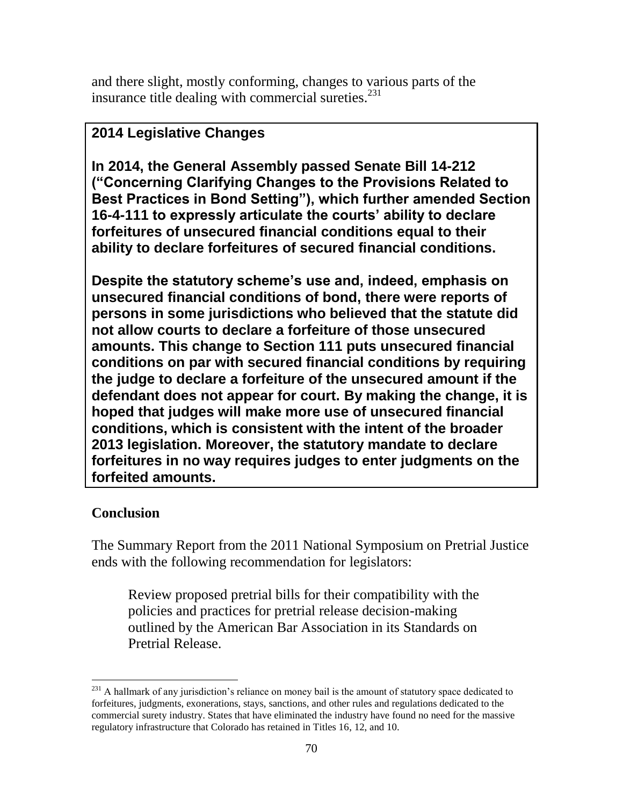and there slight, mostly conforming, changes to various parts of the insurance title dealing with commercial sureties. $^{231}$ 

# **2014 Legislative Changes**

**In 2014, the General Assembly passed Senate Bill 14-212 ("Concerning Clarifying Changes to the Provisions Related to Best Practices in Bond Setting"), which further amended Section 16-4-111 to expressly articulate the courts' ability to declare forfeitures of unsecured financial conditions equal to their ability to declare forfeitures of secured financial conditions.** 

**Despite the statutory scheme's use and, indeed, emphasis on unsecured financial conditions of bond, there were reports of persons in some jurisdictions who believed that the statute did not allow courts to declare a forfeiture of those unsecured amounts. This change to Section 111 puts unsecured financial conditions on par with secured financial conditions by requiring the judge to declare a forfeiture of the unsecured amount if the defendant does not appear for court. By making the change, it is hoped that judges will make more use of unsecured financial conditions, which is consistent with the intent of the broader 2013 legislation. Moreover, the statutory mandate to declare forfeitures in no way requires judges to enter judgments on the forfeited amounts.** 

## **Conclusion**

 $\overline{a}$ 

The Summary Report from the 2011 National Symposium on Pretrial Justice ends with the following recommendation for legislators:

Review proposed pretrial bills for their compatibility with the policies and practices for pretrial release decision-making outlined by the American Bar Association in its Standards on Pretrial Release.

 $^{231}$  A hallmark of any jurisdiction's reliance on money bail is the amount of statutory space dedicated to forfeitures, judgments, exonerations, stays, sanctions, and other rules and regulations dedicated to the commercial surety industry. States that have eliminated the industry have found no need for the massive regulatory infrastructure that Colorado has retained in Titles 16, 12, and 10.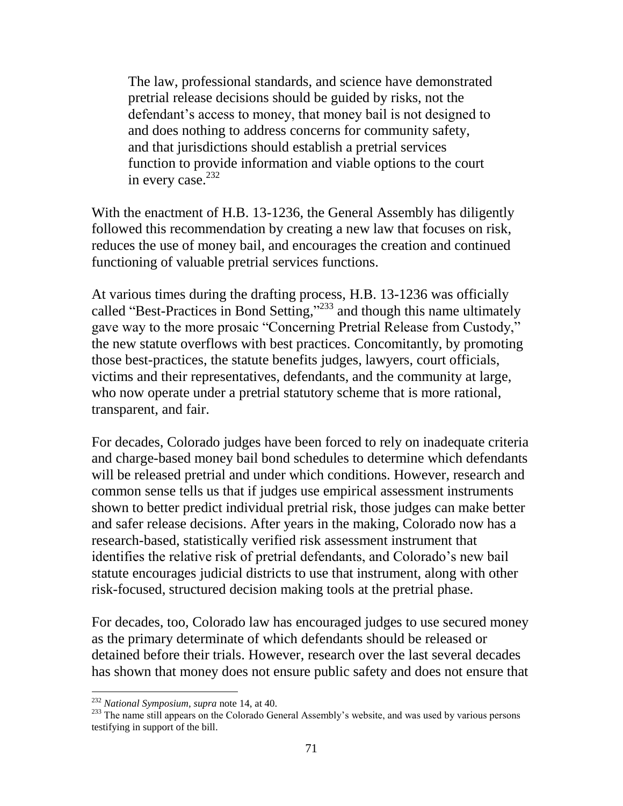The law, professional standards, and science have demonstrated pretrial release decisions should be guided by risks, not the defendant's access to money, that money bail is not designed to and does nothing to address concerns for community safety, and that jurisdictions should establish a pretrial services function to provide information and viable options to the court in every case. 232

With the enactment of H.B. 13-1236, the General Assembly has diligently followed this recommendation by creating a new law that focuses on risk, reduces the use of money bail, and encourages the creation and continued functioning of valuable pretrial services functions.

At various times during the drafting process, H.B. 13-1236 was officially called "Best-Practices in Bond Setting," <sup>233</sup> and though this name ultimately gave way to the more prosaic "Concerning Pretrial Release from Custody," the new statute overflows with best practices. Concomitantly, by promoting those best-practices, the statute benefits judges, lawyers, court officials, victims and their representatives, defendants, and the community at large, who now operate under a pretrial statutory scheme that is more rational, transparent, and fair.

For decades, Colorado judges have been forced to rely on inadequate criteria and charge-based money bail bond schedules to determine which defendants will be released pretrial and under which conditions. However, research and common sense tells us that if judges use empirical assessment instruments shown to better predict individual pretrial risk, those judges can make better and safer release decisions. After years in the making, Colorado now has a research-based, statistically verified risk assessment instrument that identifies the relative risk of pretrial defendants, and Colorado's new bail statute encourages judicial districts to use that instrument, along with other risk-focused, structured decision making tools at the pretrial phase.

For decades, too, Colorado law has encouraged judges to use secured money as the primary determinate of which defendants should be released or detained before their trials. However, research over the last several decades has shown that money does not ensure public safety and does not ensure that

<sup>232</sup> *National Symposium*, *supra* note 14, at 40.

<sup>&</sup>lt;sup>233</sup> The name still appears on the Colorado General Assembly's website, and was used by various persons testifying in support of the bill.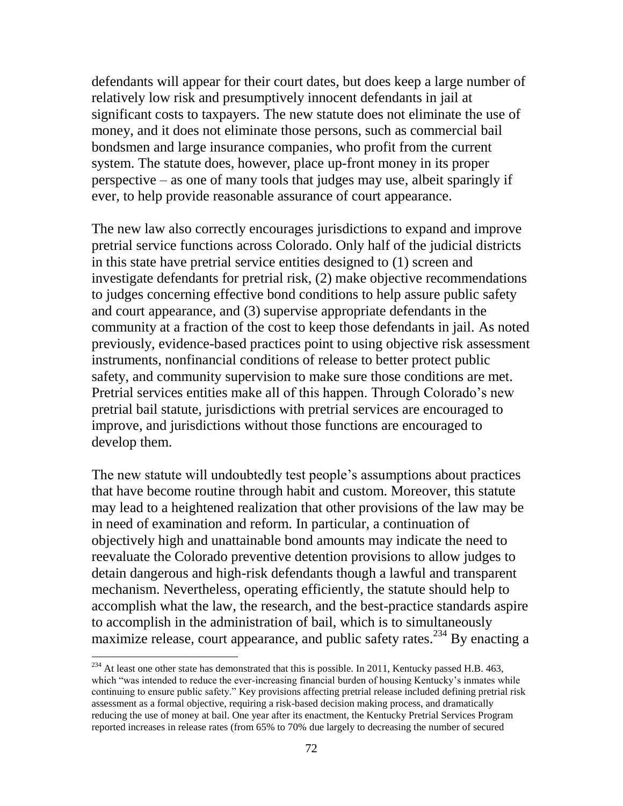defendants will appear for their court dates, but does keep a large number of relatively low risk and presumptively innocent defendants in jail at significant costs to taxpayers. The new statute does not eliminate the use of money, and it does not eliminate those persons, such as commercial bail bondsmen and large insurance companies, who profit from the current system. The statute does, however, place up-front money in its proper perspective – as one of many tools that judges may use, albeit sparingly if ever, to help provide reasonable assurance of court appearance.

The new law also correctly encourages jurisdictions to expand and improve pretrial service functions across Colorado. Only half of the judicial districts in this state have pretrial service entities designed to (1) screen and investigate defendants for pretrial risk, (2) make objective recommendations to judges concerning effective bond conditions to help assure public safety and court appearance, and (3) supervise appropriate defendants in the community at a fraction of the cost to keep those defendants in jail. As noted previously, evidence-based practices point to using objective risk assessment instruments, nonfinancial conditions of release to better protect public safety, and community supervision to make sure those conditions are met. Pretrial services entities make all of this happen. Through Colorado's new pretrial bail statute, jurisdictions with pretrial services are encouraged to improve, and jurisdictions without those functions are encouraged to develop them.

The new statute will undoubtedly test people's assumptions about practices that have become routine through habit and custom. Moreover, this statute may lead to a heightened realization that other provisions of the law may be in need of examination and reform. In particular, a continuation of objectively high and unattainable bond amounts may indicate the need to reevaluate the Colorado preventive detention provisions to allow judges to detain dangerous and high-risk defendants though a lawful and transparent mechanism. Nevertheless, operating efficiently, the statute should help to accomplish what the law, the research, and the best-practice standards aspire to accomplish in the administration of bail, which is to simultaneously maximize release, court appearance, and public safety rates.<sup>234</sup> By enacting a

 $^{234}$  At least one other state has demonstrated that this is possible. In 2011, Kentucky passed H.B. 463, which "was intended to reduce the ever-increasing financial burden of housing Kentucky's inmates while continuing to ensure public safety." Key provisions affecting pretrial release included defining pretrial risk assessment as a formal objective, requiring a risk-based decision making process, and dramatically reducing the use of money at bail. One year after its enactment, the Kentucky Pretrial Services Program reported increases in release rates (from 65% to 70% due largely to decreasing the number of secured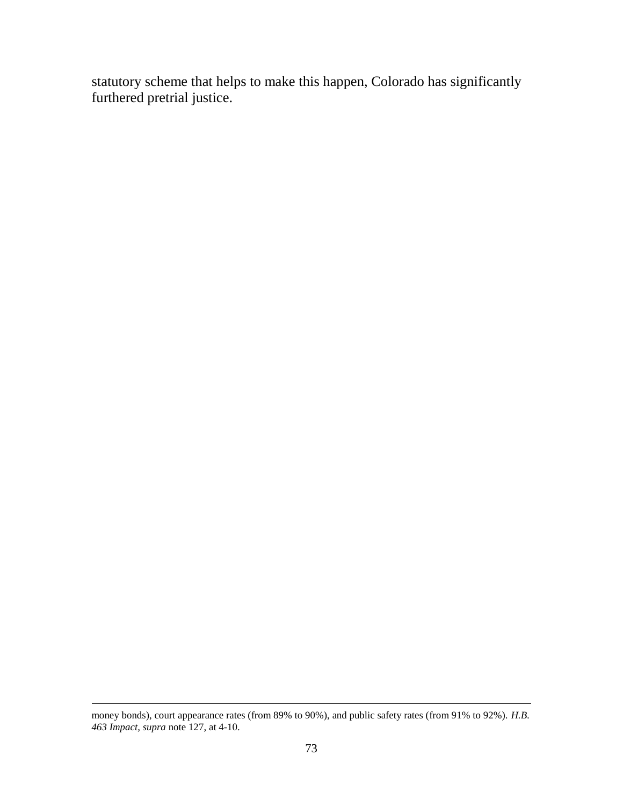statutory scheme that helps to make this happen, Colorado has significantly furthered pretrial justice.

 $\overline{a}$ 

money bonds), court appearance rates (from 89% to 90%), and public safety rates (from 91% to 92%). *H.B. 463 Impact, supra* note 127, at 4-10.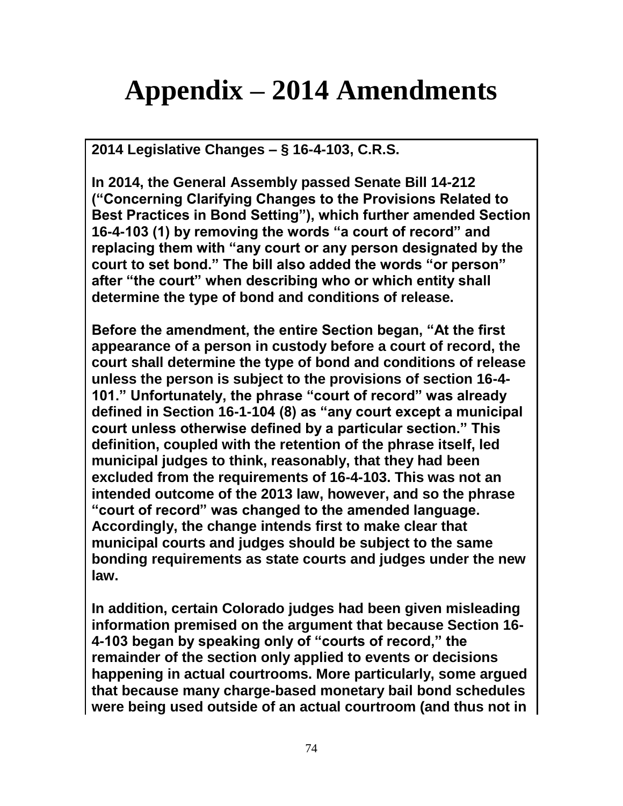## **Appendix – 2014 Amendments**

**2014 Legislative Changes – § 16-4-103, C.R.S.** 

**In 2014, the General Assembly passed Senate Bill 14-212 ("Concerning Clarifying Changes to the Provisions Related to Best Practices in Bond Setting"), which further amended Section 16-4-103 (1) by removing the words "a court of record" and replacing them with "any court or any person designated by the court to set bond." The bill also added the words "or person" after "the court" when describing who or which entity shall determine the type of bond and conditions of release.** 

**Before the amendment, the entire Section began, "At the first appearance of a person in custody before a court of record, the court shall determine the type of bond and conditions of release unless the person is subject to the provisions of section 16-4- 101." Unfortunately, the phrase "court of record" was already defined in Section 16-1-104 (8) as "any court except a municipal court unless otherwise defined by a particular section." This definition, coupled with the retention of the phrase itself, led municipal judges to think, reasonably, that they had been excluded from the requirements of 16-4-103. This was not an intended outcome of the 2013 law, however, and so the phrase "court of record" was changed to the amended language. Accordingly, the change intends first to make clear that municipal courts and judges should be subject to the same bonding requirements as state courts and judges under the new law.** 

**In addition, certain Colorado judges had been given misleading information premised on the argument that because Section 16- 4-103 began by speaking only of "courts of record," the remainder of the section only applied to events or decisions happening in actual courtrooms. More particularly, some argued that because many charge-based monetary bail bond schedules were being used outside of an actual courtroom (and thus not in**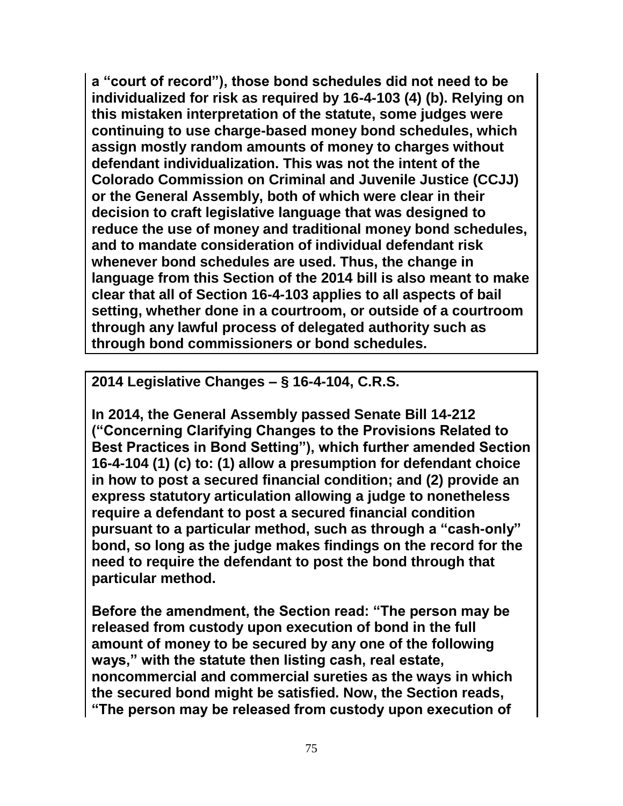**a "court of record"), those bond schedules did not need to be individualized for risk as required by 16-4-103 (4) (b). Relying on this mistaken interpretation of the statute, some judges were continuing to use charge-based money bond schedules, which assign mostly random amounts of money to charges without defendant individualization. This was not the intent of the Colorado Commission on Criminal and Juvenile Justice (CCJJ) or the General Assembly, both of which were clear in their decision to craft legislative language that was designed to reduce the use of money and traditional money bond schedules, and to mandate consideration of individual defendant risk whenever bond schedules are used. Thus, the change in language from this Section of the 2014 bill is also meant to make clear that all of Section 16-4-103 applies to all aspects of bail setting, whether done in a courtroom, or outside of a courtroom through any lawful process of delegated authority such as through bond commissioners or bond schedules.** 

**2014 Legislative Changes – § 16-4-104, C.R.S.**

**In 2014, the General Assembly passed Senate Bill 14-212 ("Concerning Clarifying Changes to the Provisions Related to Best Practices in Bond Setting"), which further amended Section 16-4-104 (1) (c) to: (1) allow a presumption for defendant choice in how to post a secured financial condition; and (2) provide an express statutory articulation allowing a judge to nonetheless require a defendant to post a secured financial condition pursuant to a particular method, such as through a "cash-only" bond, so long as the judge makes findings on the record for the need to require the defendant to post the bond through that particular method.** 

**Before the amendment, the Section read: "The person may be released from custody upon execution of bond in the full amount of money to be secured by any one of the following ways," with the statute then listing cash, real estate, noncommercial and commercial sureties as the ways in which the secured bond might be satisfied. Now, the Section reads, "The person may be released from custody upon execution of**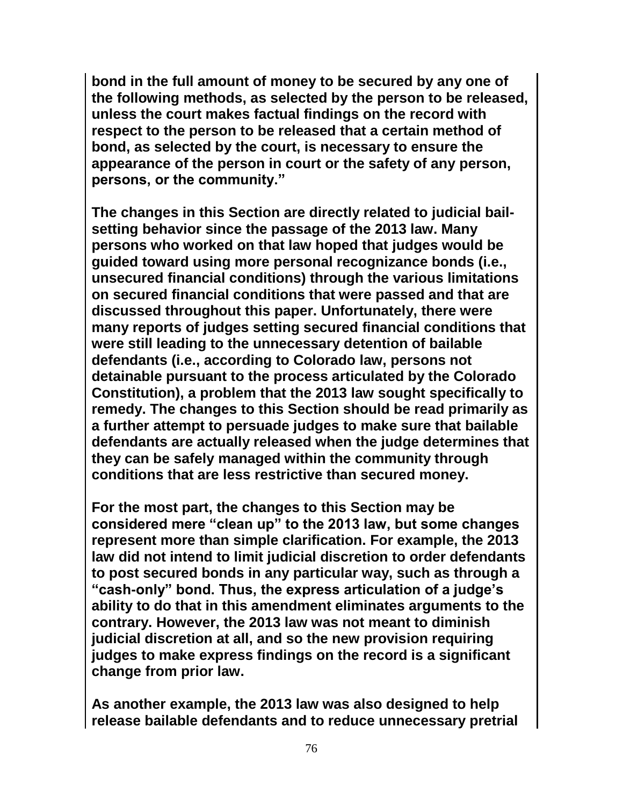**bond in the full amount of money to be secured by any one of the following methods, as selected by the person to be released, unless the court makes factual findings on the record with respect to the person to be released that a certain method of bond, as selected by the court, is necessary to ensure the appearance of the person in court or the safety of any person, persons, or the community."** 

**The changes in this Section are directly related to judicial bailsetting behavior since the passage of the 2013 law. Many persons who worked on that law hoped that judges would be guided toward using more personal recognizance bonds (i.e., unsecured financial conditions) through the various limitations on secured financial conditions that were passed and that are discussed throughout this paper. Unfortunately, there were many reports of judges setting secured financial conditions that were still leading to the unnecessary detention of bailable defendants (i.e., according to Colorado law, persons not detainable pursuant to the process articulated by the Colorado Constitution), a problem that the 2013 law sought specifically to remedy. The changes to this Section should be read primarily as a further attempt to persuade judges to make sure that bailable defendants are actually released when the judge determines that they can be safely managed within the community through conditions that are less restrictive than secured money.** 

**For the most part, the changes to this Section may be considered mere "clean up" to the 2013 law, but some changes represent more than simple clarification. For example, the 2013 law did not intend to limit judicial discretion to order defendants to post secured bonds in any particular way, such as through a "cash-only" bond. Thus, the express articulation of a judge's ability to do that in this amendment eliminates arguments to the contrary. However, the 2013 law was not meant to diminish judicial discretion at all, and so the new provision requiring judges to make express findings on the record is a significant change from prior law.** 

**As another example, the 2013 law was also designed to help release bailable defendants and to reduce unnecessary pretrial**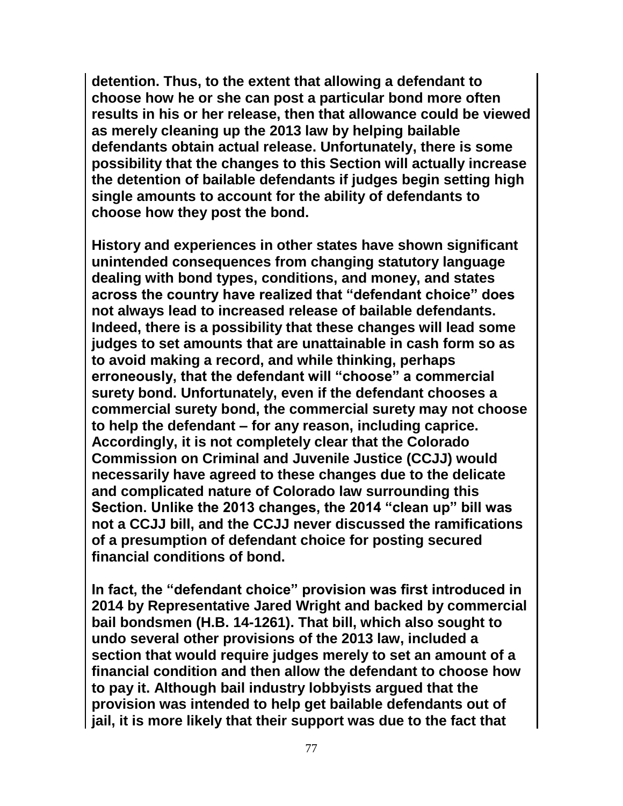**detention. Thus, to the extent that allowing a defendant to choose how he or she can post a particular bond more often results in his or her release, then that allowance could be viewed as merely cleaning up the 2013 law by helping bailable defendants obtain actual release. Unfortunately, there is some possibility that the changes to this Section will actually increase the detention of bailable defendants if judges begin setting high single amounts to account for the ability of defendants to choose how they post the bond.** 

**History and experiences in other states have shown significant unintended consequences from changing statutory language dealing with bond types, conditions, and money, and states across the country have realized that "defendant choice" does not always lead to increased release of bailable defendants. Indeed, there is a possibility that these changes will lead some judges to set amounts that are unattainable in cash form so as to avoid making a record, and while thinking, perhaps erroneously, that the defendant will "choose" a commercial surety bond. Unfortunately, even if the defendant chooses a commercial surety bond, the commercial surety may not choose to help the defendant – for any reason, including caprice. Accordingly, it is not completely clear that the Colorado Commission on Criminal and Juvenile Justice (CCJJ) would necessarily have agreed to these changes due to the delicate and complicated nature of Colorado law surrounding this Section. Unlike the 2013 changes, the 2014 "clean up" bill was not a CCJJ bill, and the CCJJ never discussed the ramifications of a presumption of defendant choice for posting secured financial conditions of bond.** 

**In fact, the "defendant choice" provision was first introduced in 2014 by Representative Jared Wright and backed by commercial bail bondsmen (H.B. 14-1261). That bill, which also sought to undo several other provisions of the 2013 law, included a section that would require judges merely to set an amount of a financial condition and then allow the defendant to choose how to pay it. Although bail industry lobbyists argued that the provision was intended to help get bailable defendants out of jail, it is more likely that their support was due to the fact that**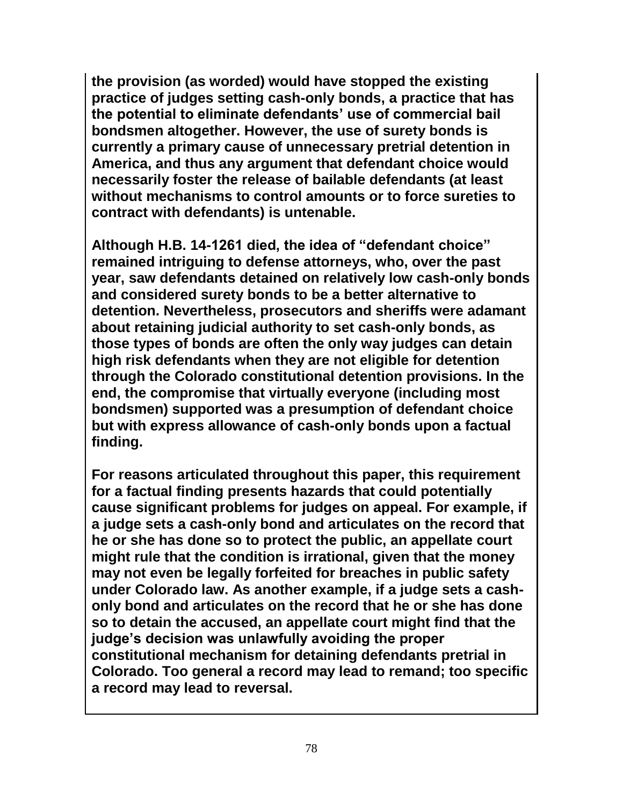**the provision (as worded) would have stopped the existing practice of judges setting cash-only bonds, a practice that has the potential to eliminate defendants' use of commercial bail bondsmen altogether. However, the use of surety bonds is currently a primary cause of unnecessary pretrial detention in America, and thus any argument that defendant choice would necessarily foster the release of bailable defendants (at least without mechanisms to control amounts or to force sureties to contract with defendants) is untenable.** 

**Although H.B. 14-1261 died, the idea of "defendant choice" remained intriguing to defense attorneys, who, over the past year, saw defendants detained on relatively low cash-only bonds and considered surety bonds to be a better alternative to detention. Nevertheless, prosecutors and sheriffs were adamant about retaining judicial authority to set cash-only bonds, as those types of bonds are often the only way judges can detain high risk defendants when they are not eligible for detention through the Colorado constitutional detention provisions. In the end, the compromise that virtually everyone (including most bondsmen) supported was a presumption of defendant choice but with express allowance of cash-only bonds upon a factual finding.** 

**For reasons articulated throughout this paper, this requirement for a factual finding presents hazards that could potentially cause significant problems for judges on appeal. For example, if a judge sets a cash-only bond and articulates on the record that he or she has done so to protect the public, an appellate court might rule that the condition is irrational, given that the money may not even be legally forfeited for breaches in public safety under Colorado law. As another example, if a judge sets a cashonly bond and articulates on the record that he or she has done so to detain the accused, an appellate court might find that the judge's decision was unlawfully avoiding the proper constitutional mechanism for detaining defendants pretrial in Colorado. Too general a record may lead to remand; too specific a record may lead to reversal.**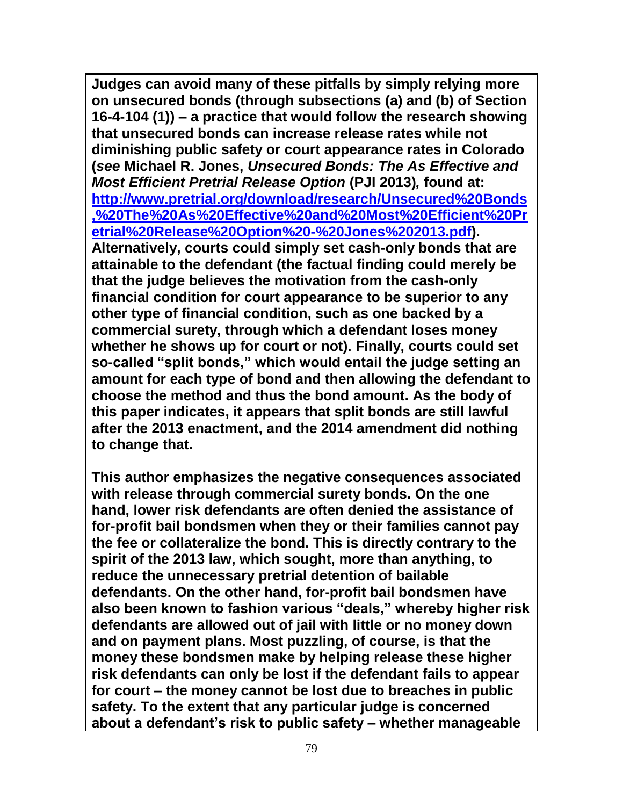**Judges can avoid many of these pitfalls by simply relying more on unsecured bonds (through subsections (a) and (b) of Section 16-4-104 (1)) – a practice that would follow the research showing that unsecured bonds can increase release rates while not diminishing public safety or court appearance rates in Colorado (***see* **Michael R. Jones,** *Unsecured Bonds: The As Effective and Most Efficient Pretrial Release Option* **(PJI 2013)***,* **found at: [http://www.pretrial.org/download/research/Unsecured%20Bonds](http://www.pretrial.org/download/research/Unsecured%20Bonds,%20The%20As%20Effective%20and%20Most%20Efficient%20Pretrial%20Release%20Option%20-%20Jones%202013.pdf) [,%20The%20As%20Effective%20and%20Most%20Efficient%20Pr](http://www.pretrial.org/download/research/Unsecured%20Bonds,%20The%20As%20Effective%20and%20Most%20Efficient%20Pretrial%20Release%20Option%20-%20Jones%202013.pdf) [etrial%20Release%20Option%20-%20Jones%202013.pdf\)](http://www.pretrial.org/download/research/Unsecured%20Bonds,%20The%20As%20Effective%20and%20Most%20Efficient%20Pretrial%20Release%20Option%20-%20Jones%202013.pdf). Alternatively, courts could simply set cash-only bonds that are attainable to the defendant (the factual finding could merely be that the judge believes the motivation from the cash-only financial condition for court appearance to be superior to any other type of financial condition, such as one backed by a commercial surety, through which a defendant loses money whether he shows up for court or not). Finally, courts could set so-called "split bonds," which would entail the judge setting an amount for each type of bond and then allowing the defendant to choose the method and thus the bond amount. As the body of this paper indicates, it appears that split bonds are still lawful after the 2013 enactment, and the 2014 amendment did nothing to change that.**

**This author emphasizes the negative consequences associated with release through commercial surety bonds. On the one hand, lower risk defendants are often denied the assistance of for-profit bail bondsmen when they or their families cannot pay the fee or collateralize the bond. This is directly contrary to the spirit of the 2013 law, which sought, more than anything, to reduce the unnecessary pretrial detention of bailable defendants. On the other hand, for-profit bail bondsmen have also been known to fashion various "deals," whereby higher risk defendants are allowed out of jail with little or no money down and on payment plans. Most puzzling, of course, is that the money these bondsmen make by helping release these higher risk defendants can only be lost if the defendant fails to appear for court – the money cannot be lost due to breaches in public safety. To the extent that any particular judge is concerned about a defendant's risk to public safety – whether manageable**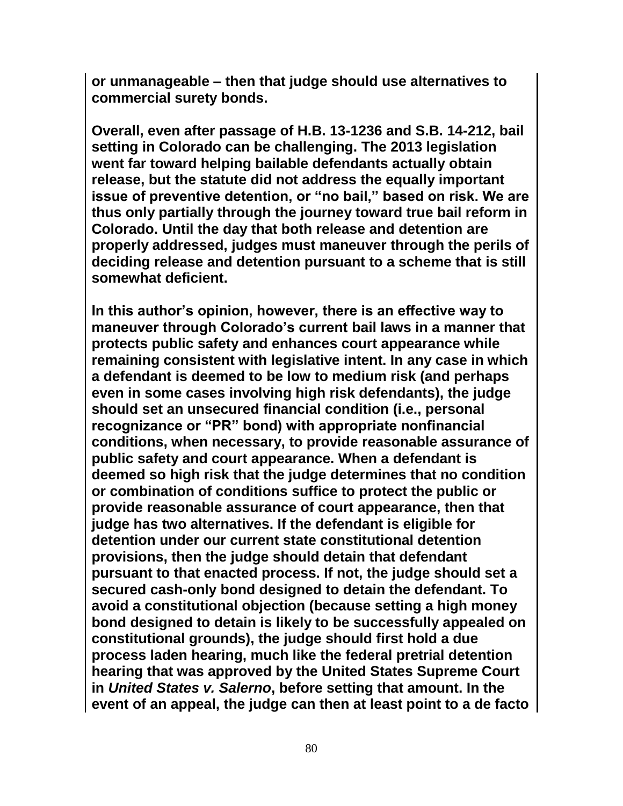**or unmanageable – then that judge should use alternatives to commercial surety bonds.** 

**Overall, even after passage of H.B. 13-1236 and S.B. 14-212, bail setting in Colorado can be challenging. The 2013 legislation went far toward helping bailable defendants actually obtain release, but the statute did not address the equally important issue of preventive detention, or "no bail," based on risk. We are thus only partially through the journey toward true bail reform in Colorado. Until the day that both release and detention are properly addressed, judges must maneuver through the perils of deciding release and detention pursuant to a scheme that is still somewhat deficient.** 

**In this author's opinion, however, there is an effective way to maneuver through Colorado's current bail laws in a manner that protects public safety and enhances court appearance while remaining consistent with legislative intent. In any case in which a defendant is deemed to be low to medium risk (and perhaps even in some cases involving high risk defendants), the judge should set an unsecured financial condition (i.e., personal recognizance or "PR" bond) with appropriate nonfinancial conditions, when necessary, to provide reasonable assurance of public safety and court appearance. When a defendant is deemed so high risk that the judge determines that no condition or combination of conditions suffice to protect the public or provide reasonable assurance of court appearance, then that judge has two alternatives. If the defendant is eligible for detention under our current state constitutional detention provisions, then the judge should detain that defendant pursuant to that enacted process. If not, the judge should set a secured cash-only bond designed to detain the defendant. To avoid a constitutional objection (because setting a high money bond designed to detain is likely to be successfully appealed on constitutional grounds), the judge should first hold a due process laden hearing, much like the federal pretrial detention hearing that was approved by the United States Supreme Court in** *United States v. Salerno***, before setting that amount. In the event of an appeal, the judge can then at least point to a de facto**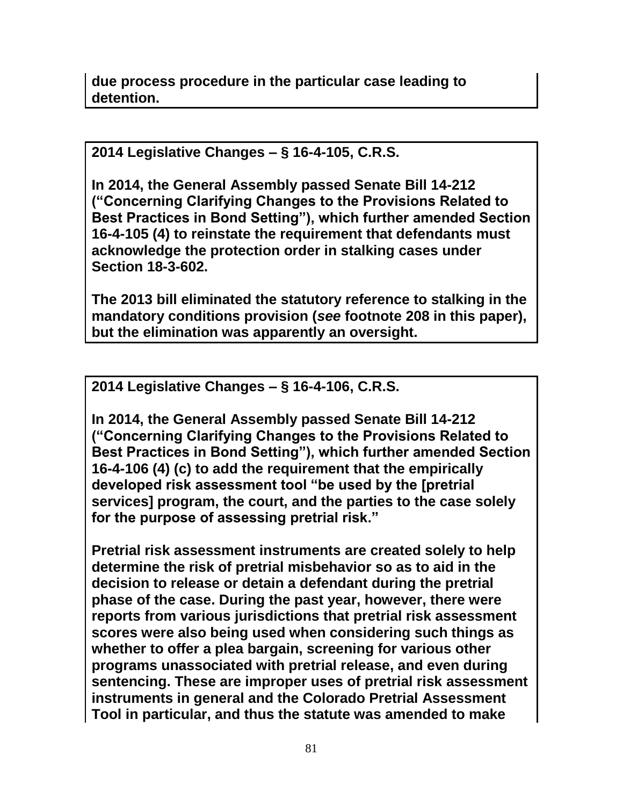**2014 Legislative Changes – § 16-4-105, C.R.S.**

**In 2014, the General Assembly passed Senate Bill 14-212 ("Concerning Clarifying Changes to the Provisions Related to Best Practices in Bond Setting"), which further amended Section 16-4-105 (4) to reinstate the requirement that defendants must acknowledge the protection order in stalking cases under Section 18-3-602.** 

**The 2013 bill eliminated the statutory reference to stalking in the mandatory conditions provision (***see* **footnote 208 in this paper), but the elimination was apparently an oversight.** 

**2014 Legislative Changes – § 16-4-106, C.R.S.**

**In 2014, the General Assembly passed Senate Bill 14-212 ("Concerning Clarifying Changes to the Provisions Related to Best Practices in Bond Setting"), which further amended Section 16-4-106 (4) (c) to add the requirement that the empirically developed risk assessment tool "be used by the [pretrial services] program, the court, and the parties to the case solely for the purpose of assessing pretrial risk."** 

**Pretrial risk assessment instruments are created solely to help determine the risk of pretrial misbehavior so as to aid in the decision to release or detain a defendant during the pretrial phase of the case. During the past year, however, there were reports from various jurisdictions that pretrial risk assessment scores were also being used when considering such things as whether to offer a plea bargain, screening for various other programs unassociated with pretrial release, and even during sentencing. These are improper uses of pretrial risk assessment instruments in general and the Colorado Pretrial Assessment Tool in particular, and thus the statute was amended to make**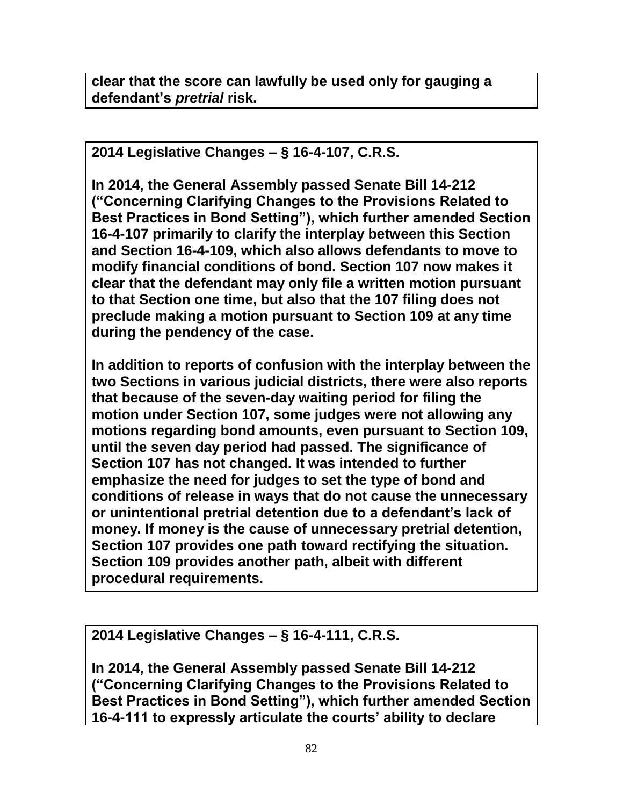**clear that the score can lawfully be used only for gauging a defendant's** *pretrial* **risk.**

**2014 Legislative Changes – § 16-4-107, C.R.S.**

**In 2014, the General Assembly passed Senate Bill 14-212 ("Concerning Clarifying Changes to the Provisions Related to Best Practices in Bond Setting"), which further amended Section 16-4-107 primarily to clarify the interplay between this Section and Section 16-4-109, which also allows defendants to move to modify financial conditions of bond. Section 107 now makes it clear that the defendant may only file a written motion pursuant to that Section one time, but also that the 107 filing does not preclude making a motion pursuant to Section 109 at any time during the pendency of the case.** 

**In addition to reports of confusion with the interplay between the two Sections in various judicial districts, there were also reports that because of the seven-day waiting period for filing the motion under Section 107, some judges were not allowing any motions regarding bond amounts, even pursuant to Section 109, until the seven day period had passed. The significance of Section 107 has not changed. It was intended to further emphasize the need for judges to set the type of bond and conditions of release in ways that do not cause the unnecessary or unintentional pretrial detention due to a defendant's lack of money. If money is the cause of unnecessary pretrial detention, Section 107 provides one path toward rectifying the situation. Section 109 provides another path, albeit with different procedural requirements.** 

**2014 Legislative Changes – § 16-4-111, C.R.S.** 

**In 2014, the General Assembly passed Senate Bill 14-212 ("Concerning Clarifying Changes to the Provisions Related to Best Practices in Bond Setting"), which further amended Section 16-4-111 to expressly articulate the courts' ability to declare**